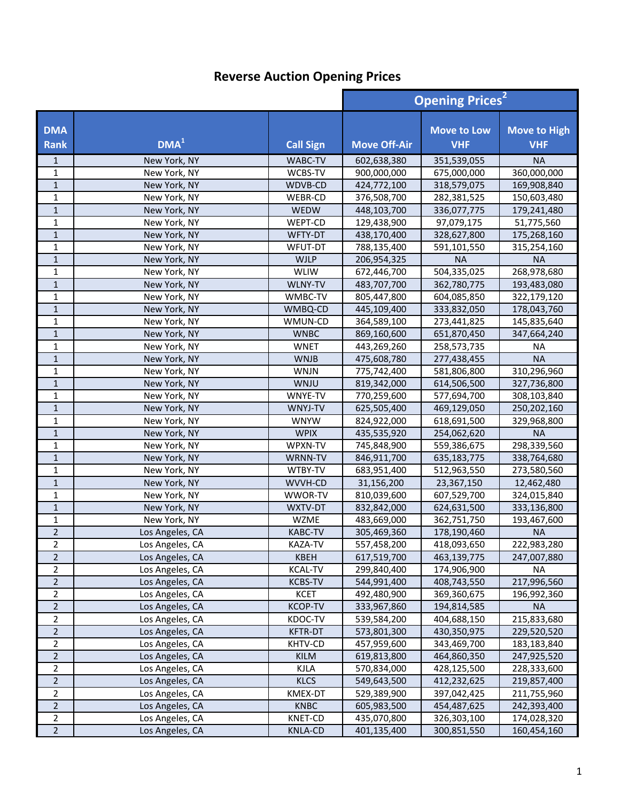|                           |                  |                  | <b>Opening Prices<sup>2</sup></b> |                                  |                                   |
|---------------------------|------------------|------------------|-----------------------------------|----------------------------------|-----------------------------------|
| <b>DMA</b><br><b>Rank</b> | DMA <sup>1</sup> | <b>Call Sign</b> | <b>Move Off-Air</b>               | <b>Move to Low</b><br><b>VHF</b> | <b>Move to High</b><br><b>VHF</b> |
| $\mathbf{1}$              | New York, NY     | WABC-TV          | 602,638,380                       | 351,539,055                      | <b>NA</b>                         |
| 1                         | New York, NY     | WCBS-TV          | 900,000,000                       | 675,000,000                      | 360,000,000                       |
| $\mathbf{1}$              | New York, NY     | WDVB-CD          | 424,772,100                       | 318,579,075                      | 169,908,840                       |
| $\mathbf{1}$              | New York, NY     | WEBR-CD          | 376,508,700                       | 282,381,525                      | 150,603,480                       |
| $\mathbf{1}$              | New York, NY     | <b>WEDW</b>      | 448,103,700                       | 336,077,775                      | 179,241,480                       |
| $\mathbf{1}$              | New York, NY     | WEPT-CD          | 129,438,900                       | 97,079,175                       | 51,775,560                        |
| $\mathbf{1}$              | New York, NY     | WFTY-DT          | 438,170,400                       | 328,627,800                      | 175,268,160                       |
| $\mathbf{1}$              | New York, NY     | WFUT-DT          | 788,135,400                       | 591,101,550                      | 315,254,160                       |
| $\mathbf{1}$              | New York, NY     | <b>WJLP</b>      | 206,954,325                       | <b>NA</b>                        | <b>NA</b>                         |
| $\mathbf{1}$              | New York, NY     | <b>WLIW</b>      | 672,446,700                       | 504,335,025                      | 268,978,680                       |
| $\mathbf{1}$              | New York, NY     | WLNY-TV          | 483,707,700                       | 362,780,775                      | 193,483,080                       |
| $\mathbf 1$               | New York, NY     | WMBC-TV          | 805,447,800                       | 604,085,850                      | 322,179,120                       |
| $\mathbf{1}$              | New York, NY     | WMBQ-CD          | 445,109,400                       | 333,832,050                      | 178,043,760                       |
| 1                         | New York, NY     | WMUN-CD          | 364,589,100                       | 273,441,825                      | 145,835,640                       |
| $\mathbf 1$               | New York, NY     | <b>WNBC</b>      | 869,160,600                       | 651,870,450                      | 347,664,240                       |
| 1                         | New York, NY     | <b>WNET</b>      | 443,269,260                       | 258,573,735                      | <b>NA</b>                         |
| $\mathbf{1}$              | New York, NY     | <b>WNJB</b>      | 475,608,780                       | 277,438,455                      | <b>NA</b>                         |
| $\mathbf{1}$              | New York, NY     | <b>WNJN</b>      | 775,742,400                       | 581,806,800                      | 310,296,960                       |
| $\mathbf{1}$              | New York, NY     | <b>WNJU</b>      | 819,342,000                       | 614,506,500                      | 327,736,800                       |
| $\mathbf{1}$              | New York, NY     | WNYE-TV          | 770,259,600                       | 577,694,700                      | 308,103,840                       |
| $\mathbf{1}$              | New York, NY     | WNYJ-TV          | 625,505,400                       | 469,129,050                      | 250,202,160                       |
| $\mathbf{1}$              | New York, NY     | <b>WNYW</b>      | 824,922,000                       | 618,691,500                      | 329,968,800                       |
| $\mathbf 1$               | New York, NY     | <b>WPIX</b>      | 435,535,920                       | 254,062,620                      | <b>NA</b>                         |
| $\mathbf 1$               | New York, NY     | WPXN-TV          | 745,848,900                       | 559,386,675                      | 298,339,560                       |
| $\mathbf 1$               | New York, NY     | WRNN-TV          | 846,911,700                       | 635,183,775                      | 338,764,680                       |
| 1                         | New York, NY     | WTBY-TV          | 683,951,400                       | 512,963,550                      | 273,580,560                       |
| $\mathbf 1$               | New York, NY     | WVVH-CD          | 31,156,200                        | 23,367,150                       | 12,462,480                        |
| $\mathbf{1}$              | New York, NY     | WWOR-TV          | 810,039,600                       | 607,529,700                      | 324,015,840                       |
| $\mathbf{1}$              | New York, NY     | WXTV-DT          | 832,842,000                       | 624,631,500                      | 333,136,800                       |
| $\mathbf{1}$              | New York, NY     | <b>WZME</b>      | 483,669,000                       | 362,751,750                      | 193,467,600                       |
| $\overline{2}$            | Los Angeles, CA  | <b>KABC-TV</b>   | 305,469,360                       | 178,190,460                      | <b>NA</b>                         |
| $\overline{2}$            | Los Angeles, CA  | KAZA-TV          | 557,458,200                       | 418,093,650                      | 222,983,280                       |
| $\overline{2}$            | Los Angeles, CA  | KBEH             | 617,519,700                       | 463,139,775                      | 247,007,880                       |
| 2                         | Los Angeles, CA  | <b>KCAL-TV</b>   | 299,840,400                       | 174,906,900                      | NA                                |
| $\overline{2}$            | Los Angeles, CA  | <b>KCBS-TV</b>   | 544,991,400                       | 408,743,550                      | 217,996,560                       |
| $\overline{2}$            | Los Angeles, CA  | <b>KCET</b>      | 492,480,900                       | 369,360,675                      | 196,992,360                       |
| $\overline{2}$            | Los Angeles, CA  | <b>KCOP-TV</b>   | 333,967,860                       | 194,814,585                      | <b>NA</b>                         |
| $\overline{2}$            | Los Angeles, CA  | KDOC-TV          | 539,584,200                       | 404,688,150                      | 215,833,680                       |
| $\mathbf 2$               | Los Angeles, CA  | <b>KFTR-DT</b>   | 573,801,300                       | 430,350,975                      | 229,520,520                       |
| $\overline{2}$            | Los Angeles, CA  | KHTV-CD          | 457,959,600                       | 343,469,700                      | 183,183,840                       |
| $\overline{2}$            | Los Angeles, CA  | <b>KILM</b>      | 619,813,800                       | 464,860,350                      | 247,925,520                       |
| $\overline{2}$            | Los Angeles, CA  | <b>KJLA</b>      | 570,834,000                       | 428,125,500                      | 228,333,600                       |
| $\overline{2}$            | Los Angeles, CA  | <b>KLCS</b>      | 549,643,500                       | 412,232,625                      | 219,857,400                       |
| $\overline{2}$            | Los Angeles, CA  | KMEX-DT          | 529,389,900                       | 397,042,425                      | 211,755,960                       |
| $\overline{2}$            | Los Angeles, CA  | <b>KNBC</b>      | 605,983,500                       | 454,487,625                      | 242,393,400                       |
| $\overline{2}$            | Los Angeles, CA  | <b>KNET-CD</b>   | 435,070,800                       | 326,303,100                      | 174,028,320                       |
| $\overline{2}$            | Los Angeles, CA  | <b>KNLA-CD</b>   | 401,135,400                       | 300,851,550                      | 160,454,160                       |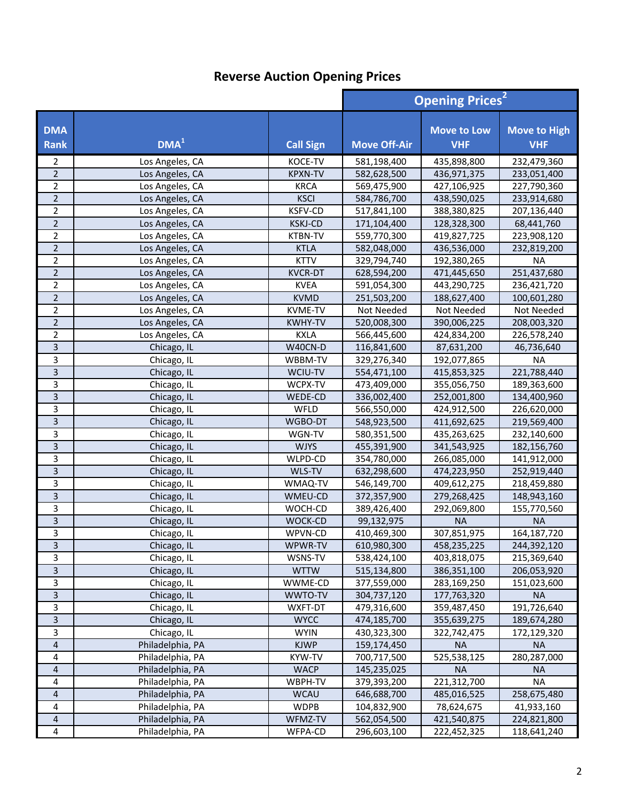|                           |                  |                  | <b>Opening Prices<sup>2</sup></b> |                                  |                                   |
|---------------------------|------------------|------------------|-----------------------------------|----------------------------------|-----------------------------------|
| <b>DMA</b><br><b>Rank</b> | DMA <sup>1</sup> | <b>Call Sign</b> | <b>Move Off-Air</b>               | <b>Move to Low</b><br><b>VHF</b> | <b>Move to High</b><br><b>VHF</b> |
| 2                         | Los Angeles, CA  | KOCE-TV          | 581,198,400                       | 435,898,800                      | 232,479,360                       |
| $\overline{2}$            | Los Angeles, CA  | <b>KPXN-TV</b>   | 582,628,500                       | 436,971,375                      | 233,051,400                       |
| $\overline{2}$            | Los Angeles, CA  | <b>KRCA</b>      | 569,475,900                       | 427,106,925                      | 227,790,360                       |
| $\overline{2}$            | Los Angeles, CA  | <b>KSCI</b>      | 584,786,700                       | 438,590,025                      | 233,914,680                       |
| $\overline{2}$            | Los Angeles, CA  | <b>KSFV-CD</b>   | 517,841,100                       | 388,380,825                      | 207,136,440                       |
| $\overline{2}$            | Los Angeles, CA  | <b>KSKJ-CD</b>   | 171,104,400                       | 128,328,300                      | 68,441,760                        |
| $\overline{2}$            | Los Angeles, CA  | <b>KTBN-TV</b>   | 559,770,300                       | 419,827,725                      | 223,908,120                       |
| $\overline{2}$            | Los Angeles, CA  | <b>KTLA</b>      | 582,048,000                       | 436,536,000                      | 232,819,200                       |
| $\overline{2}$            | Los Angeles, CA  | <b>KTTV</b>      | 329,794,740                       | 192,380,265                      | <b>NA</b>                         |
| $\overline{2}$            | Los Angeles, CA  | <b>KVCR-DT</b>   | 628,594,200                       | 471,445,650                      | 251,437,680                       |
| $\overline{2}$            | Los Angeles, CA  | <b>KVEA</b>      | 591,054,300                       | 443,290,725                      | 236,421,720                       |
| $\mathbf 2$               | Los Angeles, CA  | <b>KVMD</b>      | 251,503,200                       | 188,627,400                      | 100,601,280                       |
| $\overline{2}$            | Los Angeles, CA  | KVME-TV          | Not Needed                        | Not Needed                       | Not Needed                        |
| $\overline{2}$            | Los Angeles, CA  | <b>KWHY-TV</b>   | 520,008,300                       | 390,006,225                      | 208,003,320                       |
| $\overline{2}$            | Los Angeles, CA  | <b>KXLA</b>      | 566,445,600                       | 424,834,200                      | 226,578,240                       |
| 3                         | Chicago, IL      | W40CN-D          | 116,841,600                       | 87,631,200                       | 46,736,640                        |
| 3                         | Chicago, IL      | WBBM-TV          | 329,276,340                       | 192,077,865                      | <b>NA</b>                         |
| 3                         | Chicago, IL      | WCIU-TV          | 554,471,100                       | 415,853,325                      | 221,788,440                       |
| $\overline{3}$            | Chicago, IL      | WCPX-TV          | 473,409,000                       | 355,056,750                      | 189,363,600                       |
| $\overline{\mathbf{3}}$   | Chicago, IL      | WEDE-CD          | 336,002,400                       | 252,001,800                      | 134,400,960                       |
| $\overline{3}$            | Chicago, IL      | WFLD             | 566,550,000                       | 424,912,500                      | 226,620,000                       |
| $\overline{3}$            | Chicago, IL      | WGBO-DT          | 548,923,500                       | 411,692,625                      | 219,569,400                       |
| 3                         | Chicago, IL      | WGN-TV           | 580,351,500                       | 435,263,625                      | 232,140,600                       |
| $\mathsf 3$               | Chicago, IL      | <b>WJYS</b>      | 455,391,900                       | 341,543,925                      | 182,156,760                       |
| $\overline{3}$            | Chicago, IL      | WLPD-CD          | 354,780,000                       | 266,085,000                      | 141,912,000                       |
| $\overline{3}$            | Chicago, IL      | WLS-TV           | 632,298,600                       | 474,223,950                      | 252,919,440                       |
| 3                         | Chicago, IL      | WMAQ-TV          | 546,149,700                       | 409,612,275                      | 218,459,880                       |
| $\overline{3}$            | Chicago, IL      | WMEU-CD          | 372,357,900                       | 279,268,425                      | 148,943,160                       |
| 3                         | Chicago, IL      | WOCH-CD          | 389,426,400                       | 292,069,800                      | 155,770,560                       |
| 3                         | Chicago, IL      | WOCK-CD          | 99,132,975                        | <b>NA</b>                        | <b>NA</b>                         |
| 3                         | Chicago, IL      | WPVN-CD          | 410,469,300                       | 307,851,975                      | 164,187,720                       |
| $\overline{3}$            | Chicago, IL      | WPWR-TV          | 610,980,300                       | 458,235,225                      | 244,392,120                       |
| 3                         | Chicago, IL      | WSNS-TV          | 538,424,100                       | 403,818,075                      | 215,369,640                       |
| $\mathsf 3$               | Chicago, IL      | <b>WTTW</b>      | 515,134,800                       | 386,351,100                      | 206,053,920                       |
| $\mathsf{3}$              | Chicago, IL      | WWME-CD          | 377,559,000                       | 283,169,250                      | 151,023,600                       |
| $\overline{3}$            | Chicago, IL      | WWTO-TV          | 304,737,120                       | 177,763,320                      | <b>NA</b>                         |
| $\mathbf{3}$              | Chicago, IL      | WXFT-DT          | 479,316,600                       | 359,487,450                      | 191,726,640                       |
| $\overline{3}$            | Chicago, IL      | <b>WYCC</b>      | 474,185,700                       | 355,639,275                      | 189,674,280                       |
| $\overline{3}$            | Chicago, IL      | <b>WYIN</b>      | 430,323,300                       | 322,742,475                      | 172,129,320                       |
| $\overline{4}$            | Philadelphia, PA | <b>KJWP</b>      | 159,174,450                       | <b>NA</b>                        | <b>NA</b>                         |
| 4                         | Philadelphia, PA | KYW-TV           | 700,717,500                       | 525,538,125                      | 280, 287, 000                     |
| $\overline{4}$            | Philadelphia, PA | <b>WACP</b>      | 145,235,025                       | <b>NA</b>                        | <b>NA</b>                         |
| 4                         | Philadelphia, PA | WBPH-TV          | 379,393,200                       | 221,312,700                      | <b>NA</b>                         |
| $\sqrt{4}$                | Philadelphia, PA | <b>WCAU</b>      | 646,688,700                       | 485,016,525                      | 258,675,480                       |
| $\overline{4}$            | Philadelphia, PA | <b>WDPB</b>      | 104,832,900                       | 78,624,675                       | 41,933,160                        |
| $\overline{4}$            | Philadelphia, PA | WFMZ-TV          | 562,054,500                       | 421,540,875                      | 224,821,800                       |
| 4                         | Philadelphia, PA | WFPA-CD          | 296,603,100                       | 222,452,325                      | 118,641,240                       |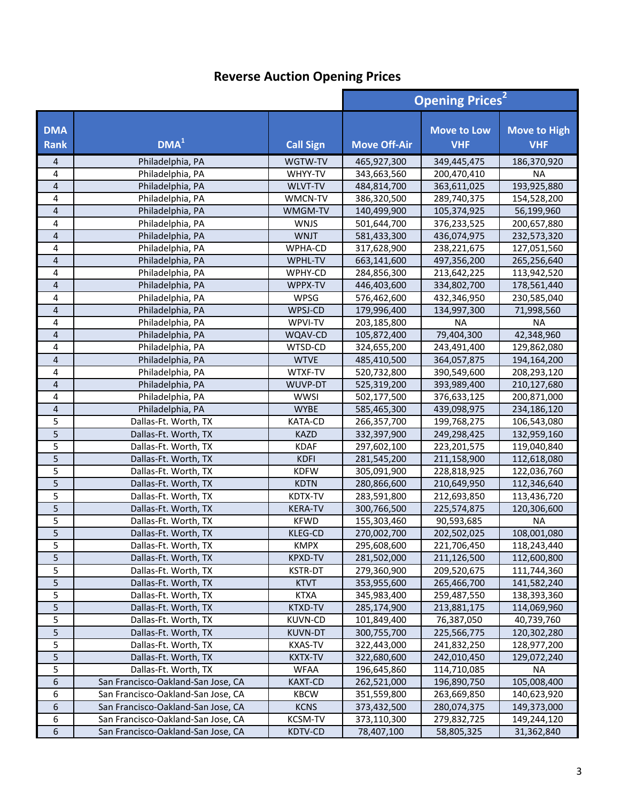|                           |                                    |                  | <b>Opening Prices<sup>2</sup></b> |                                  |                                   |
|---------------------------|------------------------------------|------------------|-----------------------------------|----------------------------------|-----------------------------------|
| <b>DMA</b><br><b>Rank</b> | DMA <sup>1</sup>                   | <b>Call Sign</b> | <b>Move Off-Air</b>               | <b>Move to Low</b><br><b>VHF</b> | <b>Move to High</b><br><b>VHF</b> |
| 4                         | Philadelphia, PA                   | WGTW-TV          | 465,927,300                       | 349,445,475                      | 186,370,920                       |
| 4                         | Philadelphia, PA                   | WHYY-TV          | 343,663,560                       | 200,470,410                      | <b>NA</b>                         |
| $\overline{4}$            | Philadelphia, PA                   | WLVT-TV          | 484,814,700                       | 363,611,025                      | 193,925,880                       |
| 4                         | Philadelphia, PA                   | WMCN-TV          | 386,320,500                       | 289,740,375                      | 154,528,200                       |
| $\overline{\mathbf{r}}$   | Philadelphia, PA                   | WMGM-TV          | 140,499,900                       | 105,374,925                      | 56,199,960                        |
| 4                         | Philadelphia, PA                   | <b>WNJS</b>      | 501,644,700                       | 376,233,525                      | 200,657,880                       |
| 4                         | Philadelphia, PA                   | <b>WNJT</b>      | 581,433,300                       | 436,074,975                      | 232,573,320                       |
| 4                         | Philadelphia, PA                   | WPHA-CD          | 317,628,900                       | 238,221,675                      | 127,051,560                       |
| $\overline{4}$            | Philadelphia, PA                   | WPHL-TV          | 663,141,600                       | 497,356,200                      | 265,256,640                       |
| 4                         | Philadelphia, PA                   | WPHY-CD          | 284,856,300                       | 213,642,225                      | 113,942,520                       |
| $\overline{4}$            | Philadelphia, PA                   | WPPX-TV          | 446,403,600                       | 334,802,700                      | 178,561,440                       |
| 4                         | Philadelphia, PA                   | WPSG             | 576,462,600                       | 432,346,950                      | 230,585,040                       |
| $\overline{\mathbf{4}}$   | Philadelphia, PA                   | WPSJ-CD          | 179,996,400                       | 134,997,300                      | 71,998,560                        |
| 4                         | Philadelphia, PA                   | WPVI-TV          | 203,185,800                       | <b>NA</b>                        | <b>NA</b>                         |
| 4                         | Philadelphia, PA                   | WQAV-CD          | 105,872,400                       | 79,404,300                       | 42,348,960                        |
| 4                         | Philadelphia, PA                   | WTSD-CD          | 324,655,200                       | 243,491,400                      | 129,862,080                       |
| $\overline{\mathbf{4}}$   | Philadelphia, PA                   | <b>WTVE</b>      | 485,410,500                       | 364,057,875                      | 194,164,200                       |
| 4                         | Philadelphia, PA                   | WTXF-TV          | 520,732,800                       | 390,549,600                      | 208,293,120                       |
| $\overline{4}$            | Philadelphia, PA                   | WUVP-DT          | 525,319,200                       | 393,989,400                      | 210,127,680                       |
| 4                         | Philadelphia, PA                   | <b>WWSI</b>      | 502,177,500                       | 376,633,125                      | 200,871,000                       |
| $\overline{4}$            | Philadelphia, PA                   | <b>WYBE</b>      | 585,465,300                       | 439,098,975                      | 234,186,120                       |
| 5                         | Dallas-Ft. Worth, TX               | KATA-CD          | 266,357,700                       | 199,768,275                      | 106,543,080                       |
| 5                         | Dallas-Ft. Worth, TX               | <b>KAZD</b>      | 332,397,900                       | 249,298,425                      | 132,959,160                       |
| 5                         | Dallas-Ft. Worth, TX               | <b>KDAF</b>      | 297,602,100                       | 223,201,575                      | 119,040,840                       |
| 5                         | Dallas-Ft. Worth, TX               | <b>KDFI</b>      | 281,545,200                       | 211,158,900                      | 112,618,080                       |
| 5                         | Dallas-Ft. Worth, TX               | <b>KDFW</b>      | 305,091,900                       | 228,818,925                      | 122,036,760                       |
| 5                         | Dallas-Ft. Worth, TX               | <b>KDTN</b>      | 280,866,600                       | 210,649,950                      | 112,346,640                       |
| 5                         | Dallas-Ft. Worth, TX               | KDTX-TV          | 283,591,800                       | 212,693,850                      | 113,436,720                       |
| 5                         | Dallas-Ft. Worth, TX               | <b>KERA-TV</b>   | 300,766,500                       | 225,574,875                      | 120,306,600                       |
| 5                         | Dallas-Ft. Worth, TX               | <b>KFWD</b>      | 155,303,460                       | 90,593,685                       | <b>NA</b>                         |
| 5                         | Dallas-Ft. Worth, TX               | <b>KLEG-CD</b>   | 270,002,700                       | 202,502,025                      | 108,001,080                       |
| 5                         | Dallas-Ft. Worth, TX               | KMPX             | 295,608,600                       | 221,706,450                      | 118,243,440                       |
| 5                         | Dallas-Ft. Worth, TX               | KPXD-TV          | 281,502,000                       | 211,126,500                      | 112,600,800                       |
| 5                         | Dallas-Ft. Worth, TX               | <b>KSTR-DT</b>   | 279,360,900                       | 209,520,675                      | 111,744,360                       |
| 5                         | Dallas-Ft. Worth, TX               | <b>KTVT</b>      | 353,955,600                       | 265,466,700                      | 141,582,240                       |
| 5                         | Dallas-Ft. Worth, TX               | <b>KTXA</b>      | 345,983,400                       | 259,487,550                      | 138,393,360                       |
| 5                         | Dallas-Ft. Worth, TX               | <b>KTXD-TV</b>   | 285,174,900                       | 213,881,175                      | 114,069,960                       |
| 5                         | Dallas-Ft. Worth, TX               | <b>KUVN-CD</b>   | 101,849,400                       | 76,387,050                       | 40,739,760                        |
| 5                         | Dallas-Ft. Worth, TX               | <b>KUVN-DT</b>   | 300,755,700                       | 225,566,775                      | 120,302,280                       |
| 5                         | Dallas-Ft. Worth, TX               | <b>KXAS-TV</b>   | 322,443,000                       | 241,832,250                      | 128,977,200                       |
| 5                         | Dallas-Ft. Worth, TX               | KXTX-TV          | 322,680,600                       | 242,010,450                      | 129,072,240                       |
| 5                         | Dallas-Ft. Worth, TX               | <b>WFAA</b>      | 196,645,860                       | 114,710,085                      | <b>NA</b>                         |
| 6                         | San Francisco-Oakland-San Jose, CA | <b>KAXT-CD</b>   | 262,521,000                       | 196,890,750                      | 105,008,400                       |
| 6                         | San Francisco-Oakland-San Jose, CA | <b>KBCW</b>      | 351,559,800                       | 263,669,850                      | 140,623,920                       |
| 6                         | San Francisco-Oakland-San Jose, CA | <b>KCNS</b>      | 373,432,500                       | 280,074,375                      | 149,373,000                       |
| 6                         | San Francisco-Oakland-San Jose, CA | <b>KCSM-TV</b>   | 373,110,300                       | 279,832,725                      | 149,244,120                       |
| 6                         | San Francisco-Oakland-San Jose, CA | KDTV-CD          | 78,407,100                        | 58,805,325                       | 31,362,840                        |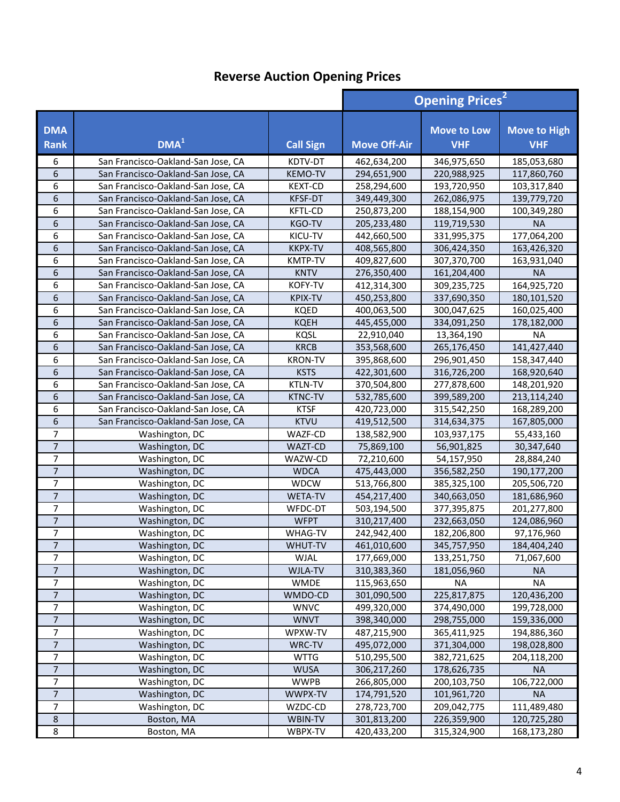|                           |                                    | <b>Opening Prices<sup>2</sup></b> |                     |                                  |                                   |
|---------------------------|------------------------------------|-----------------------------------|---------------------|----------------------------------|-----------------------------------|
| <b>DMA</b><br><b>Rank</b> | $1$                                | <b>Call Sign</b>                  | <b>Move Off-Air</b> | <b>Move to Low</b><br><b>VHF</b> | <b>Move to High</b><br><b>VHF</b> |
| 6                         | San Francisco-Oakland-San Jose, CA | KDTV-DT                           | 462,634,200         | 346,975,650                      | 185,053,680                       |
| 6                         | San Francisco-Oakland-San Jose, CA | <b>KEMO-TV</b>                    | 294,651,900         | 220,988,925                      | 117,860,760                       |
| 6                         | San Francisco-Oakland-San Jose, CA | <b>KEXT-CD</b>                    | 258,294,600         | 193,720,950                      | 103,317,840                       |
| 6                         | San Francisco-Oakland-San Jose, CA | <b>KFSF-DT</b>                    | 349,449,300         | 262,086,975                      | 139,779,720                       |
| 6                         | San Francisco-Oakland-San Jose, CA | <b>KFTL-CD</b>                    | 250,873,200         | 188,154,900                      | 100,349,280                       |
| 6                         | San Francisco-Oakland-San Jose, CA | KGO-TV                            | 205,233,480         | 119,719,530                      | <b>NA</b>                         |
| 6                         | San Francisco-Oakland-San Jose, CA | KICU-TV                           | 442,660,500         | 331,995,375                      | 177,064,200                       |
| 6                         | San Francisco-Oakland-San Jose, CA | <b>KKPX-TV</b>                    | 408,565,800         | 306,424,350                      | 163,426,320                       |
| 6                         | San Francisco-Oakland-San Jose, CA | <b>KMTP-TV</b>                    | 409,827,600         | 307,370,700                      | 163,931,040                       |
| 6                         | San Francisco-Oakland-San Jose, CA | <b>KNTV</b>                       | 276,350,400         | 161,204,400                      | <b>NA</b>                         |
| 6                         | San Francisco-Oakland-San Jose, CA | KOFY-TV                           | 412,314,300         | 309,235,725                      | 164,925,720                       |
| 6                         | San Francisco-Oakland-San Jose, CA | KPIX-TV                           | 450,253,800         | 337,690,350                      | 180,101,520                       |
| 6                         | San Francisco-Oakland-San Jose, CA | <b>KQED</b>                       | 400,063,500         | 300,047,625                      | 160,025,400                       |
| 6                         | San Francisco-Oakland-San Jose, CA | <b>KQEH</b>                       | 445,455,000         | 334,091,250                      | 178,182,000                       |
| 6                         | San Francisco-Oakland-San Jose, CA | <b>KQSL</b>                       | 22,910,040          | 13,364,190                       | <b>NA</b>                         |
| 6                         | San Francisco-Oakland-San Jose, CA | <b>KRCB</b>                       | 353,568,600         | 265,176,450                      | 141,427,440                       |
| 6                         | San Francisco-Oakland-San Jose, CA | <b>KRON-TV</b>                    | 395,868,600         | 296,901,450                      | 158,347,440                       |
| 6                         | San Francisco-Oakland-San Jose, CA | <b>KSTS</b>                       | 422,301,600         | 316,726,200                      | 168,920,640                       |
| 6                         | San Francisco-Oakland-San Jose, CA | <b>KTLN-TV</b>                    | 370,504,800         | 277,878,600                      | 148,201,920                       |
| 6                         | San Francisco-Oakland-San Jose, CA | <b>KTNC-TV</b>                    | 532,785,600         | 399,589,200                      | 213,114,240                       |
| 6                         | San Francisco-Oakland-San Jose, CA | <b>KTSF</b>                       | 420,723,000         | 315,542,250                      | 168,289,200                       |
| 6                         | San Francisco-Oakland-San Jose, CA | <b>KTVU</b>                       | 419,512,500         | 314,634,375                      | 167,805,000                       |
| 7                         | Washington, DC                     | WAZF-CD                           | 138,582,900         | 103,937,175                      | 55,433,160                        |
| $\overline{7}$            | Washington, DC                     | WAZT-CD                           | 75,869,100          | 56,901,825                       | 30,347,640                        |
| $\overline{7}$            | Washington, DC                     | WAZW-CD                           | 72,210,600          | 54,157,950                       | 28,884,240                        |
| $\overline{7}$            | Washington, DC                     | <b>WDCA</b>                       | 475,443,000         | 356,582,250                      | 190,177,200                       |
| $\overline{7}$            | Washington, DC                     | <b>WDCW</b>                       | 513,766,800         | 385,325,100                      | 205,506,720                       |
| $\overline{7}$            | Washington, DC                     | <b>WETA-TV</b>                    | 454,217,400         | 340,663,050                      | 181,686,960                       |
| 7                         | Washington, DC                     | WFDC-DT                           | 503,194,500         | 377,395,875                      | 201,277,800                       |
| $\overline{7}$            | Washington, DC                     | <b>WFPT</b>                       | 310,217,400         | 232,663,050                      | 124,086,960                       |
| $\overline{7}$            | Washington, DC                     | <b>WHAG-TV</b>                    | 242,942,400         | 182,206,800                      | 97,176,960                        |
| $\overline{7}$            | Washington, DC                     | WHUT-TV                           | 461,010,600         | 345,757,950                      | 184,404,240                       |
| 7                         | Washington, DC                     | WJAL                              | 177,669,000         | 133,251,750                      | 71,067,600                        |
| $\overline{7}$            | Washington, DC                     | WJLA-TV                           | 310,383,360         | 181,056,960                      | <b>NA</b>                         |
| $\overline{7}$            | Washington, DC                     | <b>WMDE</b>                       | 115,963,650         | ΝA                               | <b>NA</b>                         |
| $\overline{7}$            | Washington, DC                     | WMDO-CD                           | 301,090,500         | 225,817,875                      | 120,436,200                       |
| $\overline{7}$            | Washington, DC                     | <b>WNVC</b>                       | 499,320,000         | 374,490,000                      | 199,728,000                       |
| $\overline{7}$            | Washington, DC                     | <b>WNVT</b>                       | 398,340,000         | 298,755,000                      | 159,336,000                       |
| $\overline{7}$            | Washington, DC                     | WPXW-TV                           | 487,215,900         | 365,411,925                      | 194,886,360                       |
| $\overline{7}$            | Washington, DC                     | WRC-TV                            | 495,072,000         | 371,304,000                      | 198,028,800                       |
| $\overline{7}$            | Washington, DC                     | <b>WTTG</b>                       | 510,295,500         | 382,721,625                      | 204,118,200                       |
| 7                         | Washington, DC                     | <b>WUSA</b>                       | 306,217,260         | 178,626,735                      | <b>NA</b>                         |
| 7                         | Washington, DC                     | <b>WWPB</b>                       | 266,805,000         | 200,103,750                      | 106,722,000                       |
| $\overline{7}$            | Washington, DC                     | WWPX-TV                           | 174,791,520         | 101,961,720                      | <b>NA</b>                         |
| 7                         | Washington, DC                     | WZDC-CD                           | 278,723,700         | 209,042,775                      | 111,489,480                       |
| $\,$ 8 $\,$               | Boston, MA                         | WBIN-TV                           | 301,813,200         | 226,359,900                      | 120,725,280                       |
| 8                         | Boston, MA                         | WBPX-TV                           | 420,433,200         | 315,324,900                      | 168,173,280                       |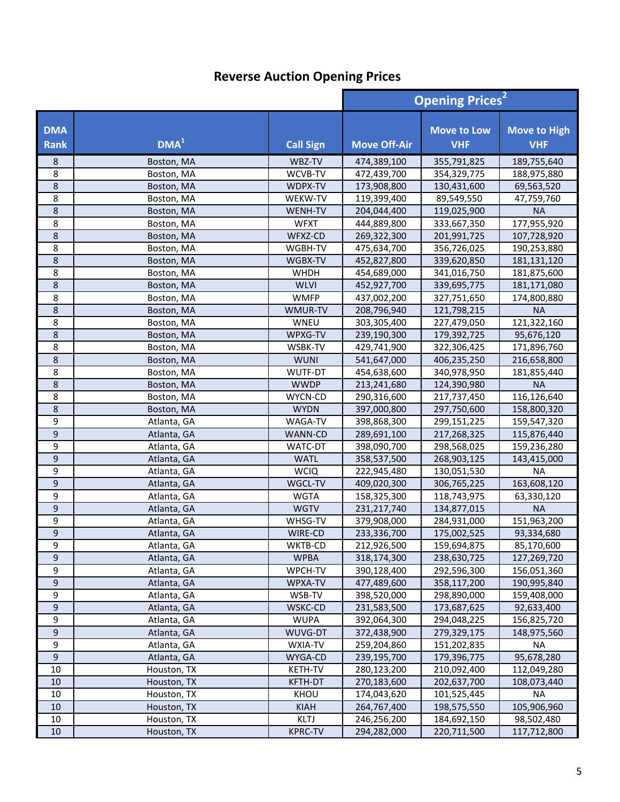|                    |                  |                  |                     | <b>Opening Prices<sup>2</sup></b> |                                   |
|--------------------|------------------|------------------|---------------------|-----------------------------------|-----------------------------------|
| <b>DMA</b><br>Rank | DMA <sup>1</sup> | <b>Call Sign</b> | <b>Move Off-Air</b> | <b>Move to Low</b><br><b>VHF</b>  | <b>Move to High</b><br><b>VHF</b> |
| 8                  | Boston, MA       | WBZ-TV           | 474,389,100         | 355,791,825                       | 189,755,640                       |
| 8                  | Boston, MA       | WCVB-TV          | 472,439,700         | 354,329,775                       | 188,975,880                       |
| 8                  | Boston, MA       | WDPX-TV          | 173,908,800         | 130,431,600                       | 69,563,520                        |
| 8                  | Boston, MA       | WEKW-TV          | 119,399,400         | 89,549,550                        | 47,759,760                        |
| 8                  | Boston, MA       | WENH-TV          | 204,044,400         | 119,025,900                       | <b>NA</b>                         |
| 8                  | Boston, MA       | <b>WFXT</b>      | 444,889,800         | 333,667,350                       | 177,955,920                       |
| 8                  | Boston, MA       | WFXZ-CD          | 269,322,300         | 201,991,725                       | 107,728,920                       |
| 8                  | Boston, MA       | WGBH-TV          | 475,634,700         | 356,726,025                       | 190,253,880                       |
| 8                  | Boston, MA       | WGBX-TV          | 452,827,800         | 339,620,850                       | 181,131,120                       |
| 8                  | Boston, MA       | <b>WHDH</b>      | 454,689,000         | 341,016,750                       | 181,875,600                       |
| 8                  | Boston, MA       | <b>WLVI</b>      | 452,927,700         | 339,695,775                       | 181,171,080                       |
| 8                  | Boston, MA       | <b>WMFP</b>      | 437,002,200         | 327,751,650                       | 174,800,880                       |
| 8                  | Boston, MA       | WMUR-TV          | 208,796,940         | 121,798,215                       | <b>NA</b>                         |
| 8                  | Boston, MA       | <b>WNEU</b>      | 303,305,400         | 227,479,050                       | 121,322,160                       |
| 8                  | Boston, MA       | WPXG-TV          | 239,190,300         | 179,392,725                       | 95,676,120                        |
| 8                  | Boston, MA       | WSBK-TV          | 429,741,900         | 322,306,425                       | 171,896,760                       |
| 8                  | Boston, MA       | <b>WUNI</b>      | 541,647,000         | 406,235,250                       | 216,658,800                       |
| 8                  | Boston, MA       | WUTF-DT          | 454,638,600         | 340,978,950                       | 181,855,440                       |
| 8                  | Boston, MA       | <b>WWDP</b>      | 213,241,680         | 124,390,980                       | <b>NA</b>                         |
| 8                  | Boston, MA       | WYCN-CD          | 290,316,600         | 217,737,450                       | 116,126,640                       |
| 8                  | Boston, MA       | <b>WYDN</b>      | 397,000,800         | 297,750,600                       | 158,800,320                       |
| 9                  | Atlanta, GA      | WAGA-TV          | 398,868,300         | 299,151,225                       | 159,547,320                       |
| 9                  | Atlanta, GA      | WANN-CD          | 289,691,100         | 217,268,325                       | 115,876,440                       |
| 9                  | Atlanta, GA      | WATC-DT          | 398,090,700         | 298,568,025                       | 159,236,280                       |
| 9                  | Atlanta, GA      | <b>WATL</b>      | 358,537,500         | 268,903,125                       | 143,415,000                       |
| 9                  | Atlanta, GA      | <b>WCIQ</b>      | 222,945,480         | 130,051,530                       | <b>NA</b>                         |
| 9                  | Atlanta, GA      | WGCL-TV          | 409,020,300         | 306,765,225                       | 163,608,120                       |
| 9                  | Atlanta, GA      | <b>WGTA</b>      | 158,325,300         | 118,743,975                       | 63,330,120                        |
| 9                  | Atlanta, GA      | <b>WGTV</b>      | 231,217,740         | 134,877,015                       | <b>NA</b>                         |
| 9                  | Atlanta, GA      | WHSG-TV          | 379,908,000         | 284,931,000                       | 151,963,200                       |
| 9                  | Atlanta, GA      | WIRE-CD          | 233,336,700         | 175,002,525                       | 93,334,680                        |
| 9                  | Atlanta, GA      | WKTB-CD          | 212,926,500         | 159,694,875                       | 85,170,600                        |
| 9                  | Atlanta, GA      | <b>WPBA</b>      | 318,174,300         | 238,630,725                       | 127,269,720                       |
| 9                  | Atlanta, GA      | WPCH-TV          | 390,128,400         | 292,596,300                       | 156,051,360                       |
| $\boldsymbol{9}$   | Atlanta, GA      | WPXA-TV          | 477,489,600         | 358,117,200                       | 190,995,840                       |
| 9                  | Atlanta, GA      | WSB-TV           | 398,520,000         | 298,890,000                       | 159,408,000                       |
| $\boldsymbol{9}$   | Atlanta, GA      | WSKC-CD          | 231,583,500         | 173,687,625                       | 92,633,400                        |
| 9                  | Atlanta, GA      | <b>WUPA</b>      | 392,064,300         | 294,048,225                       | 156,825,720                       |
| $\boldsymbol{9}$   | Atlanta, GA      | WUVG-DT          | 372,438,900         | 279,329,175                       | 148,975,560                       |
| 9                  | Atlanta, GA      | WXIA-TV          | 259,204,860         | 151,202,835                       | NA                                |
| 9                  | Atlanta, GA      | WYGA-CD          | 239,195,700         | 179,396,775                       | 95,678,280                        |
| 10                 | Houston, TX      | KETH-TV          | 280,123,200         | 210,092,400                       | 112,049,280                       |
| 10                 | Houston, TX      | KFTH-DT          | 270,183,600         | 202,637,700                       | 108,073,440                       |
| 10                 | Houston, TX      | KHOU             | 174,043,620         | 101,525,445                       | NA                                |
| $10\,$             | Houston, TX      | <b>KIAH</b>      | 264,767,400         | 198,575,550                       | 105,906,960                       |
| $10\,$             | Houston, TX      | KLTJ             | 246,256,200         | 184,692,150                       | 98,502,480                        |
| $10\,$             | Houston, TX      | <b>KPRC-TV</b>   | 294,282,000         | 220,711,500                       | 117,712,800                       |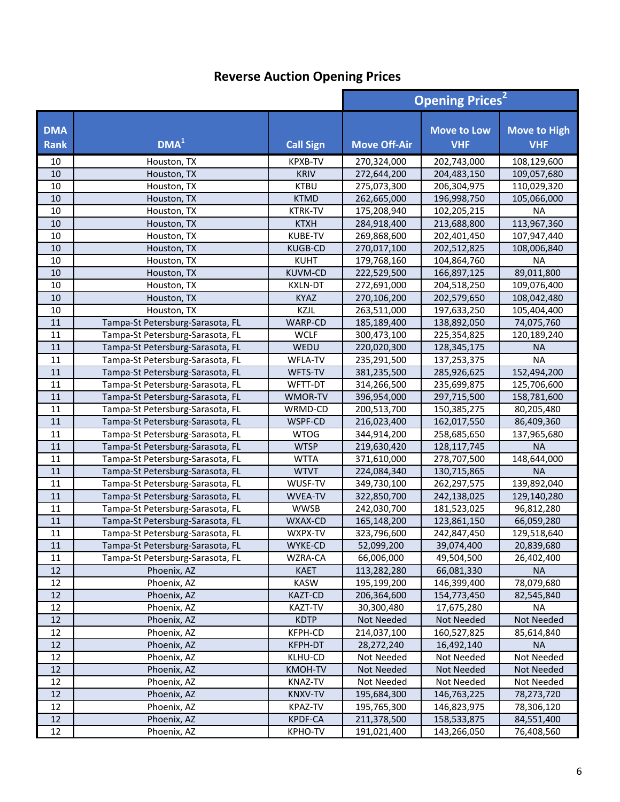|                           |                                  |                  |                     | <b>Opening Prices<sup>2</sup></b> |                                   |  |
|---------------------------|----------------------------------|------------------|---------------------|-----------------------------------|-----------------------------------|--|
| <b>DMA</b><br><b>Rank</b> | DMA <sup>1</sup>                 | <b>Call Sign</b> | <b>Move Off-Air</b> | <b>Move to Low</b><br><b>VHF</b>  | <b>Move to High</b><br><b>VHF</b> |  |
| 10                        | Houston, TX                      | <b>KPXB-TV</b>   | 270,324,000         | 202,743,000                       | 108,129,600                       |  |
| 10                        | Houston, TX                      | <b>KRIV</b>      | 272,644,200         | 204,483,150                       | 109,057,680                       |  |
| 10                        | Houston, TX                      | <b>KTBU</b>      | 275,073,300         | 206,304,975                       | 110,029,320                       |  |
| 10                        | Houston, TX                      | <b>KTMD</b>      | 262,665,000         | 196,998,750                       | 105,066,000                       |  |
| 10                        | Houston, TX                      | <b>KTRK-TV</b>   | 175,208,940         | 102,205,215                       | <b>NA</b>                         |  |
| 10                        | Houston, TX                      | <b>KTXH</b>      | 284,918,400         | 213,688,800                       | 113,967,360                       |  |
| 10                        | Houston, TX                      | <b>KUBE-TV</b>   | 269,868,600         | 202,401,450                       | 107,947,440                       |  |
| 10                        | Houston, TX                      | <b>KUGB-CD</b>   | 270,017,100         | 202,512,825                       | 108,006,840                       |  |
| 10                        | Houston, TX                      | <b>KUHT</b>      | 179,768,160         | 104,864,760                       | <b>NA</b>                         |  |
| 10                        | Houston, TX                      | <b>KUVM-CD</b>   | 222,529,500         | 166,897,125                       | 89,011,800                        |  |
| 10                        | Houston, TX                      | <b>KXLN-DT</b>   | 272,691,000         | 204,518,250                       | 109,076,400                       |  |
| 10                        | Houston, TX                      | <b>KYAZ</b>      | 270,106,200         | 202,579,650                       | 108,042,480                       |  |
| 10                        | Houston, TX                      | <b>KZJL</b>      | 263,511,000         | 197,633,250                       | 105,404,400                       |  |
| 11                        | Tampa-St Petersburg-Sarasota, FL | WARP-CD          | 185,189,400         | 138,892,050                       | 74,075,760                        |  |
| 11                        | Tampa-St Petersburg-Sarasota, FL | <b>WCLF</b>      | 300,473,100         | 225,354,825                       | 120,189,240                       |  |
| 11                        | Tampa-St Petersburg-Sarasota, FL | WEDU             | 220,020,300         | 128,345,175                       | <b>NA</b>                         |  |
| 11                        | Tampa-St Petersburg-Sarasota, FL | WFLA-TV          | 235,291,500         | 137,253,375                       | <b>NA</b>                         |  |
| 11                        | Tampa-St Petersburg-Sarasota, FL | WFTS-TV          | 381,235,500         | 285,926,625                       | 152,494,200                       |  |
| $11\,$                    | Tampa-St Petersburg-Sarasota, FL | WFTT-DT          | 314,266,500         | 235,699,875                       | 125,706,600                       |  |
| 11                        | Tampa-St Petersburg-Sarasota, FL | WMOR-TV          | 396,954,000         | 297,715,500                       | 158,781,600                       |  |
| 11                        | Tampa-St Petersburg-Sarasota, FL | WRMD-CD          | 200,513,700         | 150,385,275                       | 80,205,480                        |  |
| 11                        | Tampa-St Petersburg-Sarasota, FL | WSPF-CD          | 216,023,400         | 162,017,550                       | 86,409,360                        |  |
| 11                        | Tampa-St Petersburg-Sarasota, FL | <b>WTOG</b>      | 344,914,200         | 258,685,650                       | 137,965,680                       |  |
| 11                        | Tampa-St Petersburg-Sarasota, FL | <b>WTSP</b>      | 219,630,420         | 128,117,745                       | <b>NA</b>                         |  |
| $11\,$                    | Tampa-St Petersburg-Sarasota, FL | <b>WTTA</b>      | 371,610,000         | 278,707,500                       | 148,644,000                       |  |
| 11                        | Tampa-St Petersburg-Sarasota, FL | <b>WTVT</b>      | 224,084,340         | 130,715,865                       | <b>NA</b>                         |  |
| 11                        | Tampa-St Petersburg-Sarasota, FL | WUSF-TV          | 349,730,100         | 262,297,575                       | 139,892,040                       |  |
| 11                        | Tampa-St Petersburg-Sarasota, FL | <b>WVEA-TV</b>   | 322,850,700         | 242,138,025                       | 129,140,280                       |  |
| 11                        | Tampa-St Petersburg-Sarasota, FL | <b>WWSB</b>      | 242,030,700         | 181,523,025                       | 96,812,280                        |  |
| 11                        | Tampa-St Petersburg-Sarasota, FL | WXAX-CD          | 165,148,200         | 123,861,150                       | 66,059,280                        |  |
| 11                        | Tampa-St Petersburg-Sarasota, FL | WXPX-TV          | 323,796,600         | 242,847,450                       | 129,518,640                       |  |
| 11                        | Tampa-St Petersburg-Sarasota, FL | WYKE-CD          | 52,099,200          | 39,074,400                        | 20,839,680                        |  |
| 11                        | Tampa-St Petersburg-Sarasota, FL | WZRA-CA          | 66,006,000          | 49,504,500                        | 26,402,400                        |  |
| 12                        | Phoenix, AZ                      | <b>KAET</b>      | 113,282,280         | 66,081,330                        | <b>NA</b>                         |  |
| 12                        | Phoenix, AZ                      | <b>KASW</b>      | 195,199,200         | 146,399,400                       | 78,079,680                        |  |
| 12                        | Phoenix, AZ                      | <b>KAZT-CD</b>   | 206,364,600         | 154,773,450                       | 82,545,840                        |  |
| 12                        | Phoenix, AZ                      | KAZT-TV          | 30,300,480          | 17,675,280                        | ΝA                                |  |
| 12                        | Phoenix, AZ                      | <b>KDTP</b>      | Not Needed          | Not Needed                        | <b>Not Needed</b>                 |  |
| 12                        | Phoenix, AZ                      | KFPH-CD          | 214,037,100         | 160,527,825                       | 85,614,840                        |  |
| 12                        | Phoenix, AZ                      | KFPH-DT          | 28,272,240          | 16,492,140                        | <b>NA</b>                         |  |
| 12                        | Phoenix, AZ                      | KLHU-CD          | Not Needed          | Not Needed                        | Not Needed                        |  |
| 12                        | Phoenix, AZ                      | KMOH-TV          | Not Needed          | Not Needed                        | Not Needed                        |  |
| 12                        | Phoenix, AZ                      | KNAZ-TV          | Not Needed          | Not Needed                        | Not Needed                        |  |
| $12\,$                    | Phoenix, AZ                      | <b>KNXV-TV</b>   | 195,684,300         | 146,763,225                       | 78,273,720                        |  |
| 12                        | Phoenix, AZ                      | KPAZ-TV          | 195,765,300         | 146,823,975                       | 78,306,120                        |  |
| 12                        | Phoenix, AZ                      | KPDF-CA          | 211,378,500         | 158,533,875                       | 84,551,400                        |  |
| 12                        | Phoenix, AZ                      | KPHO-TV          | 191,021,400         | 143,266,050                       | 76,408,560                        |  |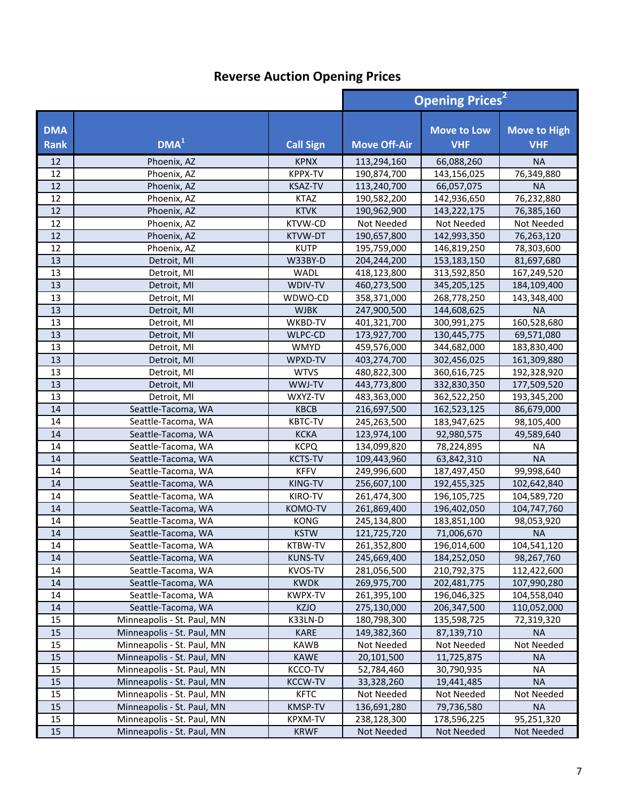|                    |                            |                  | <b>Opening Prices<sup>2</sup></b> |                                  |                                   |
|--------------------|----------------------------|------------------|-----------------------------------|----------------------------------|-----------------------------------|
| <b>DMA</b><br>Rank | DMA <sup>1</sup>           | <b>Call Sign</b> | <b>Move Off-Air</b>               | <b>Move to Low</b><br><b>VHF</b> | <b>Move to High</b><br><b>VHF</b> |
| 12                 | Phoenix, AZ                | <b>KPNX</b>      | 113,294,160                       | 66,088,260                       | <b>NA</b>                         |
| 12                 | Phoenix, AZ                | <b>KPPX-TV</b>   | 190,874,700                       | 143,156,025                      | 76,349,880                        |
| 12                 | Phoenix, AZ                | <b>KSAZ-TV</b>   | 113,240,700                       | 66,057,075                       | <b>NA</b>                         |
| 12                 | Phoenix, AZ                | <b>KTAZ</b>      | 190,582,200                       | 142,936,650                      | 76,232,880                        |
| 12                 | Phoenix, AZ                | <b>KTVK</b>      | 190,962,900                       | 143,222,175                      | 76,385,160                        |
| 12                 | Phoenix, AZ                | KTVW-CD          | Not Needed                        | Not Needed                       | Not Needed                        |
| 12                 | Phoenix, AZ                | KTVW-DT          | 190,657,800                       | 142,993,350                      | 76,263,120                        |
| 12                 | Phoenix, AZ                | <b>KUTP</b>      | 195,759,000                       | 146,819,250                      | 78,303,600                        |
| 13                 | Detroit, MI                | W33BY-D          | 204,244,200                       | 153,183,150                      | 81,697,680                        |
| 13                 | Detroit, MI                | WADL             | 418,123,800                       | 313,592,850                      | 167,249,520                       |
| 13                 | Detroit, MI                | WDIV-TV          | 460,273,500                       | 345,205,125                      | 184,109,400                       |
| 13                 | Detroit, MI                | WDWO-CD          | 358,371,000                       | 268,778,250                      | 143,348,400                       |
| 13                 | Detroit, MI                | <b>WJBK</b>      | 247,900,500                       | 144,608,625                      | <b>NA</b>                         |
| 13                 | Detroit, MI                | WKBD-TV          | 401,321,700                       | 300,991,275                      | 160,528,680                       |
| 13                 | Detroit, MI                | WLPC-CD          | 173,927,700                       | 130,445,775                      | 69,571,080                        |
| 13                 | Detroit, MI                | <b>WMYD</b>      | 459,576,000                       | 344,682,000                      | 183,830,400                       |
| 13                 | Detroit, MI                | WPXD-TV          | 403,274,700                       | 302,456,025                      | 161,309,880                       |
| 13                 | Detroit, MI                | <b>WTVS</b>      | 480,822,300                       | 360,616,725                      | 192,328,920                       |
| 13                 | Detroit, MI                | WWJ-TV           | 443,773,800                       | 332,830,350                      | 177,509,520                       |
| 13                 | Detroit, MI                | WXYZ-TV          | 483,363,000                       | 362,522,250                      | 193,345,200                       |
| 14                 | Seattle-Tacoma, WA         | <b>KBCB</b>      | 216,697,500                       | 162,523,125                      | 86,679,000                        |
| 14                 | Seattle-Tacoma, WA         | <b>KBTC-TV</b>   | 245,263,500                       | 183,947,625                      | 98,105,400                        |
| 14                 | Seattle-Tacoma, WA         | <b>KCKA</b>      | 123,974,100                       | 92,980,575                       | 49,589,640                        |
| 14                 | Seattle-Tacoma, WA         | <b>KCPQ</b>      | 134,099,820                       | 78,224,895                       | <b>NA</b>                         |
| 14                 | Seattle-Tacoma, WA         | <b>KCTS-TV</b>   | 109,443,960                       | 63,842,310                       | <b>NA</b>                         |
| 14                 | Seattle-Tacoma, WA         | <b>KFFV</b>      | 249,996,600                       | 187,497,450                      | 99,998,640                        |
| 14                 | Seattle-Tacoma, WA         | KING-TV          | 256,607,100                       | 192,455,325                      | 102,642,840                       |
| 14                 | Seattle-Tacoma, WA         | KIRO-TV          | 261,474,300                       | 196,105,725                      | 104,589,720                       |
| 14                 | Seattle-Tacoma, WA         | KOMO-TV          | 261,869,400                       | 196,402,050                      | 104,747,760                       |
| 14                 | Seattle-Tacoma, WA         | <b>KONG</b>      | 245,134,800                       | 183,851,100                      | 98,053,920                        |
| 14                 | Seattle-Tacoma, WA         | <b>KSTW</b>      | 121,725,720                       | 71,006,670                       | <b>NA</b>                         |
| 14                 | Seattle-Tacoma, WA         | KTBW-TV          | 261,352,800                       | 196,014,600                      | 104,541,120                       |
| 14                 | Seattle-Tacoma, WA         | <b>KUNS-TV</b>   | 245,669,400                       | 184,252,050                      | 98,267,760                        |
| 14                 | Seattle-Tacoma, WA         | <b>KVOS-TV</b>   | 281,056,500                       | 210,792,375                      | 112,422,600                       |
| 14                 | Seattle-Tacoma, WA         | <b>KWDK</b>      | 269,975,700                       | 202,481,775                      | 107,990,280                       |
| 14                 | Seattle-Tacoma, WA         | <b>KWPX-TV</b>   | 261,395,100                       | 196,046,325                      | 104,558,040                       |
| 14                 | Seattle-Tacoma, WA         | <b>KZJO</b>      | 275,130,000                       | 206,347,500                      | 110,052,000                       |
| 15                 | Minneapolis - St. Paul, MN | K33LN-D          | 180,798,300                       | 135,598,725                      | 72,319,320                        |
| $15\,$             | Minneapolis - St. Paul, MN | <b>KARE</b>      | 149,382,360                       | 87,139,710                       | <b>NA</b>                         |
| 15                 | Minneapolis - St. Paul, MN | <b>KAWB</b>      | Not Needed                        | Not Needed                       | Not Needed                        |
| 15                 | Minneapolis - St. Paul, MN | <b>KAWE</b>      | 20,101,500                        | 11,725,875                       | <b>NA</b>                         |
| 15                 | Minneapolis - St. Paul, MN | KCCO-TV          | 52,784,460                        | 30,790,935                       | NA                                |
| 15                 | Minneapolis - St. Paul, MN | <b>KCCW-TV</b>   | 33,328,260                        | 19,441,485                       | <b>NA</b>                         |
| 15                 | Minneapolis - St. Paul, MN | <b>KFTC</b>      | Not Needed                        | Not Needed                       | Not Needed                        |
| $15\,$             | Minneapolis - St. Paul, MN | KMSP-TV          | 136,691,280                       | 79,736,580                       | <b>NA</b>                         |
| 15                 | Minneapolis - St. Paul, MN | KPXM-TV          | 238,128,300                       | 178,596,225                      | 95,251,320                        |
| 15                 | Minneapolis - St. Paul, MN | <b>KRWF</b>      | Not Needed                        | Not Needed                       | Not Needed                        |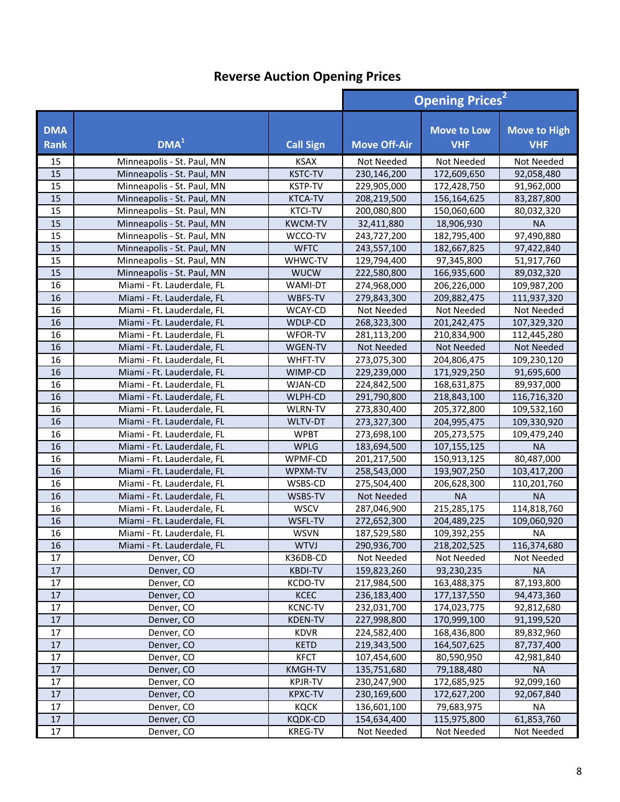|                           |                            |                            | <b>Opening Prices<sup>2</sup></b> |                                  |                                   |
|---------------------------|----------------------------|----------------------------|-----------------------------------|----------------------------------|-----------------------------------|
| <b>DMA</b><br><b>Rank</b> | DMA <sup>1</sup>           | <b>Call Sign</b>           | <b>Move Off-Air</b>               | <b>Move to Low</b><br><b>VHF</b> | <b>Move to High</b><br><b>VHF</b> |
| 15                        | Minneapolis - St. Paul, MN | <b>KSAX</b>                | Not Needed                        | Not Needed                       | Not Needed                        |
| 15                        | Minneapolis - St. Paul, MN | <b>KSTC-TV</b>             | 230,146,200                       | 172,609,650                      | 92,058,480                        |
| 15                        | Minneapolis - St. Paul, MN | <b>KSTP-TV</b>             | 229,905,000                       | 172,428,750                      | 91,962,000                        |
| 15                        | Minneapolis - St. Paul, MN | <b>KTCA-TV</b>             | 208,219,500                       | 156,164,625                      | 83,287,800                        |
| 15                        | Minneapolis - St. Paul, MN | <b>KTCI-TV</b>             | 200,080,800                       | 150,060,600                      | 80,032,320                        |
| 15                        | Minneapolis - St. Paul, MN | <b>KWCM-TV</b>             | 32,411,880                        | 18,906,930                       | <b>NA</b>                         |
| 15                        | Minneapolis - St. Paul, MN | WCCO-TV                    | 243,727,200                       | 182,795,400                      | 97,490,880                        |
| 15                        | Minneapolis - St. Paul, MN | <b>WFTC</b>                | 243,557,100                       | 182,667,825                      | 97,422,840                        |
| 15                        | Minneapolis - St. Paul, MN | WHWC-TV                    | 129,794,400                       | 97,345,800                       | 51,917,760                        |
| 15                        | Minneapolis - St. Paul, MN | <b>WUCW</b>                | 222,580,800                       | 166,935,600                      | 89,032,320                        |
| 16                        | Miami - Ft. Lauderdale, FL | <b>WAMI-DT</b>             | 274,968,000                       | 206,226,000                      | 109,987,200                       |
| 16                        | Miami - Ft. Lauderdale, FL | WBFS-TV                    | 279,843,300                       | 209,882,475                      | 111,937,320                       |
| 16                        | Miami - Ft. Lauderdale, FL | WCAY-CD                    | Not Needed                        | Not Needed                       | Not Needed                        |
| 16                        | Miami - Ft. Lauderdale, FL | WDLP-CD                    | 268,323,300                       | 201,242,475                      | 107,329,320                       |
| 16                        | Miami - Ft. Lauderdale, FL | WFOR-TV                    | 281,113,200                       | 210,834,900                      | 112,445,280                       |
| 16                        | Miami - Ft. Lauderdale, FL | WGEN-TV                    | Not Needed                        | Not Needed                       | Not Needed                        |
| 16                        | Miami - Ft. Lauderdale, FL | WHFT-TV                    | 273,075,300                       | 204,806,475                      | 109,230,120                       |
| 16                        | Miami - Ft. Lauderdale, FL | WIMP-CD                    | 229,239,000                       | 171,929,250                      | 91,695,600                        |
| 16                        | Miami - Ft. Lauderdale, FL | WJAN-CD                    | 224,842,500                       | 168,631,875                      | 89,937,000                        |
| 16                        | Miami - Ft. Lauderdale, FL | WLPH-CD                    | 291,790,800                       | 218,843,100                      | 116,716,320                       |
| 16                        | Miami - Ft. Lauderdale, FL | WLRN-TV                    | 273,830,400                       | 205,372,800                      | 109,532,160                       |
| 16                        | Miami - Ft. Lauderdale, FL | WLTV-DT                    | 273,327,300                       | 204,995,475                      | 109,330,920                       |
| 16                        | Miami - Ft. Lauderdale, FL | <b>WPBT</b>                | 273,698,100                       | 205,273,575                      | 109,479,240                       |
| 16                        | Miami - Ft. Lauderdale, FL | <b>WPLG</b>                | 183,694,500                       | 107,155,125                      | <b>NA</b>                         |
| 16                        | Miami - Ft. Lauderdale, FL | WPMF-CD                    | 201,217,500                       | 150,913,125                      | 80,487,000                        |
| 16                        | Miami - Ft. Lauderdale, FL | WPXM-TV                    | 258,543,000                       | 193,907,250                      | 103,417,200                       |
| 16                        | Miami - Ft. Lauderdale, FL | WSBS-CD                    | 275,504,400                       | 206,628,300                      | 110,201,760                       |
| 16                        | Miami - Ft. Lauderdale, FL | WSBS-TV                    | Not Needed                        | <b>NA</b>                        | <b>NA</b>                         |
| 16                        | Miami - Ft. Lauderdale, FL | <b>WSCV</b>                | 287,046,900                       | 215,285,175                      | 114,818,760                       |
| 16                        | Miami - Ft. Lauderdale, FL | WSFL-TV                    | 272,652,300                       | 204,489,225                      | 109,060,920                       |
| 16                        | Miami - Ft. Lauderdale, FL | <b>WSVN</b>                | 187,529,580                       | 109,392,255                      | <b>NA</b>                         |
| 16                        | Miami - Ft. Lauderdale, FL | <b>WTVJ</b>                | 290,936,700                       | 218,202,525                      | 116,374,680                       |
| 17<br>$17\,$              | Denver, CO                 | K36DB-CD                   | Not Needed                        | Not Needed                       | Not Needed                        |
| 17                        | Denver, CO                 | <b>KBDI-TV</b>             | 159,823,260                       | 93,230,235                       | <b>NA</b>                         |
| 17                        | Denver, CO<br>Denver, CO   | KCDO-TV<br>KCEC            | 217,984,500<br>236,183,400        | 163,488,375<br>177,137,550       | 87,193,800<br>94,473,360          |
| 17                        | Denver, CO                 | <b>KCNC-TV</b>             | 232,031,700                       | 174,023,775                      | 92,812,680                        |
| 17                        | Denver, CO                 | <b>KDEN-TV</b>             | 227,998,800                       | 170,999,100                      |                                   |
| 17                        | Denver, CO                 |                            | 224,582,400                       | 168,436,800                      | 91,199,520                        |
| 17                        | Denver, CO                 | <b>KDVR</b><br><b>KETD</b> | 219,343,500                       | 164,507,625                      | 89,832,960<br>87,737,400          |
| 17                        | Denver, CO                 | <b>KFCT</b>                |                                   |                                  |                                   |
| $17\,$                    | Denver, CO                 | KMGH-TV                    | 107,454,600<br>135,751,680        | 80,590,950<br>79,188,480         | 42,981,840<br><b>NA</b>           |
| 17                        | Denver, CO                 | <b>KPJR-TV</b>             | 230,247,900                       | 172,685,925                      | 92,099,160                        |
| 17                        | Denver, CO                 | <b>KPXC-TV</b>             | 230,169,600                       | 172,627,200                      | 92,067,840                        |
| 17                        | Denver, CO                 | <b>KQCK</b>                | 136,601,100                       | 79,683,975                       | <b>NA</b>                         |
| $17\,$                    | Denver, CO                 | <b>KQDK-CD</b>             | 154,634,400                       | 115,975,800                      | 61,853,760                        |
| 17                        | Denver, CO                 | <b>KREG-TV</b>             | Not Needed                        | Not Needed                       | Not Needed                        |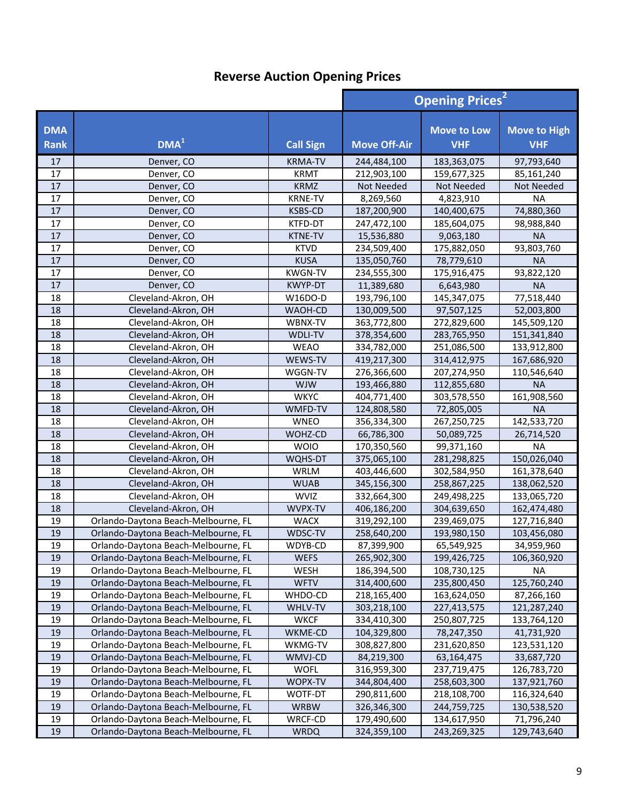|                           |                                     |                  | <b>Opening Prices<sup>2</sup></b> |                                  |                                   |
|---------------------------|-------------------------------------|------------------|-----------------------------------|----------------------------------|-----------------------------------|
| <b>DMA</b><br><b>Rank</b> | DMA <sup>1</sup>                    | <b>Call Sign</b> | <b>Move Off-Air</b>               | <b>Move to Low</b><br><b>VHF</b> | <b>Move to High</b><br><b>VHF</b> |
| 17                        | Denver, CO                          | <b>KRMA-TV</b>   | 244,484,100                       | 183,363,075                      | 97,793,640                        |
| 17                        | Denver, CO                          | <b>KRMT</b>      | 212,903,100                       | 159,677,325                      | 85,161,240                        |
| $17\,$                    | Denver, CO                          | <b>KRMZ</b>      | Not Needed                        | Not Needed                       | Not Needed                        |
| 17                        | Denver, CO                          | <b>KRNE-TV</b>   | 8,269,560                         | 4,823,910                        | <b>NA</b>                         |
| 17                        | Denver, CO                          | <b>KSBS-CD</b>   | 187,200,900                       | 140,400,675                      | 74,880,360                        |
| 17                        | Denver, CO                          | KTFD-DT          | 247,472,100                       | 185,604,075                      | 98,988,840                        |
| 17                        | Denver, CO                          | <b>KTNE-TV</b>   | 15,536,880                        | 9,063,180                        | <b>NA</b>                         |
| 17                        | Denver, CO                          | <b>KTVD</b>      | 234,509,400                       | 175,882,050                      | 93,803,760                        |
| 17                        | Denver, CO                          | <b>KUSA</b>      | 135,050,760                       | 78,779,610                       | <b>NA</b>                         |
| 17                        | Denver, CO                          | <b>KWGN-TV</b>   | 234,555,300                       | 175,916,475                      | 93,822,120                        |
| 17                        | Denver, CO                          | KWYP-DT          | 11,389,680                        | 6,643,980                        | <b>NA</b>                         |
| 18                        | Cleveland-Akron, OH                 | W16DO-D          | 193,796,100                       | 145,347,075                      | 77,518,440                        |
| 18                        | Cleveland-Akron, OH                 | WAOH-CD          | 130,009,500                       | 97,507,125                       | 52,003,800                        |
| 18                        | Cleveland-Akron, OH                 | WBNX-TV          | 363,772,800                       | 272,829,600                      | 145,509,120                       |
| 18                        | Cleveland-Akron, OH                 | <b>WDLI-TV</b>   | 378,354,600                       | 283,765,950                      | 151,341,840                       |
| 18                        | Cleveland-Akron, OH                 | <b>WEAO</b>      | 334,782,000                       | 251,086,500                      | 133,912,800                       |
| 18                        | Cleveland-Akron, OH                 | WEWS-TV          | 419,217,300                       | 314,412,975                      | 167,686,920                       |
| 18                        | Cleveland-Akron, OH                 | WGGN-TV          | 276,366,600                       | 207,274,950                      | 110,546,640                       |
| 18                        | Cleveland-Akron, OH                 | <b>WJW</b>       | 193,466,880                       | 112,855,680                      | <b>NA</b>                         |
| 18                        | Cleveland-Akron, OH                 | <b>WKYC</b>      | 404,771,400                       | 303,578,550                      | 161,908,560                       |
| 18                        | Cleveland-Akron, OH                 | WMFD-TV          | 124,808,580                       | 72,805,005                       | <b>NA</b>                         |
| 18                        | Cleveland-Akron, OH                 | <b>WNEO</b>      | 356,334,300                       | 267,250,725                      | 142,533,720                       |
| 18                        | Cleveland-Akron, OH                 | WOHZ-CD          | 66,786,300                        | 50,089,725                       | 26,714,520                        |
| 18                        | Cleveland-Akron, OH                 | <b>WOIO</b>      | 170,350,560                       | 99,371,160                       | <b>NA</b>                         |
| 18                        | Cleveland-Akron, OH                 | WQHS-DT          | 375,065,100                       | 281,298,825                      | 150,026,040                       |
| 18                        | Cleveland-Akron, OH                 | WRLM             | 403,446,600                       | 302,584,950                      | 161,378,640                       |
| 18                        | Cleveland-Akron, OH                 | <b>WUAB</b>      | 345,156,300                       | 258,867,225                      | 138,062,520                       |
| 18                        | Cleveland-Akron, OH                 | <b>WVIZ</b>      | 332,664,300                       | 249,498,225                      | 133,065,720                       |
| 18                        | Cleveland-Akron, OH                 | WVPX-TV          | 406,186,200                       | 304,639,650                      | 162,474,480                       |
| 19                        | Orlando-Daytona Beach-Melbourne, FL | <b>WACX</b>      | 319,292,100                       | 239,469,075                      | 127,716,840                       |
| 19                        | Orlando-Daytona Beach-Melbourne, FL | WDSC-TV          | 258,640,200                       | 193,980,150                      | 103,456,080                       |
| 19                        | Orlando-Daytona Beach-Melbourne, FL | WDYB-CD          | 87,399,900                        | 65,549,925                       | 34,959,960                        |
| 19                        | Orlando-Daytona Beach-Melbourne, FL | <b>WEFS</b>      | 265,902,300                       | 199,426,725                      | 106,360,920                       |
| 19                        | Orlando-Daytona Beach-Melbourne, FL | WESH             | 186,394,500                       | 108,730,125                      | <b>NA</b>                         |
| 19                        | Orlando-Daytona Beach-Melbourne, FL | <b>WFTV</b>      | 314,400,600                       | 235,800,450                      | 125,760,240                       |
| 19                        | Orlando-Daytona Beach-Melbourne, FL | WHDO-CD          | 218,165,400                       | 163,624,050                      | 87,266,160                        |
| 19                        | Orlando-Daytona Beach-Melbourne, FL | WHLV-TV          | 303,218,100                       | 227,413,575                      | 121,287,240                       |
| 19                        | Orlando-Daytona Beach-Melbourne, FL | <b>WKCF</b>      | 334,410,300                       | 250,807,725                      | 133,764,120                       |
| 19                        | Orlando-Daytona Beach-Melbourne, FL | WKME-CD          | 104,329,800                       | 78,247,350                       | 41,731,920                        |
| 19                        | Orlando-Daytona Beach-Melbourne, FL | WKMG-TV          | 308,827,800                       | 231,620,850                      | 123,531,120                       |
| 19                        | Orlando-Daytona Beach-Melbourne, FL | WMVJ-CD          | 84,219,300                        | 63,164,475                       | 33,687,720                        |
| 19                        | Orlando-Daytona Beach-Melbourne, FL | <b>WOFL</b>      | 316,959,300                       | 237,719,475                      | 126,783,720                       |
| 19                        | Orlando-Daytona Beach-Melbourne, FL | WOPX-TV          | 344,804,400                       | 258,603,300                      | 137,921,760                       |
| 19                        | Orlando-Daytona Beach-Melbourne, FL | WOTF-DT          | 290,811,600                       | 218,108,700                      | 116,324,640                       |
| 19                        | Orlando-Daytona Beach-Melbourne, FL | <b>WRBW</b>      | 326,346,300                       | 244,759,725                      | 130,538,520                       |
| 19                        | Orlando-Daytona Beach-Melbourne, FL | WRCF-CD          | 179,490,600                       | 134,617,950                      | 71,796,240                        |
| 19                        | Orlando-Daytona Beach-Melbourne, FL | <b>WRDQ</b>      | 324,359,100                       | 243,269,325                      | 129,743,640                       |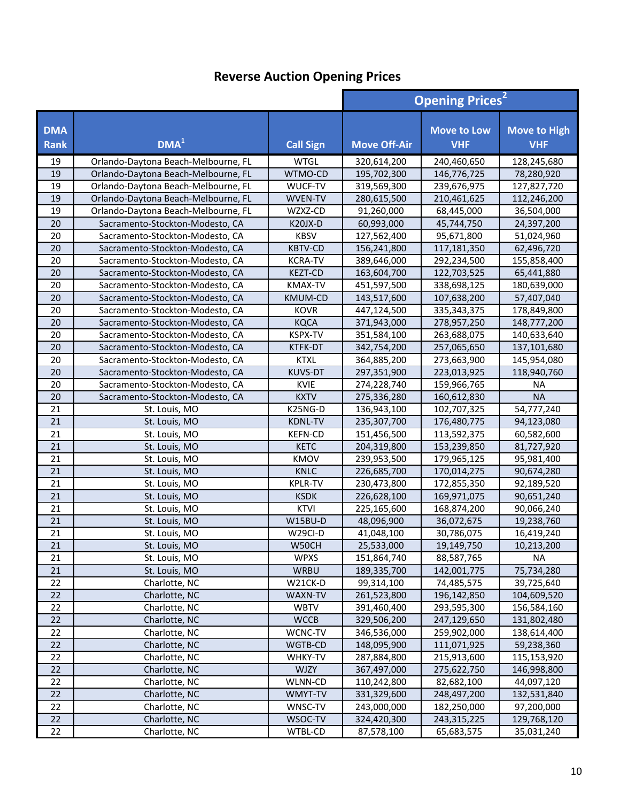|                           |                                     | <b>Opening Prices<sup>2</sup></b> |                            |                                  |                                   |
|---------------------------|-------------------------------------|-----------------------------------|----------------------------|----------------------------------|-----------------------------------|
| <b>DMA</b><br><b>Rank</b> | DMA <sup>1</sup>                    | <b>Call Sign</b>                  | <b>Move Off-Air</b>        | <b>Move to Low</b><br><b>VHF</b> | <b>Move to High</b><br><b>VHF</b> |
| 19                        | Orlando-Daytona Beach-Melbourne, FL | <b>WTGL</b>                       | 320,614,200                | 240,460,650                      | 128,245,680                       |
| 19                        | Orlando-Daytona Beach-Melbourne, FL | WTMO-CD                           | 195,702,300                | 146,776,725                      | 78,280,920                        |
| 19                        | Orlando-Daytona Beach-Melbourne, FL | WUCF-TV                           | 319,569,300                | 239,676,975                      | 127,827,720                       |
| 19                        | Orlando-Daytona Beach-Melbourne, FL | <b>WVEN-TV</b>                    | 280,615,500                | 210,461,625                      | 112,246,200                       |
| 19                        | Orlando-Daytona Beach-Melbourne, FL | WZXZ-CD                           | 91,260,000                 | 68,445,000                       | 36,504,000                        |
| 20                        | Sacramento-Stockton-Modesto, CA     | <b>K20JX-D</b>                    | 60,993,000                 | 45,744,750                       | 24,397,200                        |
| 20                        | Sacramento-Stockton-Modesto, CA     | <b>KBSV</b>                       | 127,562,400                | 95,671,800                       | 51,024,960                        |
| 20                        | Sacramento-Stockton-Modesto, CA     | <b>KBTV-CD</b>                    | 156,241,800                | 117,181,350                      | 62,496,720                        |
| 20                        | Sacramento-Stockton-Modesto, CA     | <b>KCRA-TV</b>                    | 389,646,000                | 292,234,500                      | 155,858,400                       |
| 20                        | Sacramento-Stockton-Modesto, CA     | <b>KEZT-CD</b>                    | 163,604,700                | 122,703,525                      | 65,441,880                        |
| 20                        | Sacramento-Stockton-Modesto, CA     | KMAX-TV                           | 451,597,500                | 338,698,125                      | 180,639,000                       |
| 20                        | Sacramento-Stockton-Modesto, CA     | KMUM-CD                           | 143,517,600                | 107,638,200                      | 57,407,040                        |
| 20                        | Sacramento-Stockton-Modesto, CA     | <b>KOVR</b>                       | 447,124,500                | 335, 343, 375                    | 178,849,800                       |
| 20                        | Sacramento-Stockton-Modesto, CA     | <b>KQCA</b>                       | 371,943,000                | 278,957,250                      | 148,777,200                       |
| 20                        | Sacramento-Stockton-Modesto, CA     | KSPX-TV                           | 351,584,100                | 263,688,075                      | 140,633,640                       |
| 20                        | Sacramento-Stockton-Modesto, CA     | KTFK-DT                           | 342,754,200                | 257,065,650                      | 137,101,680                       |
| 20                        | Sacramento-Stockton-Modesto, CA     | <b>KTXL</b>                       | 364,885,200                | 273,663,900                      | 145,954,080                       |
| 20                        | Sacramento-Stockton-Modesto, CA     | <b>KUVS-DT</b>                    | 297,351,900                | 223,013,925                      | 118,940,760                       |
| 20                        | Sacramento-Stockton-Modesto, CA     | <b>KVIE</b>                       | 274,228,740                | 159,966,765                      | <b>NA</b>                         |
| 20                        | Sacramento-Stockton-Modesto, CA     | <b>KXTV</b>                       | 275,336,280                | 160,612,830                      | <b>NA</b>                         |
| 21                        | St. Louis, MO                       | K25NG-D                           | 136,943,100                | 102,707,325                      | 54,777,240                        |
| 21                        | St. Louis, MO                       | <b>KDNL-TV</b>                    | 235,307,700                | 176,480,775                      | 94,123,080                        |
| 21                        | St. Louis, MO                       | <b>KEFN-CD</b>                    | 151,456,500                | 113,592,375                      | 60,582,600                        |
| 21                        | St. Louis, MO                       | <b>KETC</b>                       | 204,319,800                | 153,239,850                      | 81,727,920                        |
| 21                        | St. Louis, MO                       | KMOV                              | 239,953,500                | 179,965,125                      | 95,981,400                        |
| 21                        | St. Louis, MO                       | <b>KNLC</b>                       | 226,685,700                | 170,014,275                      | 90,674,280                        |
| 21                        | St. Louis, MO                       | <b>KPLR-TV</b>                    | 230,473,800                | 172,855,350                      | 92,189,520                        |
| 21                        | St. Louis, MO                       | <b>KSDK</b>                       | 226,628,100                | 169,971,075                      | 90,651,240                        |
| 21                        | St. Louis, MO                       | <b>KTVI</b>                       | 225,165,600                | 168,874,200                      | 90,066,240                        |
| 21                        | St. Louis, MO                       | W15BU-D                           | 48,096,900                 | 36,072,675                       | 19,238,760                        |
| 21                        | St. Louis, MO                       | W29CI-D                           | 41,048,100                 | 30,786,075                       | 16,419,240                        |
| 21                        | St. Louis, MO                       | W50CH                             | 25,533,000                 | 19,149,750                       | 10,213,200                        |
| 21                        | St. Louis, MO                       | <b>WPXS</b>                       | 151,864,740                | 88,587,765                       | NA                                |
| 21                        | St. Louis, MO                       | <b>WRBU</b>                       | 189,335,700                | 142,001,775                      | 75,734,280                        |
| 22                        | Charlotte, NC                       | W21CK-D                           | 99,314,100                 | 74,485,575                       | 39,725,640                        |
| 22                        | Charlotte, NC                       | WAXN-TV                           | 261,523,800                | 196,142,850                      | 104,609,520                       |
| 22                        | Charlotte, NC                       | <b>WBTV</b>                       | 391,460,400                | 293,595,300                      | 156,584,160                       |
| 22                        | Charlotte, NC                       | <b>WCCB</b>                       | 329,506,200                | 247,129,650                      | 131,802,480                       |
| 22                        | Charlotte, NC                       | WCNC-TV                           | 346,536,000                | 259,902,000                      | 138,614,400                       |
| 22                        | Charlotte, NC                       | WGTB-CD                           | 148,095,900                | 111,071,925                      | 59,238,360                        |
| 22<br>22                  | Charlotte, NC                       | WHKY-TV                           | 287,884,800                | 215,913,600                      | 115,153,920                       |
| 22                        | Charlotte, NC                       | <b>WJZY</b>                       | 367,497,000                | 275,622,750                      | 146,998,800                       |
| 22                        | Charlotte, NC<br>Charlotte, NC      | WLNN-CD<br>WMYT-TV                | 110,242,800<br>331,329,600 | 82,682,100<br>248,497,200        | 44,097,120<br>132,531,840         |
| 22                        | Charlotte, NC                       | WNSC-TV                           | 243,000,000                | 182,250,000                      | 97,200,000                        |
| 22                        | Charlotte, NC                       | WSOC-TV                           | 324,420,300                | 243,315,225                      | 129,768,120                       |
| 22                        | Charlotte, NC                       | WTBL-CD                           | 87,578,100                 | 65,683,575                       | 35,031,240                        |
|                           |                                     |                                   |                            |                                  |                                   |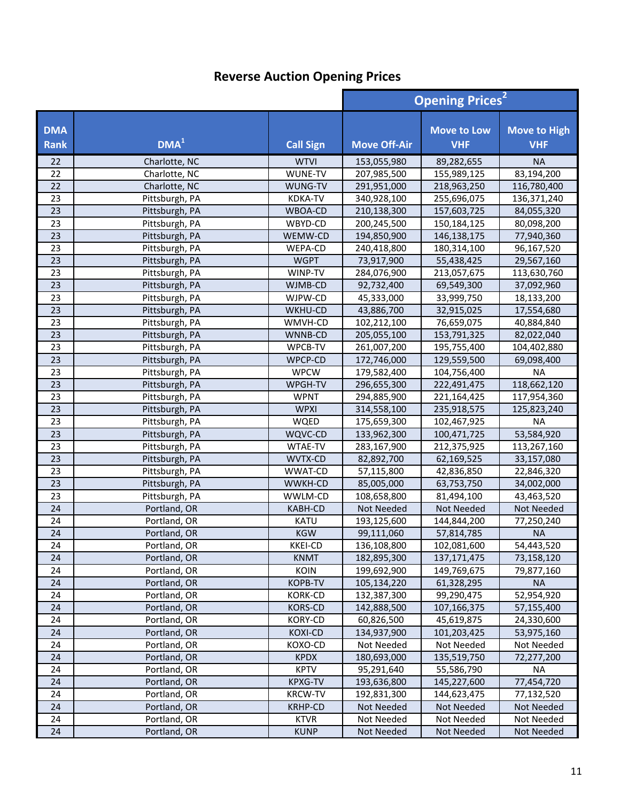|                           |                  |                  |                     | <b>Opening Prices<sup>2</sup></b> |                                   |  |
|---------------------------|------------------|------------------|---------------------|-----------------------------------|-----------------------------------|--|
| <b>DMA</b><br><b>Rank</b> | DMA <sup>1</sup> | <b>Call Sign</b> | <b>Move Off-Air</b> | <b>Move to Low</b><br><b>VHF</b>  | <b>Move to High</b><br><b>VHF</b> |  |
| 22                        | Charlotte, NC    | <b>WTVI</b>      | 153,055,980         | 89,282,655                        | <b>NA</b>                         |  |
| 22                        | Charlotte, NC    | WUNE-TV          | 207,985,500         | 155,989,125                       | 83,194,200                        |  |
| 22                        | Charlotte, NC    | WUNG-TV          | 291,951,000         | 218,963,250                       | 116,780,400                       |  |
| 23                        | Pittsburgh, PA   | <b>KDKA-TV</b>   | 340,928,100         | 255,696,075                       | 136,371,240                       |  |
| 23                        | Pittsburgh, PA   | WBOA-CD          | 210,138,300         | 157,603,725                       | 84,055,320                        |  |
| 23                        | Pittsburgh, PA   | WBYD-CD          | 200,245,500         | 150,184,125                       | 80,098,200                        |  |
| 23                        | Pittsburgh, PA   | WEMW-CD          | 194,850,900         | 146, 138, 175                     | 77,940,360                        |  |
| 23                        | Pittsburgh, PA   | WEPA-CD          | 240,418,800         | 180,314,100                       | 96,167,520                        |  |
| 23                        | Pittsburgh, PA   | <b>WGPT</b>      | 73,917,900          | 55,438,425                        | 29,567,160                        |  |
| 23                        | Pittsburgh, PA   | WINP-TV          | 284,076,900         | 213,057,675                       | 113,630,760                       |  |
| 23                        | Pittsburgh, PA   | WJMB-CD          | 92,732,400          | 69,549,300                        | 37,092,960                        |  |
| 23                        | Pittsburgh, PA   | WJPW-CD          | 45,333,000          | 33,999,750                        | 18,133,200                        |  |
| 23                        | Pittsburgh, PA   | WKHU-CD          | 43,886,700          | 32,915,025                        | 17,554,680                        |  |
| 23                        | Pittsburgh, PA   | WMVH-CD          | 102,212,100         | 76,659,075                        | 40,884,840                        |  |
| 23                        | Pittsburgh, PA   | WNNB-CD          | 205,055,100         | 153,791,325                       | 82,022,040                        |  |
| 23                        | Pittsburgh, PA   | WPCB-TV          | 261,007,200         | 195,755,400                       | 104,402,880                       |  |
| 23                        | Pittsburgh, PA   | WPCP-CD          | 172,746,000         | 129,559,500                       | 69,098,400                        |  |
| 23                        | Pittsburgh, PA   | <b>WPCW</b>      | 179,582,400         | 104,756,400                       | <b>NA</b>                         |  |
| 23                        | Pittsburgh, PA   | WPGH-TV          | 296,655,300         | 222,491,475                       | 118,662,120                       |  |
| 23                        | Pittsburgh, PA   | <b>WPNT</b>      | 294,885,900         | 221,164,425                       | 117,954,360                       |  |
| 23                        | Pittsburgh, PA   | <b>WPXI</b>      | 314,558,100         | 235,918,575                       | 125,823,240                       |  |
| 23                        | Pittsburgh, PA   | WQED             | 175,659,300         | 102,467,925                       | <b>NA</b>                         |  |
| 23                        | Pittsburgh, PA   | WQVC-CD          | 133,962,300         | 100,471,725                       | 53,584,920                        |  |
| 23                        | Pittsburgh, PA   | WTAE-TV          | 283,167,900         | 212,375,925                       | 113,267,160                       |  |
| 23                        | Pittsburgh, PA   | WVTX-CD          | 82,892,700          | 62,169,525                        | 33,157,080                        |  |
| 23                        | Pittsburgh, PA   | WWAT-CD          | 57,115,800          | 42,836,850                        | 22,846,320                        |  |
| 23                        | Pittsburgh, PA   | WWKH-CD          | 85,005,000          | 63,753,750                        | 34,002,000                        |  |
| 23                        | Pittsburgh, PA   | WWLM-CD          | 108,658,800         | 81,494,100                        | 43,463,520                        |  |
| 24                        | Portland, OR     | KABH-CD          | Not Needed          | Not Needed                        | Not Needed                        |  |
| 24                        | Portland, OR     | <b>KATU</b>      | 193,125,600         | 144,844,200                       | 77,250,240                        |  |
| 24                        | Portland, OR     | <b>KGW</b>       | 99,111,060          | 57,814,785                        | <b>NA</b>                         |  |
| 24                        | Portland, OR     | <b>KKEI-CD</b>   | 136,108,800         | 102,081,600                       | 54,443,520                        |  |
| 24                        | Portland, OR     | <b>KNMT</b>      | 182,895,300         | 137, 171, 475                     | 73,158,120                        |  |
| 24                        | Portland, OR     | KOIN             | 199,692,900         | 149,769,675                       | 79,877,160                        |  |
| 24                        | Portland, OR     | <b>KOPB-TV</b>   | 105,134,220         | 61,328,295                        | <b>NA</b>                         |  |
| 24                        | Portland, OR     | <b>KORK-CD</b>   | 132,387,300         | 99,290,475                        | 52,954,920                        |  |
| 24                        | Portland, OR     | <b>KORS-CD</b>   | 142,888,500         | 107,166,375                       | 57,155,400                        |  |
| 24                        | Portland, OR     | KORY-CD          | 60,826,500          | 45,619,875                        | 24,330,600                        |  |
| 24                        | Portland, OR     | <b>KOXI-CD</b>   | 134,937,900         | 101,203,425                       | 53,975,160                        |  |
| 24                        | Portland, OR     | KOXO-CD          | Not Needed          | Not Needed                        | Not Needed                        |  |
| 24                        | Portland, OR     | <b>KPDX</b>      | 180,693,000         | 135,519,750                       | 72,277,200                        |  |
| 24                        | Portland, OR     | <b>KPTV</b>      | 95,291,640          | 55,586,790                        | <b>NA</b>                         |  |
| 24                        | Portland, OR     | <b>KPXG-TV</b>   | 193,636,800         | 145,227,600                       | 77,454,720                        |  |
| 24                        | Portland, OR     | <b>KRCW-TV</b>   | 192,831,300         | 144,623,475                       | 77,132,520                        |  |
| 24                        | Portland, OR     | <b>KRHP-CD</b>   | Not Needed          | Not Needed                        | Not Needed                        |  |
| 24                        | Portland, OR     | <b>KTVR</b>      | Not Needed          | Not Needed                        | Not Needed                        |  |
| 24                        | Portland, OR     | <b>KUNP</b>      | Not Needed          | Not Needed                        | Not Needed                        |  |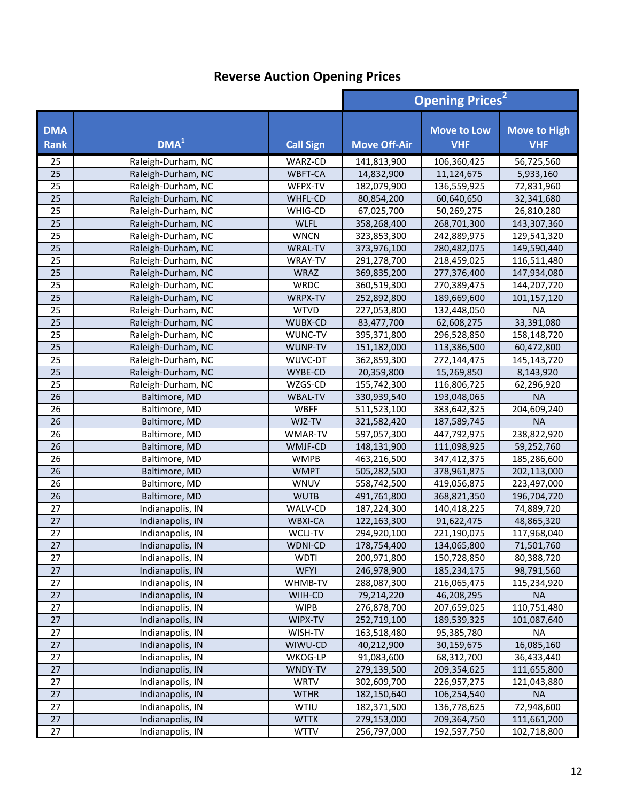|                           |                    |                  |                     | <b>Opening Prices<sup>2</sup></b> |                                   |  |
|---------------------------|--------------------|------------------|---------------------|-----------------------------------|-----------------------------------|--|
| <b>DMA</b><br><b>Rank</b> | DMA <sup>1</sup>   | <b>Call Sign</b> | <b>Move Off-Air</b> | <b>Move to Low</b><br><b>VHF</b>  | <b>Move to High</b><br><b>VHF</b> |  |
| 25                        | Raleigh-Durham, NC | WARZ-CD          | 141,813,900         | 106,360,425                       | 56,725,560                        |  |
| 25                        | Raleigh-Durham, NC | WBFT-CA          | 14,832,900          | 11,124,675                        | 5,933,160                         |  |
| 25                        | Raleigh-Durham, NC | WFPX-TV          | 182,079,900         | 136,559,925                       | 72,831,960                        |  |
| 25                        | Raleigh-Durham, NC | WHFL-CD          | 80,854,200          | 60,640,650                        | 32,341,680                        |  |
| 25                        | Raleigh-Durham, NC | WHIG-CD          | 67,025,700          | 50,269,275                        | 26,810,280                        |  |
| 25                        | Raleigh-Durham, NC | <b>WLFL</b>      | 358,268,400         | 268,701,300                       | 143,307,360                       |  |
| 25                        | Raleigh-Durham, NC | <b>WNCN</b>      | 323,853,300         | 242,889,975                       | 129,541,320                       |  |
| 25                        | Raleigh-Durham, NC | <b>WRAL-TV</b>   | 373,976,100         | 280,482,075                       | 149,590,440                       |  |
| 25                        | Raleigh-Durham, NC | WRAY-TV          | 291,278,700         | 218,459,025                       | 116,511,480                       |  |
| 25                        | Raleigh-Durham, NC | <b>WRAZ</b>      | 369,835,200         | 277,376,400                       | 147,934,080                       |  |
| 25                        | Raleigh-Durham, NC | <b>WRDC</b>      | 360,519,300         | 270,389,475                       | 144,207,720                       |  |
| 25                        | Raleigh-Durham, NC | WRPX-TV          | 252,892,800         | 189,669,600                       | 101,157,120                       |  |
| 25                        | Raleigh-Durham, NC | <b>WTVD</b>      | 227,053,800         | 132,448,050                       | <b>NA</b>                         |  |
| 25                        | Raleigh-Durham, NC | WUBX-CD          | 83,477,700          | 62,608,275                        | 33,391,080                        |  |
| 25                        | Raleigh-Durham, NC | WUNC-TV          | 395,371,800         | 296,528,850                       | 158,148,720                       |  |
| 25                        | Raleigh-Durham, NC | WUNP-TV          | 151,182,000         | 113,386,500                       | 60,472,800                        |  |
| 25                        | Raleigh-Durham, NC | WUVC-DT          | 362,859,300         | 272,144,475                       | 145,143,720                       |  |
| 25                        | Raleigh-Durham, NC | WYBE-CD          | 20,359,800          | 15,269,850                        | 8,143,920                         |  |
| 25                        | Raleigh-Durham, NC | WZGS-CD          | 155,742,300         | 116,806,725                       | 62,296,920                        |  |
| 26                        | Baltimore, MD      | WBAL-TV          | 330,939,540         | 193,048,065                       | <b>NA</b>                         |  |
| 26                        | Baltimore, MD      | <b>WBFF</b>      | 511,523,100         | 383,642,325                       | 204,609,240                       |  |
| 26                        | Baltimore, MD      | WJZ-TV           | 321,582,420         | 187,589,745                       | <b>NA</b>                         |  |
| 26                        | Baltimore, MD      | WMAR-TV          | 597,057,300         | 447,792,975                       | 238,822,920                       |  |
| 26                        | Baltimore, MD      | WMJF-CD          | 148,131,900         | 111,098,925                       | 59,252,760                        |  |
| 26                        | Baltimore, MD      | <b>WMPB</b>      | 463,216,500         | 347,412,375                       | 185,286,600                       |  |
| 26                        | Baltimore, MD      | <b>WMPT</b>      | 505,282,500         | 378,961,875                       | 202,113,000                       |  |
| 26                        | Baltimore, MD      | WNUV             | 558,742,500         | 419,056,875                       | 223,497,000                       |  |
| 26                        | Baltimore, MD      | <b>WUTB</b>      | 491,761,800         | 368,821,350                       | 196,704,720                       |  |
| 27                        | Indianapolis, IN   | WALV-CD          | 187,224,300         | 140,418,225                       | 74,889,720                        |  |
| 27                        | Indianapolis, IN   | <b>WBXI-CA</b>   | 122,163,300         | 91,622,475                        | 48,865,320                        |  |
| 27                        | Indianapolis, IN   | WCLJ-TV          | 294,920,100         | 221,190,075                       | 117,968,040                       |  |
| $\overline{27}$           | Indianapolis, IN   | <b>WDNI-CD</b>   | 178,754,400         | 134,065,800                       | 71,501,760                        |  |
| 27                        | Indianapolis, IN   | <b>WDTI</b>      | 200,971,800         | 150,728,850                       | 80,388,720                        |  |
| 27                        | Indianapolis, IN   | <b>WFYI</b>      | 246,978,900         | 185,234,175                       | 98,791,560                        |  |
| 27                        | Indianapolis, IN   | WHMB-TV          | 288,087,300         | 216,065,475                       | 115,234,920                       |  |
| 27                        | Indianapolis, IN   | WIIH-CD          | 79,214,220          | 46,208,295                        | <b>NA</b>                         |  |
| 27                        | Indianapolis, IN   | <b>WIPB</b>      | 276,878,700         | 207,659,025                       | 110,751,480                       |  |
| 27                        | Indianapolis, IN   | WIPX-TV          | 252,719,100         | 189,539,325                       | 101,087,640                       |  |
| 27                        | Indianapolis, IN   | WISH-TV          | 163,518,480         | 95,385,780                        | <b>NA</b>                         |  |
| 27                        | Indianapolis, IN   | WIWU-CD          | 40,212,900          | 30,159,675                        | 16,085,160                        |  |
| 27                        | Indianapolis, IN   | WKOG-LP          | 91,083,600          | 68,312,700                        | 36,433,440                        |  |
| $27\,$                    | Indianapolis, IN   | WNDY-TV          | 279,139,500         | 209,354,625                       | 111,655,800                       |  |
| 27                        | Indianapolis, IN   | <b>WRTV</b>      | 302,609,700         | 226,957,275                       | 121,043,880                       |  |
| 27                        | Indianapolis, IN   | <b>WTHR</b>      | 182,150,640         | 106,254,540                       | <b>NA</b>                         |  |
| 27                        | Indianapolis, IN   | WTIU             | 182,371,500         | 136,778,625                       | 72,948,600                        |  |
| 27                        | Indianapolis, IN   | <b>WTTK</b>      | 279,153,000         | 209,364,750                       | 111,661,200                       |  |
| 27                        | Indianapolis, IN   | <b>WTTV</b>      | 256,797,000         | 192,597,750                       | 102,718,800                       |  |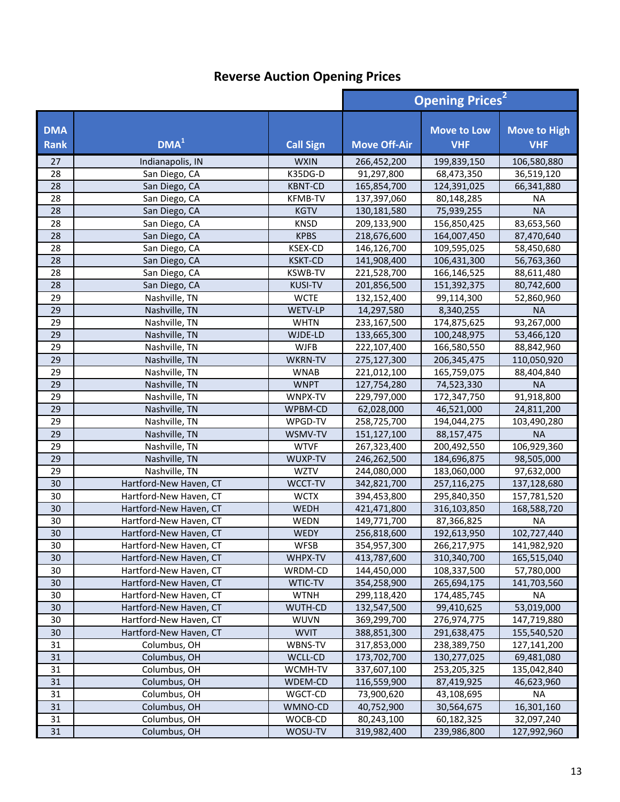|                           |                        |                  | <b>Opening Prices<sup>2</sup></b> |                                  |                                   |
|---------------------------|------------------------|------------------|-----------------------------------|----------------------------------|-----------------------------------|
| <b>DMA</b><br><b>Rank</b> | DMA <sup>1</sup>       | <b>Call Sign</b> | <b>Move Off-Air</b>               | <b>Move to Low</b><br><b>VHF</b> | <b>Move to High</b><br><b>VHF</b> |
| 27                        | Indianapolis, IN       | <b>WXIN</b>      | 266,452,200                       | 199,839,150                      | 106,580,880                       |
| 28                        | San Diego, CA          | K35DG-D          | 91,297,800                        | 68,473,350                       | 36,519,120                        |
| 28                        | San Diego, CA          | <b>KBNT-CD</b>   | 165,854,700                       | 124,391,025                      | 66,341,880                        |
| 28                        | San Diego, CA          | <b>KFMB-TV</b>   | 137,397,060                       | 80,148,285                       | <b>NA</b>                         |
| 28                        | San Diego, CA          | <b>KGTV</b>      | 130,181,580                       | 75,939,255                       | <b>NA</b>                         |
| 28                        | San Diego, CA          | <b>KNSD</b>      | 209,133,900                       | 156,850,425                      | 83,653,560                        |
| 28                        | San Diego, CA          | <b>KPBS</b>      | 218,676,600                       | 164,007,450                      | 87,470,640                        |
| 28                        | San Diego, CA          | <b>KSEX-CD</b>   | 146,126,700                       | 109,595,025                      | 58,450,680                        |
| 28                        | San Diego, CA          | <b>KSKT-CD</b>   | 141,908,400                       | 106,431,300                      | 56,763,360                        |
| 28                        | San Diego, CA          | <b>KSWB-TV</b>   | 221,528,700                       | 166,146,525                      | 88,611,480                        |
| 28                        | San Diego, CA          | <b>KUSI-TV</b>   | 201,856,500                       | 151,392,375                      | 80,742,600                        |
| 29                        | Nashville, TN          | <b>WCTE</b>      | 132,152,400                       | 99,114,300                       | 52,860,960                        |
| 29                        | Nashville, TN          | WETV-LP          | 14,297,580                        | 8,340,255                        | <b>NA</b>                         |
| 29                        | Nashville, TN          | <b>WHTN</b>      | 233,167,500                       | 174,875,625                      | 93,267,000                        |
| 29                        | Nashville, TN          | WJDE-LD          | 133,665,300                       | 100,248,975                      | 53,466,120                        |
| 29                        | Nashville, TN          | <b>WJFB</b>      | 222,107,400                       | 166,580,550                      | 88,842,960                        |
| 29                        | Nashville, TN          | <b>WKRN-TV</b>   | 275,127,300                       | 206, 345, 475                    | 110,050,920                       |
| 29                        | Nashville, TN          | <b>WNAB</b>      | 221,012,100                       | 165,759,075                      | 88,404,840                        |
| 29                        | Nashville, TN          | <b>WNPT</b>      | 127,754,280                       | 74,523,330                       | <b>NA</b>                         |
| 29                        | Nashville, TN          | WNPX-TV          | 229,797,000                       | 172,347,750                      | 91,918,800                        |
| 29                        | Nashville, TN          | WPBM-CD          | 62,028,000                        | 46,521,000                       | 24,811,200                        |
| 29                        | Nashville, TN          | WPGD-TV          | 258,725,700                       | 194,044,275                      | 103,490,280                       |
| 29                        | Nashville, TN          | WSMV-TV          | 151,127,100                       | 88,157,475                       | <b>NA</b>                         |
| 29                        | Nashville, TN          | <b>WTVF</b>      | 267,323,400                       | 200,492,550                      | 106,929,360                       |
| 29                        | Nashville, TN          | WUXP-TV          | 246,262,500                       | 184,696,875                      | 98,505,000                        |
| 29                        | Nashville, TN          | <b>WZTV</b>      | 244,080,000                       | 183,060,000                      | 97,632,000                        |
| 30                        | Hartford-New Haven, CT | WCCT-TV          | 342,821,700                       | 257,116,275                      | 137,128,680                       |
| 30                        | Hartford-New Haven, CT | <b>WCTX</b>      | 394,453,800                       | 295,840,350                      | 157,781,520                       |
| 30                        | Hartford-New Haven, CT | WEDH             | 421,471,800                       | 316,103,850                      | 168,588,720                       |
| 30                        | Hartford-New Haven, CT | WEDN             | 149,771,700                       | 87,366,825                       | <b>NA</b>                         |
| 30                        | Hartford-New Haven, CT | <b>WEDY</b>      | 256,818,600                       | 192,613,950                      | 102,727,440                       |
| 30                        | Hartford-New Haven, CT | <b>WFSB</b>      | 354,957,300                       | 266,217,975                      | 141,982,920                       |
| 30                        | Hartford-New Haven, CT | WHPX-TV          | 413,787,600                       | 310,340,700                      | 165,515,040                       |
| 30                        | Hartford-New Haven, CT | WRDM-CD          | 144,450,000                       | 108,337,500                      | 57,780,000                        |
| 30                        | Hartford-New Haven, CT | WTIC-TV          | 354,258,900                       | 265,694,175                      | 141,703,560                       |
| 30                        | Hartford-New Haven, CT | <b>WTNH</b>      | 299,118,420                       | 174,485,745                      | NA                                |
| 30                        | Hartford-New Haven, CT | <b>WUTH-CD</b>   | 132,547,500                       | 99,410,625                       | 53,019,000                        |
| 30                        | Hartford-New Haven, CT | <b>WUVN</b>      | 369,299,700                       | 276,974,775                      | 147,719,880                       |
| 30                        | Hartford-New Haven, CT | <b>WVIT</b>      | 388,851,300                       | 291,638,475                      | 155,540,520                       |
| 31                        | Columbus, OH           | WBNS-TV          | 317,853,000                       | 238,389,750                      | 127,141,200                       |
| 31                        | Columbus, OH           | WCLL-CD          | 173,702,700                       | 130,277,025                      | 69,481,080                        |
| 31                        | Columbus, OH           | WCMH-TV          | 337,607,100                       | 253,205,325                      | 135,042,840                       |
| 31                        | Columbus, OH           | WDEM-CD          | 116,559,900                       | 87,419,925                       | 46,623,960                        |
| 31                        | Columbus, OH           | WGCT-CD          | 73,900,620                        | 43,108,695                       | <b>NA</b>                         |
| 31                        | Columbus, OH           | WMNO-CD          | 40,752,900                        | 30,564,675                       | 16,301,160                        |
| 31                        | Columbus, OH           | WOCB-CD          | 80,243,100                        | 60,182,325                       | 32,097,240                        |
| 31                        | Columbus, OH           | WOSU-TV          | 319,982,400                       | 239,986,800                      | 127,992,960                       |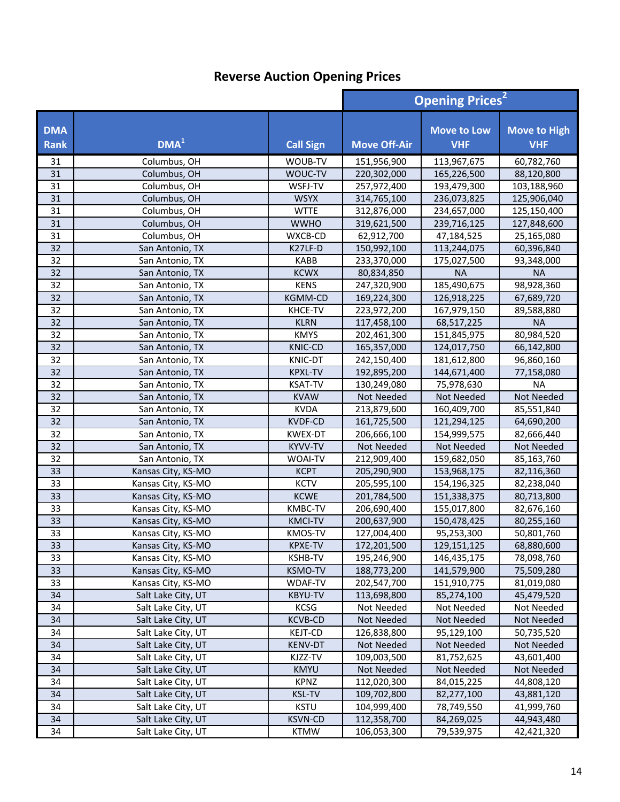|                    |                    |                  | <b>Opening Prices<sup>2</sup></b> |                                  |                                   |
|--------------------|--------------------|------------------|-----------------------------------|----------------------------------|-----------------------------------|
| <b>DMA</b><br>Rank | DMA <sup>1</sup>   | <b>Call Sign</b> | <b>Move Off-Air</b>               | <b>Move to Low</b><br><b>VHF</b> | <b>Move to High</b><br><b>VHF</b> |
| 31                 | Columbus, OH       | WOUB-TV          | 151,956,900                       | 113,967,675                      | 60,782,760                        |
| 31                 | Columbus, OH       | WOUC-TV          | 220,302,000                       | 165,226,500                      | 88,120,800                        |
| 31                 | Columbus, OH       | WSFJ-TV          | 257,972,400                       | 193,479,300                      | 103,188,960                       |
| 31                 | Columbus, OH       | <b>WSYX</b>      | 314,765,100                       | 236,073,825                      | 125,906,040                       |
| 31                 | Columbus, OH       | <b>WTTE</b>      | 312,876,000                       | 234,657,000                      | 125,150,400                       |
| 31                 | Columbus, OH       | <b>WWHO</b>      | 319,621,500                       | 239,716,125                      | 127,848,600                       |
| 31                 | Columbus, OH       | WXCB-CD          | 62,912,700                        | 47,184,525                       | 25,165,080                        |
| 32                 | San Antonio, TX    | K27LF-D          | 150,992,100                       | 113,244,075                      | 60,396,840                        |
| 32                 | San Antonio, TX    | <b>KABB</b>      | 233,370,000                       | 175,027,500                      | 93,348,000                        |
| 32                 | San Antonio, TX    | <b>KCWX</b>      | 80,834,850                        | <b>NA</b>                        | <b>NA</b>                         |
| 32                 | San Antonio, TX    | <b>KENS</b>      | 247,320,900                       | 185,490,675                      | 98,928,360                        |
| 32                 | San Antonio, TX    | <b>KGMM-CD</b>   | 169,224,300                       | 126,918,225                      | 67,689,720                        |
| 32                 | San Antonio, TX    | KHCE-TV          | 223,972,200                       | 167,979,150                      | 89,588,880                        |
| 32                 | San Antonio, TX    | <b>KLRN</b>      | 117,458,100                       | 68,517,225                       | <b>NA</b>                         |
| 32                 | San Antonio, TX    | <b>KMYS</b>      | 202,461,300                       | 151,845,975                      | 80,984,520                        |
| 32                 | San Antonio, TX    | <b>KNIC-CD</b>   | 165,357,000                       | 124,017,750                      | 66,142,800                        |
| 32                 | San Antonio, TX    | <b>KNIC-DT</b>   | 242,150,400                       | 181,612,800                      | 96,860,160                        |
| 32                 | San Antonio, TX    | <b>KPXL-TV</b>   | 192,895,200                       | 144,671,400                      | 77,158,080                        |
| 32                 | San Antonio, TX    | <b>KSAT-TV</b>   | 130,249,080                       | 75,978,630                       | <b>NA</b>                         |
| 32                 | San Antonio, TX    | <b>KVAW</b>      | Not Needed                        | Not Needed                       | Not Needed                        |
| 32                 | San Antonio, TX    | <b>KVDA</b>      | 213,879,600                       | 160,409,700                      | 85,551,840                        |
| 32                 | San Antonio, TX    | <b>KVDF-CD</b>   | 161,725,500                       | 121,294,125                      | 64,690,200                        |
| 32                 | San Antonio, TX    | KWEX-DT          | 206,666,100                       | 154,999,575                      | 82,666,440                        |
| 32                 | San Antonio, TX    | KYVV-TV          | Not Needed                        | Not Needed                       | Not Needed                        |
| 32                 | San Antonio, TX    | WOAI-TV          | 212,909,400                       | 159,682,050                      | 85,163,760                        |
| 33                 | Kansas City, KS-MO | <b>KCPT</b>      | 205,290,900                       | 153,968,175                      | 82,116,360                        |
| 33                 | Kansas City, KS-MO | <b>KCTV</b>      | 205,595,100                       | 154,196,325                      | 82,238,040                        |
| 33                 | Kansas City, KS-MO | <b>KCWE</b>      | 201,784,500                       | 151,338,375                      | 80,713,800                        |
| 33                 | Kansas City, KS-MO | KMBC-TV          | 206,690,400                       | 155,017,800                      | 82,676,160                        |
| 33                 | Kansas City, KS-MO | <b>KMCI-TV</b>   | 200,637,900                       | 150,478,425                      | 80,255,160                        |
| 33                 | Kansas City, KS-MO | <b>KMOS-TV</b>   | 127,004,400                       | 95,253,300                       | 50,801,760                        |
| 33                 | Kansas City, KS-MO | KPXE-TV          | 172,201,500                       | 129,151,125                      | 68,880,600                        |
| 33                 | Kansas City, KS-MO | <b>KSHB-TV</b>   | 195,246,900                       | 146,435,175                      | 78,098,760                        |
| 33                 | Kansas City, KS-MO | <b>KSMO-TV</b>   | 188,773,200                       | 141,579,900                      | 75,509,280                        |
| 33                 | Kansas City, KS-MO | WDAF-TV          | 202,547,700                       | 151,910,775                      | 81,019,080                        |
| 34                 | Salt Lake City, UT | <b>KBYU-TV</b>   | 113,698,800                       | 85,274,100                       | 45,479,520                        |
| 34                 | Salt Lake City, UT | <b>KCSG</b>      | Not Needed                        | Not Needed                       | Not Needed                        |
| 34                 | Salt Lake City, UT | <b>KCVB-CD</b>   | Not Needed                        | Not Needed                       | Not Needed                        |
| 34                 | Salt Lake City, UT | KEJT-CD          | 126,838,800                       | 95,129,100                       | 50,735,520                        |
| 34                 | Salt Lake City, UT | <b>KENV-DT</b>   | Not Needed                        | Not Needed                       | Not Needed                        |
| 34                 | Salt Lake City, UT | KJZZ-TV          | 109,003,500                       | 81,752,625                       | 43,601,400                        |
| 34                 | Salt Lake City, UT | <b>KMYU</b>      | Not Needed                        | Not Needed                       | Not Needed                        |
| 34                 | Salt Lake City, UT | <b>KPNZ</b>      | 112,020,300                       | 84,015,225                       | 44,808,120                        |
| 34                 | Salt Lake City, UT | <b>KSL-TV</b>    | 109,702,800                       | 82,277,100                       | 43,881,120                        |
| 34                 | Salt Lake City, UT | <b>KSTU</b>      | 104,999,400                       | 78,749,550                       | 41,999,760                        |
| 34                 | Salt Lake City, UT | <b>KSVN-CD</b>   | 112,358,700                       | 84,269,025                       | 44,943,480                        |
| 34                 | Salt Lake City, UT | <b>KTMW</b>      | 106,053,300                       | 79,539,975                       | 42,421,320                        |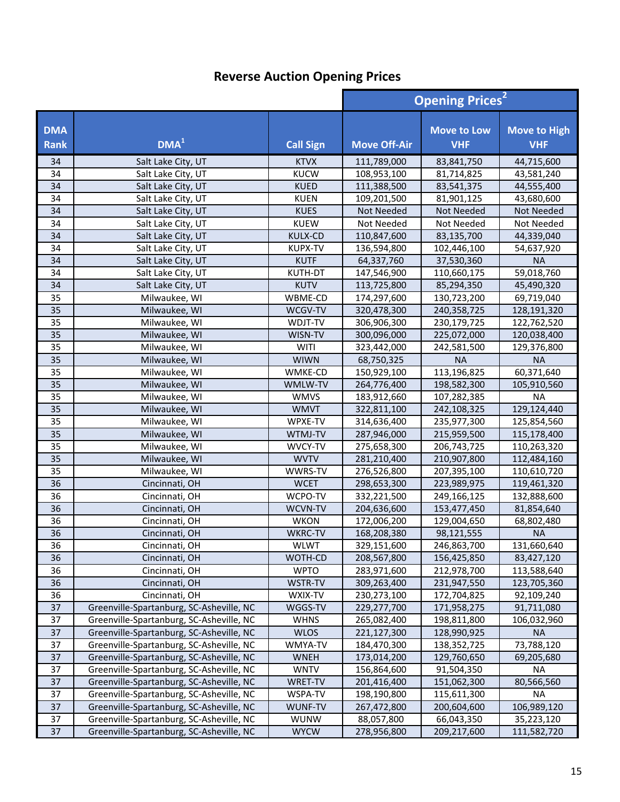|                           |                                          |                  | <b>Opening Prices<sup>2</sup></b> |                                  |                                   |
|---------------------------|------------------------------------------|------------------|-----------------------------------|----------------------------------|-----------------------------------|
| <b>DMA</b><br><b>Rank</b> | DMA <sup>1</sup>                         | <b>Call Sign</b> | <b>Move Off-Air</b>               | <b>Move to Low</b><br><b>VHF</b> | <b>Move to High</b><br><b>VHF</b> |
| 34                        | Salt Lake City, UT                       | <b>KTVX</b>      | 111,789,000                       | 83,841,750                       | 44,715,600                        |
| 34                        | Salt Lake City, UT                       | <b>KUCW</b>      | 108,953,100                       | 81,714,825                       | 43,581,240                        |
| 34                        | Salt Lake City, UT                       | <b>KUED</b>      | 111,388,500                       | 83,541,375                       | 44,555,400                        |
| 34                        | Salt Lake City, UT                       | <b>KUEN</b>      | 109,201,500                       | 81,901,125                       | 43,680,600                        |
| 34                        | Salt Lake City, UT                       | <b>KUES</b>      | Not Needed                        | Not Needed                       | Not Needed                        |
| 34                        | Salt Lake City, UT                       | <b>KUEW</b>      | Not Needed                        | Not Needed                       | Not Needed                        |
| 34                        | Salt Lake City, UT                       | KULX-CD          | 110,847,600                       | 83,135,700                       | 44,339,040                        |
| 34                        | Salt Lake City, UT                       | <b>KUPX-TV</b>   | 136,594,800                       | 102,446,100                      | 54,637,920                        |
| 34                        | Salt Lake City, UT                       | <b>KUTF</b>      | 64,337,760                        | 37,530,360                       | <b>NA</b>                         |
| 34                        | Salt Lake City, UT                       | KUTH-DT          | 147,546,900                       | 110,660,175                      | 59,018,760                        |
| 34                        | Salt Lake City, UT                       | <b>KUTV</b>      | 113,725,800                       | 85,294,350                       | 45,490,320                        |
| 35                        | Milwaukee, WI                            | WBME-CD          | 174,297,600                       | 130,723,200                      | 69,719,040                        |
| 35                        | Milwaukee, WI                            | WCGV-TV          | 320,478,300                       | 240,358,725                      | 128,191,320                       |
| 35                        | Milwaukee, WI                            | WDJT-TV          | 306,906,300                       | 230,179,725                      | 122,762,520                       |
| 35                        | Milwaukee, WI                            | WISN-TV          | 300,096,000                       | 225,072,000                      | 120,038,400                       |
| 35                        | Milwaukee, WI                            | <b>WITI</b>      | 323,442,000                       | 242,581,500                      | 129,376,800                       |
| 35                        | Milwaukee, WI                            | <b>WIWN</b>      | 68,750,325                        | <b>NA</b>                        | <b>NA</b>                         |
| 35                        | Milwaukee, WI                            | WMKE-CD          | 150,929,100                       | 113,196,825                      | 60,371,640                        |
| 35                        | Milwaukee, WI                            | WMLW-TV          | 264,776,400                       | 198,582,300                      | 105,910,560                       |
| 35                        | Milwaukee, WI                            | <b>WMVS</b>      | 183,912,660                       | 107,282,385                      | <b>NA</b>                         |
| 35                        | Milwaukee, WI                            | <b>WMVT</b>      | 322,811,100                       | 242,108,325                      | 129,124,440                       |
| 35                        | Milwaukee, WI                            | WPXE-TV          | 314,636,400                       | 235,977,300                      | 125,854,560                       |
| 35                        | Milwaukee, WI                            | WTMJ-TV          | 287,946,000                       | 215,959,500                      | 115,178,400                       |
| 35                        | Milwaukee, WI                            | WVCY-TV          | 275,658,300                       | 206,743,725                      | 110,263,320                       |
| 35                        | Milwaukee, WI                            | <b>WVTV</b>      | 281,210,400                       | 210,907,800                      | 112,484,160                       |
| 35                        | Milwaukee, WI                            | WWRS-TV          | 276,526,800                       | 207,395,100                      | 110,610,720                       |
| 36                        | Cincinnati, OH                           | <b>WCET</b>      | 298,653,300                       | 223,989,975                      | 119,461,320                       |
| 36                        | Cincinnati, OH                           | WCPO-TV          | 332,221,500                       | 249,166,125                      | 132,888,600                       |
| 36                        | Cincinnati, OH                           | WCVN-TV          | 204,636,600                       | 153,477,450                      | 81,854,640                        |
| 36                        | Cincinnati, OH                           | <b>WKON</b>      | 172,006,200                       | 129,004,650                      | 68,802,480                        |
| 36                        | Cincinnati, OH                           | <b>WKRC-TV</b>   | 168,208,380                       | 98,121,555                       | <b>NA</b>                         |
| 36                        | Cincinnati, OH                           | <b>WLWT</b>      | 329,151,600                       | 246,863,700                      | 131,660,640                       |
| 36                        | Cincinnati, OH                           | WOTH-CD          | 208,567,800                       | 156,425,850                      | 83,427,120                        |
| 36                        | Cincinnati, OH                           | <b>WPTO</b>      | 283,971,600                       | 212,978,700                      | 113,588,640                       |
| 36                        | Cincinnati, OH                           | WSTR-TV          | 309,263,400                       | 231,947,550                      | 123,705,360                       |
| 36                        | Cincinnati, OH                           | WXIX-TV          | 230,273,100                       | 172,704,825                      | 92,109,240                        |
| 37                        | Greenville-Spartanburg, SC-Asheville, NC | WGGS-TV          | 229,277,700                       | 171,958,275                      | 91,711,080                        |
| 37                        | Greenville-Spartanburg, SC-Asheville, NC | <b>WHNS</b>      | 265,082,400                       | 198,811,800                      | 106,032,960                       |
| 37                        | Greenville-Spartanburg, SC-Asheville, NC | <b>WLOS</b>      | 221,127,300                       | 128,990,925                      | <b>NA</b>                         |
| 37                        | Greenville-Spartanburg, SC-Asheville, NC | WMYA-TV          | 184,470,300                       | 138, 352, 725                    | 73,788,120                        |
| 37                        | Greenville-Spartanburg, SC-Asheville, NC | <b>WNEH</b>      | 173,014,200                       | 129,760,650                      | 69,205,680                        |
| 37                        | Greenville-Spartanburg, SC-Asheville, NC | <b>WNTV</b>      | 156,864,600                       | 91,504,350                       | <b>NA</b>                         |
| 37                        | Greenville-Spartanburg, SC-Asheville, NC | WRET-TV          | 201,416,400                       | 151,062,300                      | 80,566,560                        |
| 37                        | Greenville-Spartanburg, SC-Asheville, NC | WSPA-TV          | 198,190,800                       | 115,611,300                      | <b>NA</b>                         |
| 37                        | Greenville-Spartanburg, SC-Asheville, NC | WUNF-TV          | 267,472,800                       | 200,604,600                      | 106,989,120                       |
| 37                        | Greenville-Spartanburg, SC-Asheville, NC | <b>WUNW</b>      | 88,057,800                        | 66,043,350                       | 35,223,120                        |
| 37                        | Greenville-Spartanburg, SC-Asheville, NC | <b>WYCW</b>      | 278,956,800                       | 209,217,600                      | 111,582,720                       |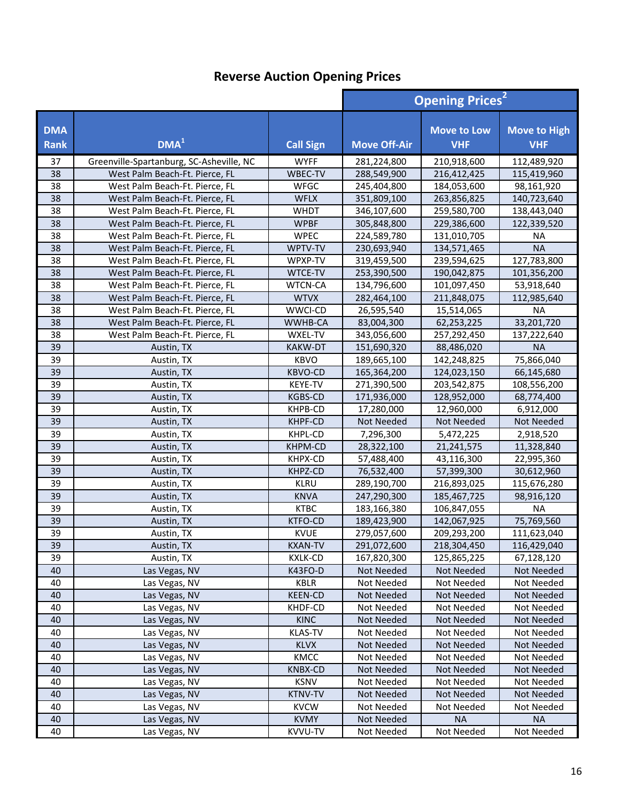|                           |                                          |                  |                     | <b>Opening Prices<sup>2</sup></b> |                                   |  |
|---------------------------|------------------------------------------|------------------|---------------------|-----------------------------------|-----------------------------------|--|
| <b>DMA</b><br><b>Rank</b> | DMA <sup>1</sup>                         | <b>Call Sign</b> | <b>Move Off-Air</b> | <b>Move to Low</b><br><b>VHF</b>  | <b>Move to High</b><br><b>VHF</b> |  |
| 37                        | Greenville-Spartanburg, SC-Asheville, NC | <b>WYFF</b>      | 281,224,800         | 210,918,600                       | 112,489,920                       |  |
| 38                        | West Palm Beach-Ft. Pierce, FL           | WBEC-TV          | 288,549,900         | 216,412,425                       | 115,419,960                       |  |
| 38                        | West Palm Beach-Ft. Pierce, FL           | WFGC             | 245,404,800         | 184,053,600                       | 98,161,920                        |  |
| 38                        | West Palm Beach-Ft. Pierce, FL           | <b>WFLX</b>      | 351,809,100         | 263,856,825                       | 140,723,640                       |  |
| 38                        | West Palm Beach-Ft. Pierce, FL           | <b>WHDT</b>      | 346,107,600         | 259,580,700                       | 138,443,040                       |  |
| 38                        | West Palm Beach-Ft. Pierce, FL           | <b>WPBF</b>      | 305,848,800         | 229,386,600                       | 122,339,520                       |  |
| 38                        | West Palm Beach-Ft. Pierce, FL           | <b>WPEC</b>      | 224,589,780         | 131,010,705                       | <b>NA</b>                         |  |
| 38                        | West Palm Beach-Ft. Pierce, FL           | WPTV-TV          | 230,693,940         | 134,571,465                       | <b>NA</b>                         |  |
| 38                        | West Palm Beach-Ft. Pierce, FL           | WPXP-TV          | 319,459,500         | 239,594,625                       | 127,783,800                       |  |
| 38                        | West Palm Beach-Ft. Pierce, FL           | <b>WTCE-TV</b>   | 253,390,500         | 190,042,875                       | 101,356,200                       |  |
| 38                        | West Palm Beach-Ft. Pierce, FL           | <b>WTCN-CA</b>   | 134,796,600         | 101,097,450                       | 53,918,640                        |  |
| 38                        | West Palm Beach-Ft. Pierce, FL           | <b>WTVX</b>      | 282,464,100         | 211,848,075                       | 112,985,640                       |  |
| 38                        | West Palm Beach-Ft. Pierce, FL           | WWCI-CD          | 26,595,540          | 15,514,065                        | <b>NA</b>                         |  |
| 38                        | West Palm Beach-Ft. Pierce, FL           | WWHB-CA          | 83,004,300          | 62,253,225                        | 33,201,720                        |  |
| 38                        | West Palm Beach-Ft. Pierce, FL           | WXEL-TV          | 343,056,600         | 257,292,450                       | 137,222,640                       |  |
| 39                        | Austin, TX                               | KAKW-DT          | 151,690,320         | 88,486,020                        | <b>NA</b>                         |  |
| 39                        | Austin, TX                               | <b>KBVO</b>      | 189,665,100         | 142,248,825                       | 75,866,040                        |  |
| 39                        | Austin, TX                               | <b>KBVO-CD</b>   | 165,364,200         | 124,023,150                       | 66,145,680                        |  |
| 39                        | Austin, TX                               | KEYE-TV          | 271,390,500         | 203,542,875                       | 108,556,200                       |  |
| 39                        | Austin, TX                               | <b>KGBS-CD</b>   | 171,936,000         | 128,952,000                       | 68,774,400                        |  |
| 39                        | Austin, TX                               | KHPB-CD          | 17,280,000          | 12,960,000                        | 6,912,000                         |  |
| 39                        | Austin, TX                               | KHPF-CD          | Not Needed          | Not Needed                        | Not Needed                        |  |
| 39                        | Austin, TX                               | KHPL-CD          | 7,296,300           | 5,472,225                         | 2,918,520                         |  |
| 39                        | Austin, TX                               | KHPM-CD          | 28,322,100          | 21,241,575                        | 11,328,840                        |  |
| 39                        | Austin, TX                               | KHPX-CD          | 57,488,400          | 43,116,300                        | 22,995,360                        |  |
| 39                        | Austin, TX                               | KHPZ-CD          | 76,532,400          | 57,399,300                        | 30,612,960                        |  |
| 39                        | Austin, TX                               | <b>KLRU</b>      | 289,190,700         | 216,893,025                       | 115,676,280                       |  |
| 39                        | Austin, TX                               | <b>KNVA</b>      | 247,290,300         | 185,467,725                       | 98,916,120                        |  |
| 39                        | Austin, TX                               | <b>KTBC</b>      | 183,166,380         | 106,847,055                       | <b>NA</b>                         |  |
| 39                        | Austin, TX                               | <b>KTFO-CD</b>   | 189,423,900         | 142,067,925                       | 75,769,560                        |  |
| 39                        | Austin, TX                               | <b>KVUE</b>      | 279,057,600         | 209,293,200                       | 111,623,040                       |  |
| $\overline{39}$           | Austin, TX                               | <b>KXAN-TV</b>   | 291,072,600         | 218,304,450                       | 116,429,040                       |  |
| 39                        | Austin, TX                               | <b>KXLK-CD</b>   | 167,820,300         | 125,865,225                       | 67,128,120                        |  |
| 40                        | Las Vegas, NV                            | K43FO-D          | Not Needed          | Not Needed                        | Not Needed                        |  |
| 40                        | Las Vegas, NV                            | KBLR             | Not Needed          | Not Needed                        | Not Needed                        |  |
| 40                        | Las Vegas, NV                            | <b>KEEN-CD</b>   | Not Needed          | Not Needed                        | <b>Not Needed</b>                 |  |
| 40                        | Las Vegas, NV                            | KHDF-CD          | Not Needed          | Not Needed                        | Not Needed                        |  |
| 40                        | Las Vegas, NV                            | <b>KINC</b>      | Not Needed          | Not Needed                        | Not Needed                        |  |
| 40                        | Las Vegas, NV                            | <b>KLAS-TV</b>   | Not Needed          | Not Needed                        | Not Needed                        |  |
| 40                        | Las Vegas, NV                            | <b>KLVX</b>      | Not Needed          | Not Needed                        | Not Needed                        |  |
| 40                        | Las Vegas, NV                            | KMCC             | Not Needed          | Not Needed                        | Not Needed                        |  |
| 40                        | Las Vegas, NV                            | <b>KNBX-CD</b>   | Not Needed          | Not Needed                        | Not Needed                        |  |
| 40                        | Las Vegas, NV                            | <b>KSNV</b>      | Not Needed          | Not Needed                        | Not Needed                        |  |
| 40                        | Las Vegas, NV                            | <b>KTNV-TV</b>   | Not Needed          | Not Needed                        | Not Needed                        |  |
| 40                        | Las Vegas, NV                            | <b>KVCW</b>      | Not Needed          | Not Needed                        | Not Needed                        |  |
| 40                        | Las Vegas, NV                            | <b>KVMY</b>      | Not Needed          | <b>NA</b>                         | <b>NA</b>                         |  |
| 40                        | Las Vegas, NV                            | KVVU-TV          | Not Needed          | Not Needed                        | Not Needed                        |  |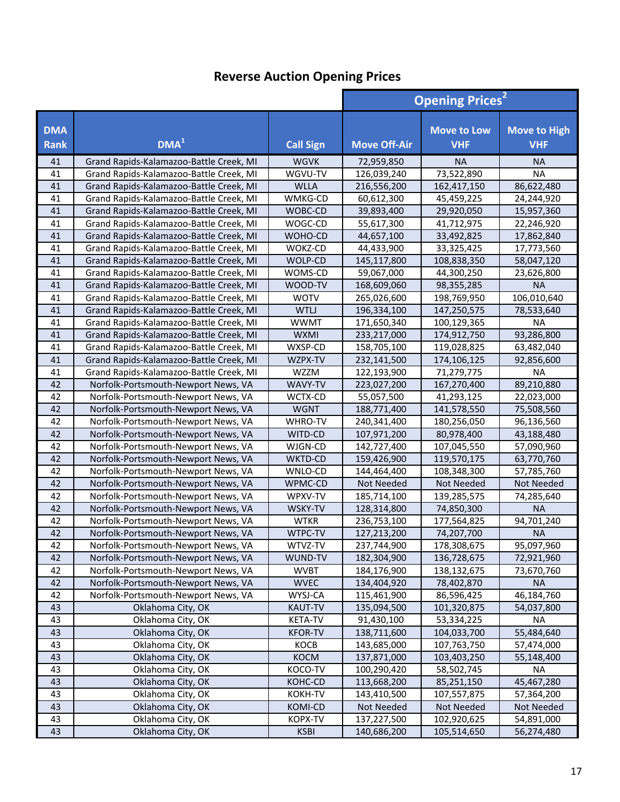|                           |                                         | <b>Opening Prices<sup>2</sup></b> |                     |                                  |                                   |
|---------------------------|-----------------------------------------|-----------------------------------|---------------------|----------------------------------|-----------------------------------|
| <b>DMA</b><br><b>Rank</b> | DMA <sup>1</sup>                        | <b>Call Sign</b>                  | <b>Move Off-Air</b> | <b>Move to Low</b><br><b>VHF</b> | <b>Move to High</b><br><b>VHF</b> |
| 41                        | Grand Rapids-Kalamazoo-Battle Creek, MI | <b>WGVK</b>                       | 72,959,850          | <b>NA</b>                        | <b>NA</b>                         |
| 41                        | Grand Rapids-Kalamazoo-Battle Creek, MI | WGVU-TV                           | 126,039,240         | 73,522,890                       | <b>NA</b>                         |
| 41                        | Grand Rapids-Kalamazoo-Battle Creek, MI | <b>WLLA</b>                       | 216,556,200         | 162,417,150                      | 86,622,480                        |
| 41                        | Grand Rapids-Kalamazoo-Battle Creek, MI | WMKG-CD                           | 60,612,300          | 45,459,225                       | 24,244,920                        |
| 41                        | Grand Rapids-Kalamazoo-Battle Creek, MI | WOBC-CD                           | 39,893,400          | 29,920,050                       | 15,957,360                        |
| 41                        | Grand Rapids-Kalamazoo-Battle Creek, MI | WOGC-CD                           | 55,617,300          | 41,712,975                       | 22,246,920                        |
| 41                        | Grand Rapids-Kalamazoo-Battle Creek, MI | WOHO-CD                           | 44,657,100          | 33,492,825                       | 17,862,840                        |
| 41                        | Grand Rapids-Kalamazoo-Battle Creek, MI | WOKZ-CD                           | 44,433,900          | 33,325,425                       | 17,773,560                        |
| 41                        | Grand Rapids-Kalamazoo-Battle Creek, MI | WOLP-CD                           | 145,117,800         | 108,838,350                      | 58,047,120                        |
| 41                        | Grand Rapids-Kalamazoo-Battle Creek, MI | WOMS-CD                           | 59,067,000          | 44,300,250                       | 23,626,800                        |
| 41                        | Grand Rapids-Kalamazoo-Battle Creek, MI | WOOD-TV                           | 168,609,060         | 98,355,285                       | <b>NA</b>                         |
| 41                        | Grand Rapids-Kalamazoo-Battle Creek, MI | <b>WOTV</b>                       | 265,026,600         | 198,769,950                      | 106,010,640                       |
| 41                        | Grand Rapids-Kalamazoo-Battle Creek, MI | <b>WTLJ</b>                       | 196,334,100         | 147,250,575                      | 78,533,640                        |
| 41                        | Grand Rapids-Kalamazoo-Battle Creek, MI | <b>WWMT</b>                       | 171,650,340         | 100,129,365                      | <b>NA</b>                         |
| 41                        | Grand Rapids-Kalamazoo-Battle Creek, MI | <b>WXMI</b>                       | 233,217,000         | 174,912,750                      | 93,286,800                        |
| 41                        | Grand Rapids-Kalamazoo-Battle Creek, MI | WXSP-CD                           | 158,705,100         | 119,028,825                      | 63,482,040                        |
| 41                        | Grand Rapids-Kalamazoo-Battle Creek, MI | WZPX-TV                           | 232,141,500         | 174,106,125                      | 92,856,600                        |
| 41                        | Grand Rapids-Kalamazoo-Battle Creek, MI | <b>WZZM</b>                       | 122,193,900         | 71,279,775                       | <b>NA</b>                         |
| 42                        | Norfolk-Portsmouth-Newport News, VA     | WAVY-TV                           | 223,027,200         | 167,270,400                      | 89,210,880                        |
| 42                        | Norfolk-Portsmouth-Newport News, VA     | WCTX-CD                           | 55,057,500          | 41,293,125                       | 22,023,000                        |
| 42                        | Norfolk-Portsmouth-Newport News, VA     | <b>WGNT</b>                       | 188,771,400         | 141,578,550                      | 75,508,560                        |
| 42                        | Norfolk-Portsmouth-Newport News, VA     | WHRO-TV                           | 240,341,400         | 180,256,050                      | 96,136,560                        |
| 42                        | Norfolk-Portsmouth-Newport News, VA     | WITD-CD                           | 107,971,200         | 80,978,400                       | 43,188,480                        |
| 42                        | Norfolk-Portsmouth-Newport News, VA     | WJGN-CD                           | 142,727,400         | 107,045,550                      | 57,090,960                        |
| 42                        | Norfolk-Portsmouth-Newport News, VA     | WKTD-CD                           | 159,426,900         | 119,570,175                      | 63,770,760                        |
| 42                        | Norfolk-Portsmouth-Newport News, VA     | WNLO-CD                           | 144,464,400         | 108,348,300                      | 57,785,760                        |
| 42                        | Norfolk-Portsmouth-Newport News, VA     | WPMC-CD                           | Not Needed          | Not Needed                       | Not Needed                        |
| 42                        | Norfolk-Portsmouth-Newport News, VA     | WPXV-TV                           | 185,714,100         | 139,285,575                      | 74,285,640                        |
| 42                        | Norfolk-Portsmouth-Newport News, VA     | WSKY-TV                           | 128,314,800         | 74,850,300                       | <b>NA</b>                         |
| 42                        | Norfolk-Portsmouth-Newport News, VA     | <b>WTKR</b>                       | 236,753,100         | 177,564,825                      | 94,701,240                        |
| 42                        | Norfolk-Portsmouth-Newport News, VA     | WTPC-TV                           | 127,213,200         | 74,207,700                       | <b>NA</b>                         |
| 42                        | Norfolk-Portsmouth-Newport News, VA     | WTVZ-TV                           | 237,744,900         | 178,308,675                      | 95,097,960                        |
| 42                        | Norfolk-Portsmouth-Newport News, VA     | WUND-TV                           | 182,304,900         | 136,728,675                      | 72,921,960                        |
| 42                        | Norfolk-Portsmouth-Newport News, VA     | <b>WVBT</b>                       | 184,176,900         | 138,132,675                      | 73,670,760                        |
| 42                        | Norfolk-Portsmouth-Newport News, VA     | <b>WVEC</b>                       | 134,404,920         | 78,402,870                       | <b>NA</b>                         |
| 42                        | Norfolk-Portsmouth-Newport News, VA     | WYSJ-CA                           | 115,461,900         | 86,596,425                       | 46,184,760                        |
| 43                        | Oklahoma City, OK                       | <b>KAUT-TV</b>                    | 135,094,500         | 101,320,875                      | 54,037,800                        |
| 43                        | Oklahoma City, OK                       | <b>KETA-TV</b>                    | 91,430,100          | 53,334,225                       | NA                                |
| 43                        | Oklahoma City, OK                       | <b>KFOR-TV</b>                    | 138,711,600         | 104,033,700                      | 55,484,640                        |
| 43                        | Oklahoma City, OK                       | KOCB                              | 143,685,000         | 107,763,750                      | 57,474,000                        |
| 43                        | Oklahoma City, OK                       | KOCM                              | 137,871,000         | 103,403,250                      | 55,148,400                        |
| 43                        | Oklahoma City, OK                       | KOCO-TV                           | 100,290,420         | 58,502,745                       | <b>NA</b>                         |
| 43                        | Oklahoma City, OK                       | KOHC-CD                           | 113,668,200         | 85,251,150                       | 45,467,280                        |
| 43                        | Oklahoma City, OK                       | KOKH-TV                           | 143,410,500         | 107,557,875                      | 57,364,200                        |
| 43                        | Oklahoma City, OK                       | KOMI-CD                           | Not Needed          | Not Needed                       | Not Needed                        |
| 43                        | Oklahoma City, OK                       | KOPX-TV                           | 137,227,500         | 102,920,625                      | 54,891,000                        |
| 43                        | Oklahoma City, OK                       | <b>KSBI</b>                       | 140,686,200         | 105,514,650                      | 56,274,480                        |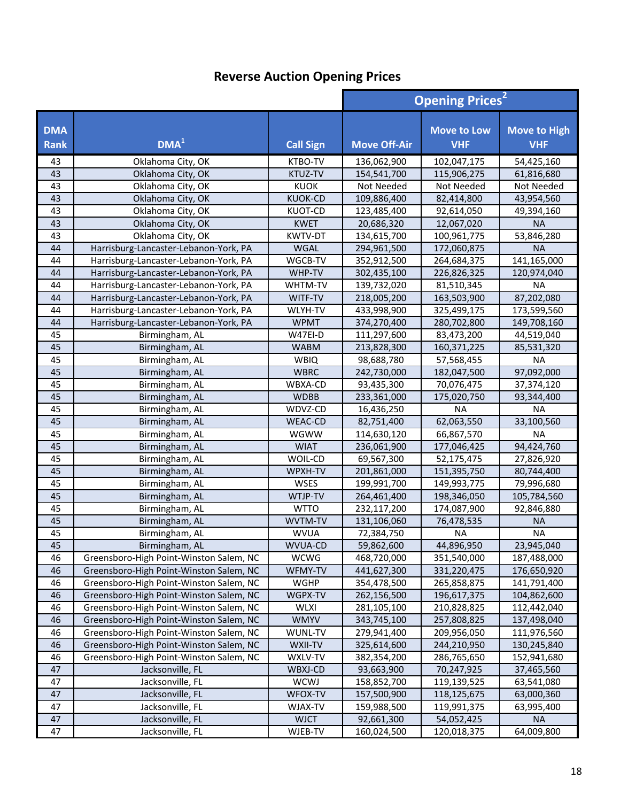|                           |                                         |                  | <b>Opening Prices<sup>2</sup></b> |                                  |                                   |
|---------------------------|-----------------------------------------|------------------|-----------------------------------|----------------------------------|-----------------------------------|
| <b>DMA</b><br><b>Rank</b> | DMA <sup>1</sup>                        | <b>Call Sign</b> | <b>Move Off-Air</b>               | <b>Move to Low</b><br><b>VHF</b> | <b>Move to High</b><br><b>VHF</b> |
| 43                        | Oklahoma City, OK                       | KTBO-TV          | 136,062,900                       | 102,047,175                      | 54,425,160                        |
| 43                        | Oklahoma City, OK                       | KTUZ-TV          | 154,541,700                       | 115,906,275                      | 61,816,680                        |
| 43                        | Oklahoma City, OK                       | <b>KUOK</b>      | Not Needed                        | Not Needed                       | Not Needed                        |
| 43                        | Oklahoma City, OK                       | <b>KUOK-CD</b>   | 109,886,400                       | 82,414,800                       | 43,954,560                        |
| 43                        | Oklahoma City, OK                       | <b>KUOT-CD</b>   | 123,485,400                       | 92,614,050                       | 49,394,160                        |
| 43                        | Oklahoma City, OK                       | <b>KWET</b>      | 20,686,320                        | 12,067,020                       | <b>NA</b>                         |
| 43                        | Oklahoma City, OK                       | <b>KWTV-DT</b>   | 134,615,700                       | 100,961,775                      | 53,846,280                        |
| 44                        | Harrisburg-Lancaster-Lebanon-York, PA   | <b>WGAL</b>      | 294,961,500                       | 172,060,875                      | <b>NA</b>                         |
| 44                        | Harrisburg-Lancaster-Lebanon-York, PA   | WGCB-TV          | 352,912,500                       | 264,684,375                      | 141,165,000                       |
| 44                        | Harrisburg-Lancaster-Lebanon-York, PA   | WHP-TV           | 302,435,100                       | 226,826,325                      | 120,974,040                       |
| 44                        | Harrisburg-Lancaster-Lebanon-York, PA   | WHTM-TV          | 139,732,020                       | 81,510,345                       | <b>NA</b>                         |
| 44                        | Harrisburg-Lancaster-Lebanon-York, PA   | WITF-TV          | 218,005,200                       | 163,503,900                      | 87,202,080                        |
| 44                        | Harrisburg-Lancaster-Lebanon-York, PA   | WLYH-TV          | 433,998,900                       | 325,499,175                      | 173,599,560                       |
| 44                        | Harrisburg-Lancaster-Lebanon-York, PA   | <b>WPMT</b>      | 374,270,400                       | 280,702,800                      | 149,708,160                       |
| 45                        | Birmingham, AL                          | W47EI-D          | 111,297,600                       | 83,473,200                       | 44,519,040                        |
| 45                        | Birmingham, AL                          | <b>WABM</b>      | 213,828,300                       | 160,371,225                      | 85,531,320                        |
| 45                        | Birmingham, AL                          | <b>WBIQ</b>      | 98,688,780                        | 57,568,455                       | <b>NA</b>                         |
| 45                        | Birmingham, AL                          | <b>WBRC</b>      | 242,730,000                       | 182,047,500                      | 97,092,000                        |
| 45                        | Birmingham, AL                          | WBXA-CD          | 93,435,300                        | 70,076,475                       | 37,374,120                        |
| 45                        | Birmingham, AL                          | <b>WDBB</b>      | 233,361,000                       | 175,020,750                      | 93,344,400                        |
| 45                        | Birmingham, AL                          | WDVZ-CD          | 16,436,250                        | <b>NA</b>                        | <b>NA</b>                         |
| 45                        | Birmingham, AL                          | <b>WEAC-CD</b>   | 82,751,400                        | 62,063,550                       | 33,100,560                        |
| 45                        | Birmingham, AL                          | <b>WGWW</b>      | 114,630,120                       | 66,867,570                       | <b>NA</b>                         |
| 45                        | Birmingham, AL                          | <b>WIAT</b>      | 236,061,900                       | 177,046,425                      | 94,424,760                        |
| 45                        | Birmingham, AL                          | WOIL-CD          | 69,567,300                        | 52,175,475                       | 27,826,920                        |
| 45                        | Birmingham, AL                          | WPXH-TV          | 201,861,000                       | 151,395,750                      | 80,744,400                        |
| 45                        | Birmingham, AL                          | <b>WSES</b>      | 199,991,700                       | 149,993,775                      | 79,996,680                        |
| 45                        | Birmingham, AL                          | WTJP-TV          | 264,461,400                       | 198,346,050                      | 105,784,560                       |
| 45                        | Birmingham, AL                          | <b>WTTO</b>      | 232,117,200                       | 174,087,900                      | 92,846,880                        |
| 45                        | Birmingham, AL                          | WVTM-TV          | 131,106,060                       | 76,478,535                       | <b>NA</b>                         |
| 45                        | Birmingham, AL                          | <b>WVUA</b>      | 72,384,750                        | <b>NA</b>                        | <b>NA</b>                         |
| 45                        | Birmingham, AL                          | WVUA-CD          | 59,862,600                        | 44,896,950                       | 23,945,040                        |
| 46                        | Greensboro-High Point-Winston Salem, NC | <b>WCWG</b>      | 468,720,000                       | 351,540,000                      | 187,488,000                       |
| 46                        | Greensboro-High Point-Winston Salem, NC | WFMY-TV          | 441,627,300                       | 331,220,475                      | 176,650,920                       |
| 46                        | Greensboro-High Point-Winston Salem, NC | WGHP             | 354,478,500                       | 265,858,875                      | 141,791,400                       |
| 46                        | Greensboro-High Point-Winston Salem, NC | WGPX-TV          | 262,156,500                       | 196,617,375                      | 104,862,600                       |
| 46                        | Greensboro-High Point-Winston Salem, NC | <b>WLXI</b>      | 281,105,100                       | 210,828,825                      | 112,442,040                       |
| 46                        | Greensboro-High Point-Winston Salem, NC | <b>WMYV</b>      | 343,745,100                       | 257,808,825                      | 137,498,040                       |
| 46                        | Greensboro-High Point-Winston Salem, NC | WUNL-TV          | 279,941,400                       | 209,956,050                      | 111,976,560                       |
| 46                        | Greensboro-High Point-Winston Salem, NC | WXII-TV          | 325,614,600                       | 244,210,950                      | 130,245,840                       |
| 46                        | Greensboro-High Point-Winston Salem, NC | WXLV-TV          | 382,354,200                       | 286,765,650                      | 152,941,680                       |
| 47                        | Jacksonville, FL                        | WBXJ-CD          | 93,663,900                        | 70,247,925                       | 37,465,560                        |
| 47                        | Jacksonville, FL                        | WCWJ             | 158,852,700                       | 119,139,525                      | 63,541,080                        |
| 47                        | Jacksonville, FL                        | WFOX-TV          | 157,500,900                       | 118,125,675                      | 63,000,360                        |
| 47                        | Jacksonville, FL                        | WJAX-TV          | 159,988,500                       | 119,991,375                      | 63,995,400                        |
| 47                        | Jacksonville, FL                        | <b>WJCT</b>      | 92,661,300                        | 54,052,425                       | <b>NA</b>                         |
| 47                        | Jacksonville, FL                        | WJEB-TV          | 160,024,500                       | 120,018,375                      | 64,009,800                        |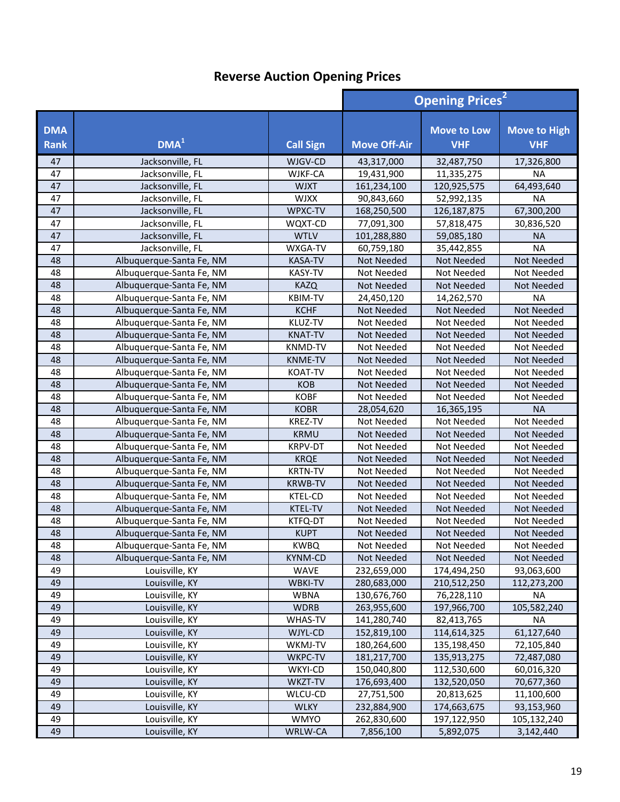|                           |                          |                  | <b>Opening Prices<sup>2</sup></b> |                                  |                                   |
|---------------------------|--------------------------|------------------|-----------------------------------|----------------------------------|-----------------------------------|
| <b>DMA</b><br><b>Rank</b> | DMA <sup>1</sup>         | <b>Call Sign</b> | <b>Move Off-Air</b>               | <b>Move to Low</b><br><b>VHF</b> | <b>Move to High</b><br><b>VHF</b> |
| 47                        | Jacksonville, FL         | WJGV-CD          | 43,317,000                        | 32,487,750                       | 17,326,800                        |
| 47                        | Jacksonville, FL         | WJKF-CA          | 19,431,900                        | 11,335,275                       | <b>NA</b>                         |
| 47                        | Jacksonville, FL         | <b>WJXT</b>      | 161,234,100                       | 120,925,575                      | 64,493,640                        |
| 47                        | Jacksonville, FL         | <b>WJXX</b>      | 90,843,660                        | 52,992,135                       | <b>NA</b>                         |
| 47                        | Jacksonville, FL         | WPXC-TV          | 168,250,500                       | 126, 187, 875                    | 67,300,200                        |
| 47                        | Jacksonville, FL         | WQXT-CD          | 77,091,300                        | 57,818,475                       | 30,836,520                        |
| 47                        | Jacksonville, FL         | <b>WTLV</b>      | 101,288,880                       | 59,085,180                       | <b>NA</b>                         |
| 47                        | Jacksonville, FL         | WXGA-TV          | 60,759,180                        | 35,442,855                       | <b>NA</b>                         |
| 48                        | Albuquerque-Santa Fe, NM | KASA-TV          | Not Needed                        | Not Needed                       | Not Needed                        |
| 48                        | Albuquerque-Santa Fe, NM | <b>KASY-TV</b>   | Not Needed                        | Not Needed                       | Not Needed                        |
| 48                        | Albuquerque-Santa Fe, NM | <b>KAZQ</b>      | <b>Not Needed</b>                 | <b>Not Needed</b>                | Not Needed                        |
| 48                        | Albuquerque-Santa Fe, NM | <b>KBIM-TV</b>   | 24,450,120                        | 14,262,570                       | <b>NA</b>                         |
| 48                        | Albuquerque-Santa Fe, NM | <b>KCHF</b>      | <b>Not Needed</b>                 | <b>Not Needed</b>                | Not Needed                        |
| 48                        | Albuquerque-Santa Fe, NM | KLUZ-TV          | Not Needed                        | Not Needed                       | Not Needed                        |
| 48                        | Albuquerque-Santa Fe, NM | <b>KNAT-TV</b>   | Not Needed                        | Not Needed                       | Not Needed                        |
| 48                        | Albuquerque-Santa Fe, NM | <b>KNMD-TV</b>   | Not Needed                        | Not Needed                       | Not Needed                        |
| 48                        | Albuquerque-Santa Fe, NM | <b>KNME-TV</b>   | Not Needed                        | Not Needed                       | Not Needed                        |
| 48                        | Albuquerque-Santa Fe, NM | <b>KOAT-TV</b>   | Not Needed                        | Not Needed                       | Not Needed                        |
| 48                        | Albuquerque-Santa Fe, NM | <b>KOB</b>       | Not Needed                        | Not Needed                       | Not Needed                        |
| 48                        | Albuquerque-Santa Fe, NM | <b>KOBF</b>      | Not Needed                        | Not Needed                       | Not Needed                        |
| 48                        | Albuquerque-Santa Fe, NM | <b>KOBR</b>      | 28,054,620                        | 16,365,195                       | <b>NA</b>                         |
| 48                        | Albuquerque-Santa Fe, NM | KREZ-TV          | Not Needed                        | Not Needed                       | Not Needed                        |
| 48                        | Albuquerque-Santa Fe, NM | <b>KRMU</b>      | <b>Not Needed</b>                 | Not Needed                       | <b>Not Needed</b>                 |
| 48                        | Albuquerque-Santa Fe, NM | <b>KRPV-DT</b>   | Not Needed                        | Not Needed                       | Not Needed                        |
| 48                        | Albuquerque-Santa Fe, NM | <b>KRQE</b>      | <b>Not Needed</b>                 | Not Needed                       | Not Needed                        |
| 48                        | Albuquerque-Santa Fe, NM | <b>KRTN-TV</b>   | Not Needed                        | Not Needed                       | Not Needed                        |
| 48                        | Albuquerque-Santa Fe, NM | <b>KRWB-TV</b>   | <b>Not Needed</b>                 | Not Needed                       | Not Needed                        |
| 48                        | Albuquerque-Santa Fe, NM | KTEL-CD          | Not Needed                        | Not Needed                       | Not Needed                        |
| 48                        | Albuquerque-Santa Fe, NM | <b>KTEL-TV</b>   | Not Needed                        | Not Needed                       | Not Needed                        |
| 48                        | Albuquerque-Santa Fe, NM | KTFQ-DT          | Not Needed                        | Not Needed                       | Not Needed                        |
| 48                        | Albuquerque-Santa Fe, NM | <b>KUPT</b>      | <b>Not Needed</b>                 | <b>Not Needed</b>                | <b>Not Needed</b>                 |
| 48                        | Albuquerque-Santa Fe, NM | <b>KWBQ</b>      | Not Needed                        | <b>Not Needed</b>                | Not Needed                        |
| 48                        | Albuquerque-Santa Fe, NM | KYNM-CD          | Not Needed                        | Not Needed                       | Not Needed                        |
| 49                        | Louisville, KY           | <b>WAVE</b>      | 232,659,000                       | 174,494,250                      | 93,063,600                        |
| 49                        | Louisville, KY           | <b>WBKI-TV</b>   | 280,683,000                       | 210,512,250                      | 112,273,200                       |
| 49                        | Louisville, KY           | WBNA             | 130,676,760                       | 76,228,110                       | <b>NA</b>                         |
| 49                        | Louisville, KY           | <b>WDRB</b>      | 263,955,600                       | 197,966,700                      | 105,582,240                       |
| 49                        | Louisville, KY           | <b>WHAS-TV</b>   | 141,280,740                       | 82,413,765                       | <b>NA</b>                         |
| 49                        | Louisville, KY           | WJYL-CD          | 152,819,100                       | 114,614,325                      | 61,127,640                        |
| 49                        | Louisville, KY           | WKMJ-TV          | 180,264,600                       | 135,198,450                      | 72,105,840                        |
| 49                        | Louisville, KY           | WKPC-TV          | 181,217,700                       | 135,913,275                      | 72,487,080                        |
| 49                        | Louisville, KY           | WKYI-CD          | 150,040,800                       | 112,530,600                      | 60,016,320                        |
| 49                        | Louisville, KY           | WKZT-TV          | 176,693,400                       | 132,520,050                      | 70,677,360                        |
| 49                        | Louisville, KY           | WLCU-CD          | 27,751,500                        | 20,813,625                       | 11,100,600                        |
| 49                        | Louisville, KY           | <b>WLKY</b>      | 232,884,900                       | 174,663,675                      | 93,153,960                        |
| 49                        | Louisville, KY           | <b>WMYO</b>      | 262,830,600                       | 197,122,950                      | 105,132,240                       |
| 49                        | Louisville, KY           | WRLW-CA          | 7,856,100                         | 5,892,075                        | 3,142,440                         |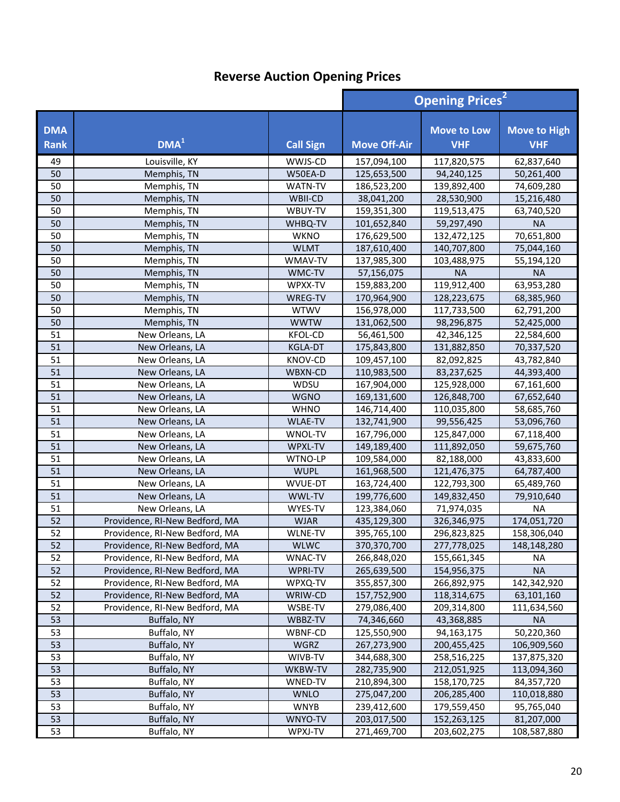|                           |                                |                  | <b>Opening Prices<sup>2</sup></b> |                                  |                                   |
|---------------------------|--------------------------------|------------------|-----------------------------------|----------------------------------|-----------------------------------|
| <b>DMA</b><br><b>Rank</b> | DMA <sup>1</sup>               | <b>Call Sign</b> | <b>Move Off-Air</b>               | <b>Move to Low</b><br><b>VHF</b> | <b>Move to High</b><br><b>VHF</b> |
| 49                        | Louisville, KY                 | WWJS-CD          | 157,094,100                       | 117,820,575                      | 62,837,640                        |
| 50                        | Memphis, TN                    | W50EA-D          | 125,653,500                       | 94,240,125                       | 50,261,400                        |
| 50                        | Memphis, TN                    | <b>WATN-TV</b>   | 186,523,200                       | 139,892,400                      | 74,609,280                        |
| 50                        | Memphis, TN                    | WBII-CD          | 38,041,200                        | 28,530,900                       | 15,216,480                        |
| 50                        | Memphis, TN                    | WBUY-TV          | 159,351,300                       | 119,513,475                      | 63,740,520                        |
| 50                        | Memphis, TN                    | WHBQ-TV          | 101,652,840                       | 59,297,490                       | <b>NA</b>                         |
| 50                        | Memphis, TN                    | <b>WKNO</b>      | 176,629,500                       | 132,472,125                      | 70,651,800                        |
| 50                        | Memphis, TN                    | <b>WLMT</b>      | 187,610,400                       | 140,707,800                      | 75,044,160                        |
| 50                        | Memphis, TN                    | WMAV-TV          | 137,985,300                       | 103,488,975                      | 55,194,120                        |
| 50                        | Memphis, TN                    | WMC-TV           | 57,156,075                        | <b>NA</b>                        | <b>NA</b>                         |
| 50                        | Memphis, TN                    | WPXX-TV          | 159,883,200                       | 119,912,400                      | 63,953,280                        |
| 50                        | Memphis, TN                    | WREG-TV          | 170,964,900                       | 128,223,675                      | 68,385,960                        |
| 50                        | Memphis, TN                    | <b>WTWV</b>      | 156,978,000                       | 117,733,500                      | 62,791,200                        |
| 50                        | Memphis, TN                    | <b>WWTW</b>      | 131,062,500                       | 98,296,875                       | 52,425,000                        |
| 51                        | New Orleans, LA                | <b>KFOL-CD</b>   | 56,461,500                        | 42,346,125                       | 22,584,600                        |
| 51                        | New Orleans, LA                | <b>KGLA-DT</b>   | 175,843,800                       | 131,882,850                      | 70,337,520                        |
| 51                        | New Orleans, LA                | KNOV-CD          | 109,457,100                       | 82,092,825                       | 43,782,840                        |
| 51                        | New Orleans, LA                | WBXN-CD          | 110,983,500                       | 83,237,625                       | 44,393,400                        |
| 51                        | New Orleans, LA                | WDSU             | 167,904,000                       | 125,928,000                      | 67,161,600                        |
| 51                        | New Orleans, LA                | <b>WGNO</b>      | 169,131,600                       | 126,848,700                      | 67,652,640                        |
| 51                        | New Orleans, LA                | <b>WHNO</b>      | 146,714,400                       | 110,035,800                      | 58,685,760                        |
| 51                        | New Orleans, LA                | <b>WLAE-TV</b>   | 132,741,900                       | 99,556,425                       | 53,096,760                        |
| 51                        | New Orleans, LA                | WNOL-TV          | 167,796,000                       | 125,847,000                      | 67,118,400                        |
| 51                        | New Orleans, LA                | WPXL-TV          | 149,189,400                       | 111,892,050                      | 59,675,760                        |
| 51                        | New Orleans, LA                | WTNO-LP          | 109,584,000                       | 82,188,000                       | 43,833,600                        |
| 51                        | New Orleans, LA                | <b>WUPL</b>      | 161,968,500                       | 121,476,375                      | 64,787,400                        |
| 51                        | New Orleans, LA                | WVUE-DT          | 163,724,400                       | 122,793,300                      | 65,489,760                        |
| 51                        | New Orleans, LA                | WWL-TV           | 199,776,600                       | 149,832,450                      | 79,910,640                        |
| 51                        | New Orleans, LA                | WYES-TV          | 123,384,060                       | 71,974,035                       | <b>NA</b>                         |
| 52                        | Providence, RI-New Bedford, MA | <b>WJAR</b>      | 435,129,300                       | 326,346,975                      | 174,051,720                       |
| 52                        | Providence, RI-New Bedford, MA | WLNE-TV          | 395,765,100                       | 296,823,825                      | 158,306,040                       |
| 52                        | Providence, RI-New Bedford, MA | <b>WLWC</b>      | 370,370,700                       | 277,778,025                      | 148,148,280                       |
| 52                        | Providence, RI-New Bedford, MA | WNAC-TV          | 266,848,020                       | 155,661,345                      | NA.                               |
| 52                        | Providence, RI-New Bedford, MA | WPRI-TV          | 265,639,500                       | 154,956,375                      | <b>NA</b>                         |
| 52                        | Providence, RI-New Bedford, MA | WPXQ-TV          | 355,857,300                       | 266,892,975                      | 142,342,920                       |
| 52                        | Providence, RI-New Bedford, MA | WRIW-CD          | 157,752,900                       | 118,314,675                      | 63,101,160                        |
| 52                        | Providence, RI-New Bedford, MA | WSBE-TV          | 279,086,400                       | 209,314,800                      | 111,634,560                       |
| 53                        | Buffalo, NY                    | WBBZ-TV          | 74,346,660                        | 43,368,885                       | <b>NA</b>                         |
| 53                        | Buffalo, NY                    | WBNF-CD          | 125,550,900                       | 94,163,175                       | 50,220,360                        |
| 53                        | Buffalo, NY                    | WGRZ             | 267,273,900                       | 200,455,425                      | 106,909,560                       |
| 53                        | Buffalo, NY                    | WIVB-TV          | 344,688,300                       | 258,516,225                      | 137,875,320                       |
| 53                        | Buffalo, NY                    | WKBW-TV          | 282,735,900                       | 212,051,925                      | 113,094,360                       |
| 53                        | Buffalo, NY                    | WNED-TV          | 210,894,300                       | 158,170,725                      | 84,357,720                        |
| 53                        | Buffalo, NY                    | <b>WNLO</b>      | 275,047,200                       | 206,285,400                      | 110,018,880                       |
| 53                        | Buffalo, NY                    | <b>WNYB</b>      | 239,412,600                       | 179,559,450                      | 95,765,040                        |
| 53                        | Buffalo, NY                    | WNYO-TV          | 203,017,500                       | 152,263,125                      | 81,207,000                        |
| 53                        | Buffalo, NY                    | WPXJ-TV          | 271,469,700                       | 203,602,275                      | 108,587,880                       |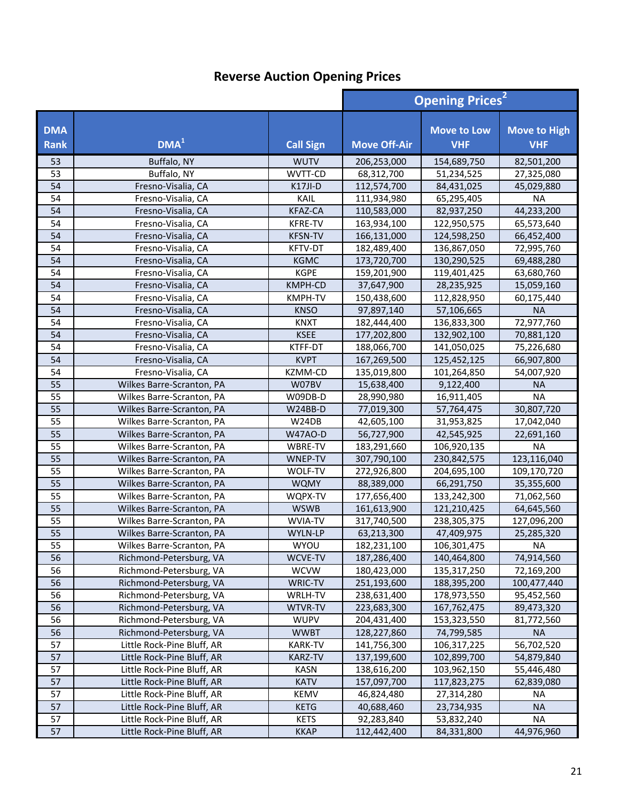|                           |                            |                  | <b>Opening Prices<sup>2</sup></b> |                                  |                                   |
|---------------------------|----------------------------|------------------|-----------------------------------|----------------------------------|-----------------------------------|
| <b>DMA</b><br><b>Rank</b> | DMA <sup>1</sup>           | <b>Call Sign</b> | <b>Move Off-Air</b>               | <b>Move to Low</b><br><b>VHF</b> | <b>Move to High</b><br><b>VHF</b> |
| 53                        | Buffalo, NY                | <b>WUTV</b>      | 206,253,000                       | 154,689,750                      | 82,501,200                        |
| 53                        | Buffalo, NY                | WVTT-CD          | 68,312,700                        | 51,234,525                       | 27,325,080                        |
| 54                        | Fresno-Visalia, CA         | K17JI-D          | 112,574,700                       | 84,431,025                       | 45,029,880                        |
| 54                        | Fresno-Visalia, CA         | KAIL             | 111,934,980                       | 65,295,405                       | <b>NA</b>                         |
| 54                        | Fresno-Visalia, CA         | <b>KFAZ-CA</b>   | 110,583,000                       | 82,937,250                       | 44,233,200                        |
| 54                        | Fresno-Visalia, CA         | <b>KFRE-TV</b>   | 163,934,100                       | 122,950,575                      | 65,573,640                        |
| 54                        | Fresno-Visalia, CA         | <b>KFSN-TV</b>   | 166,131,000                       | 124,598,250                      | 66,452,400                        |
| 54                        | Fresno-Visalia, CA         | KFTV-DT          | 182,489,400                       | 136,867,050                      | 72,995,760                        |
| 54                        | Fresno-Visalia, CA         | <b>KGMC</b>      | 173,720,700                       | 130,290,525                      | 69,488,280                        |
| 54                        | Fresno-Visalia, CA         | <b>KGPE</b>      | 159,201,900                       | 119,401,425                      | 63,680,760                        |
| 54                        | Fresno-Visalia, CA         | KMPH-CD          | 37,647,900                        | 28,235,925                       | 15,059,160                        |
| 54                        | Fresno-Visalia, CA         | <b>KMPH-TV</b>   | 150,438,600                       | 112,828,950                      | 60,175,440                        |
| 54                        | Fresno-Visalia, CA         | <b>KNSO</b>      | 97,897,140                        | 57,106,665                       | <b>NA</b>                         |
| 54                        | Fresno-Visalia, CA         | <b>KNXT</b>      | 182,444,400                       | 136,833,300                      | 72,977,760                        |
| 54                        | Fresno-Visalia, CA         | <b>KSEE</b>      | 177,202,800                       | 132,902,100                      | 70,881,120                        |
| 54                        | Fresno-Visalia, CA         | KTFF-DT          | 188,066,700                       | 141,050,025                      | 75,226,680                        |
| 54                        | Fresno-Visalia, CA         | <b>KVPT</b>      | 167,269,500                       | 125,452,125                      | 66,907,800                        |
| 54                        | Fresno-Visalia, CA         | KZMM-CD          | 135,019,800                       | 101,264,850                      | 54,007,920                        |
| 55                        | Wilkes Barre-Scranton, PA  | W07BV            | 15,638,400                        | 9,122,400                        | <b>NA</b>                         |
| 55                        | Wilkes Barre-Scranton, PA  | W09DB-D          | 28,990,980                        | 16,911,405                       | <b>NA</b>                         |
| 55                        | Wilkes Barre-Scranton, PA  | W24BB-D          | 77,019,300                        | 57,764,475                       | 30,807,720                        |
| 55                        | Wilkes Barre-Scranton, PA  | W24DB            | 42,605,100                        | 31,953,825                       | 17,042,040                        |
| 55                        | Wilkes Barre-Scranton, PA  | W47AO-D          | 56,727,900                        | 42,545,925                       | 22,691,160                        |
| 55                        | Wilkes Barre-Scranton, PA  | WBRE-TV          | 183,291,660                       | 106,920,135                      | <b>NA</b>                         |
| 55                        | Wilkes Barre-Scranton, PA  | WNEP-TV          | 307,790,100                       | 230,842,575                      | 123,116,040                       |
| 55                        | Wilkes Barre-Scranton, PA  | WOLF-TV          | 272,926,800                       | 204,695,100                      | 109,170,720                       |
| 55                        | Wilkes Barre-Scranton, PA  | <b>WQMY</b>      | 88,389,000                        | 66,291,750                       | 35,355,600                        |
| 55                        | Wilkes Barre-Scranton, PA  | WQPX-TV          | 177,656,400                       | 133,242,300                      | 71,062,560                        |
| 55                        | Wilkes Barre-Scranton, PA  | <b>WSWB</b>      | 161,613,900                       | 121,210,425                      | 64,645,560                        |
| 55                        | Wilkes Barre-Scranton, PA  | WVIA-TV          | 317,740,500                       | 238,305,375                      | 127,096,200                       |
| $\overline{55}$           | Wilkes Barre-Scranton, PA  | WYLN-LP          | 63,213,300                        | 47,409,975                       | 25,285,320                        |
| 55                        | Wilkes Barre-Scranton, PA  | WYOU             | 182,231,100                       | 106,301,475                      | <b>NA</b>                         |
| 56                        | Richmond-Petersburg, VA    | WCVE-TV          | 187,286,400                       | 140,464,800                      | 74,914,560                        |
| 56                        | Richmond-Petersburg, VA    | <b>WCVW</b>      | 180,423,000                       | 135, 317, 250                    | 72,169,200                        |
| 56                        | Richmond-Petersburg, VA    | WRIC-TV          | 251,193,600                       | 188,395,200                      | 100,477,440                       |
| 56                        | Richmond-Petersburg, VA    | WRLH-TV          | 238,631,400                       | 178,973,550                      | 95,452,560                        |
| 56                        | Richmond-Petersburg, VA    | WTVR-TV          | 223,683,300                       | 167,762,475                      | 89,473,320                        |
| 56                        | Richmond-Petersburg, VA    | <b>WUPV</b>      | 204,431,400                       | 153,323,550                      | 81,772,560                        |
| 56                        | Richmond-Petersburg, VA    | <b>WWBT</b>      | 128,227,860                       | 74,799,585                       | <b>NA</b>                         |
| 57                        | Little Rock-Pine Bluff, AR | <b>KARK-TV</b>   | 141,756,300                       | 106,317,225                      | 56,702,520                        |
| 57                        | Little Rock-Pine Bluff, AR | <b>KARZ-TV</b>   | 137,199,600                       | 102,899,700                      | 54,879,840                        |
| 57                        | Little Rock-Pine Bluff, AR | <b>KASN</b>      | 138,616,200                       | 103,962,150                      | 55,446,480                        |
| 57                        | Little Rock-Pine Bluff, AR | <b>KATV</b>      | 157,097,700                       | 117,823,275                      | 62,839,080                        |
| 57                        | Little Rock-Pine Bluff, AR | <b>KEMV</b>      | 46,824,480                        | 27,314,280                       | <b>NA</b>                         |
| 57                        | Little Rock-Pine Bluff, AR | <b>KETG</b>      | 40,688,460                        | 23,734,935                       | <b>NA</b>                         |
| 57                        | Little Rock-Pine Bluff, AR | <b>KETS</b>      | 92,283,840                        | 53,832,240                       | <b>NA</b>                         |
| 57                        | Little Rock-Pine Bluff, AR | <b>KKAP</b>      | 112,442,400                       | 84,331,800                       | 44,976,960                        |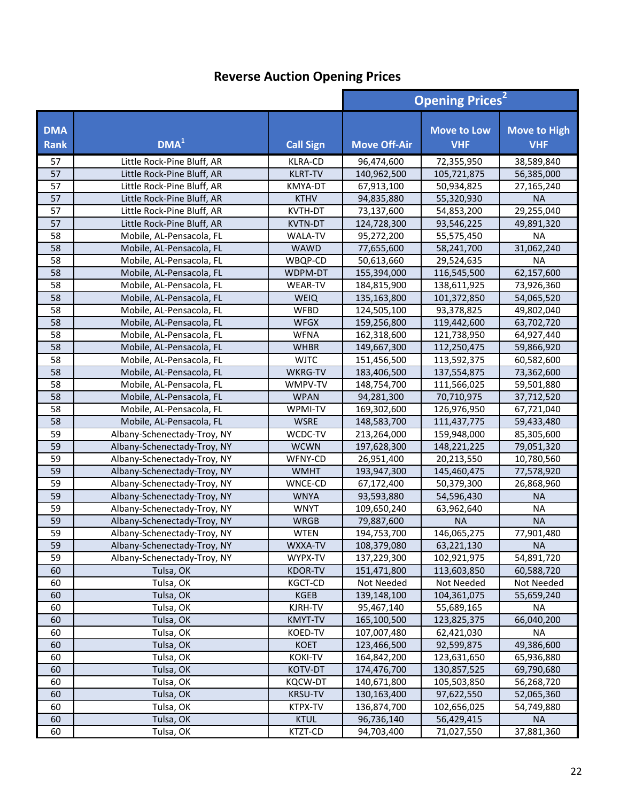|                    |                             |                  | <b>Opening Prices<sup>2</sup></b> |                                  |                                   |
|--------------------|-----------------------------|------------------|-----------------------------------|----------------------------------|-----------------------------------|
| <b>DMA</b><br>Rank | DMA <sup>1</sup>            | <b>Call Sign</b> | <b>Move Off-Air</b>               | <b>Move to Low</b><br><b>VHF</b> | <b>Move to High</b><br><b>VHF</b> |
| 57                 | Little Rock-Pine Bluff, AR  | <b>KLRA-CD</b>   | 96,474,600                        | 72,355,950                       | 38,589,840                        |
| 57                 | Little Rock-Pine Bluff, AR  | <b>KLRT-TV</b>   | 140,962,500                       | 105,721,875                      | 56,385,000                        |
| 57                 | Little Rock-Pine Bluff, AR  | KMYA-DT          | 67,913,100                        | 50,934,825                       | 27,165,240                        |
| 57                 | Little Rock-Pine Bluff, AR  | <b>KTHV</b>      | 94,835,880                        | 55,320,930                       | <b>NA</b>                         |
| 57                 | Little Rock-Pine Bluff, AR  | KVTH-DT          | 73,137,600                        | 54,853,200                       | 29,255,040                        |
| 57                 | Little Rock-Pine Bluff, AR  | <b>KVTN-DT</b>   | 124,728,300                       | 93,546,225                       | 49,891,320                        |
| 58                 | Mobile, AL-Pensacola, FL    | WALA-TV          | 95,272,200                        | 55,575,450                       | <b>NA</b>                         |
| 58                 | Mobile, AL-Pensacola, FL    | WAWD             | 77,655,600                        | 58,241,700                       | 31,062,240                        |
| 58                 | Mobile, AL-Pensacola, FL    | WBQP-CD          | 50,613,660                        | 29,524,635                       | <b>NA</b>                         |
| 58                 | Mobile, AL-Pensacola, FL    | WDPM-DT          | 155,394,000                       | 116,545,500                      | 62,157,600                        |
| 58                 | Mobile, AL-Pensacola, FL    | <b>WEAR-TV</b>   | 184,815,900                       | 138,611,925                      | 73,926,360                        |
| 58                 | Mobile, AL-Pensacola, FL    | <b>WEIQ</b>      | 135,163,800                       | 101,372,850                      | 54,065,520                        |
| 58                 | Mobile, AL-Pensacola, FL    | <b>WFBD</b>      | 124,505,100                       | 93,378,825                       | 49,802,040                        |
| 58                 | Mobile, AL-Pensacola, FL    | <b>WFGX</b>      | 159,256,800                       | 119,442,600                      | 63,702,720                        |
| 58                 | Mobile, AL-Pensacola, FL    | <b>WFNA</b>      | 162,318,600                       | 121,738,950                      | 64,927,440                        |
| 58                 | Mobile, AL-Pensacola, FL    | <b>WHBR</b>      | 149,667,300                       | 112,250,475                      | 59,866,920                        |
| 58                 | Mobile, AL-Pensacola, FL    | <b>WJTC</b>      | 151,456,500                       | 113,592,375                      | 60,582,600                        |
| 58                 | Mobile, AL-Pensacola, FL    | WKRG-TV          | 183,406,500                       | 137,554,875                      | 73,362,600                        |
| 58                 | Mobile, AL-Pensacola, FL    | WMPV-TV          | 148,754,700                       | 111,566,025                      | 59,501,880                        |
| 58                 | Mobile, AL-Pensacola, FL    | <b>WPAN</b>      | 94,281,300                        | 70,710,975                       | 37,712,520                        |
| 58                 | Mobile, AL-Pensacola, FL    | WPMI-TV          | 169,302,600                       | 126,976,950                      | 67,721,040                        |
| 58                 | Mobile, AL-Pensacola, FL    | <b>WSRE</b>      | 148,583,700                       | 111,437,775                      | 59,433,480                        |
| 59                 | Albany-Schenectady-Troy, NY | WCDC-TV          | 213,264,000                       | 159,948,000                      | 85,305,600                        |
| 59                 | Albany-Schenectady-Troy, NY | <b>WCWN</b>      | 197,628,300                       | 148,221,225                      | 79,051,320                        |
| 59                 | Albany-Schenectady-Troy, NY | WFNY-CD          | 26,951,400                        | 20,213,550                       | 10,780,560                        |
| 59                 | Albany-Schenectady-Troy, NY | <b>WMHT</b>      | 193,947,300                       | 145,460,475                      | 77,578,920                        |
| 59                 | Albany-Schenectady-Troy, NY | WNCE-CD          | 67,172,400                        | 50,379,300                       | 26,868,960                        |
| 59                 | Albany-Schenectady-Troy, NY | <b>WNYA</b>      | 93,593,880                        | 54,596,430                       | <b>NA</b>                         |
| 59                 | Albany-Schenectady-Troy, NY | <b>WNYT</b>      | 109,650,240                       | 63,962,640                       | <b>NA</b>                         |
| 59                 | Albany-Schenectady-Troy, NY | <b>WRGB</b>      | 79,887,600                        | <b>NA</b>                        | <b>NA</b>                         |
| 59                 | Albany-Schenectady-Troy, NY | <b>WTEN</b>      | 194,753,700                       | 146,065,275                      | 77,901,480                        |
| 59                 | Albany-Schenectady-Troy, NY | WXXA-TV          | 108,379,080                       | 63,221,130                       | NA.                               |
| 59                 | Albany-Schenectady-Troy, NY | WYPX-TV          | 137,229,300                       | 102,921,975                      | 54,891,720                        |
| 60                 | Tulsa, OK                   | KDOR-TV          | 151,471,800                       | 113,603,850                      | 60,588,720                        |
| 60                 | Tulsa, OK                   | KGCT-CD          | Not Needed                        | Not Needed                       | Not Needed                        |
| 60                 | Tulsa, OK                   | <b>KGEB</b>      | 139,148,100                       | 104,361,075                      | 55,659,240                        |
| 60                 | Tulsa, OK                   | KJRH-TV          | 95,467,140                        | 55,689,165                       | NA                                |
| 60                 | Tulsa, OK                   | <b>KMYT-TV</b>   | 165,100,500                       | 123,825,375                      | 66,040,200                        |
| 60                 | Tulsa, OK                   | <b>KOED-TV</b>   | 107,007,480                       | 62,421,030                       | <b>NA</b>                         |
| 60                 | Tulsa, OK                   | <b>KOET</b>      | 123,466,500                       | 92,599,875                       | 49,386,600                        |
| 60                 | Tulsa, OK                   | <b>KOKI-TV</b>   | 164,842,200                       | 123,631,650                      | 65,936,880                        |
| 60                 | Tulsa, OK                   | KOTV-DT          | 174,476,700                       | 130,857,525                      | 69,790,680                        |
| 60                 | Tulsa, OK                   | <b>KQCW-DT</b>   | 140,671,800                       | 105,503,850                      | 56,268,720                        |
| 60                 | Tulsa, OK                   | <b>KRSU-TV</b>   | 130,163,400                       | 97,622,550                       | 52,065,360                        |
| 60                 | Tulsa, OK                   | KTPX-TV          | 136,874,700                       | 102,656,025                      | 54,749,880                        |
| 60                 | Tulsa, OK                   | <b>KTUL</b>      | 96,736,140                        | 56,429,415                       | <b>NA</b>                         |
| 60                 | Tulsa, OK                   | KTZT-CD          | 94,703,400                        | 71,027,550                       | 37,881,360                        |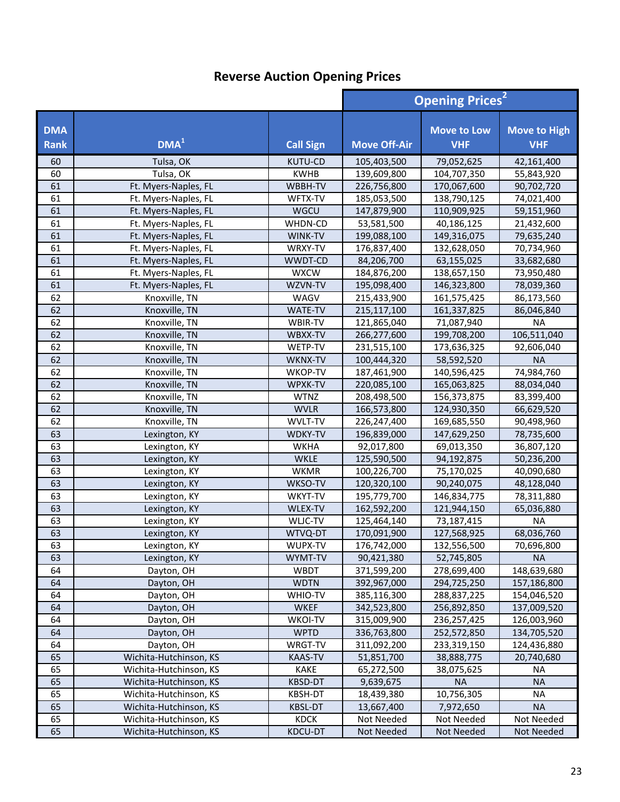|                           |                                      |                           | <b>Opening Prices<sup>2</sup></b> |                                  |                                   |
|---------------------------|--------------------------------------|---------------------------|-----------------------------------|----------------------------------|-----------------------------------|
| <b>DMA</b><br><b>Rank</b> | DMA <sup>1</sup>                     | <b>Call Sign</b>          | <b>Move Off-Air</b>               | <b>Move to Low</b><br><b>VHF</b> | <b>Move to High</b><br><b>VHF</b> |
| 60                        | Tulsa, OK                            | <b>KUTU-CD</b>            | 105,403,500                       | 79,052,625                       | 42,161,400                        |
| 60                        | Tulsa, OK                            | <b>KWHB</b>               | 139,609,800                       | 104,707,350                      | 55,843,920                        |
| 61                        | Ft. Myers-Naples, FL                 | WBBH-TV                   | 226,756,800                       | 170,067,600                      | 90,702,720                        |
| 61                        | Ft. Myers-Naples, FL                 | WFTX-TV                   | 185,053,500                       | 138,790,125                      | 74,021,400                        |
| 61                        | Ft. Myers-Naples, FL                 | WGCU                      | 147,879,900                       | 110,909,925                      | 59,151,960                        |
| 61                        | Ft. Myers-Naples, FL                 | WHDN-CD                   | 53,581,500                        | 40,186,125                       | 21,432,600                        |
| 61                        | Ft. Myers-Naples, FL                 | WINK-TV                   | 199,088,100                       | 149,316,075                      | 79,635,240                        |
| 61                        | Ft. Myers-Naples, FL                 | WRXY-TV                   | 176,837,400                       | 132,628,050                      | 70,734,960                        |
| 61                        | Ft. Myers-Naples, FL                 | WWDT-CD                   | 84,206,700                        | 63,155,025                       | 33,682,680                        |
| 61                        | Ft. Myers-Naples, FL                 | <b>WXCW</b>               | 184,876,200                       | 138,657,150                      | 73,950,480                        |
| 61                        | Ft. Myers-Naples, FL                 | WZVN-TV                   | 195,098,400                       | 146,323,800                      | 78,039,360                        |
| 62                        | Knoxville, TN                        | WAGV                      | 215,433,900                       | 161,575,425                      | 86,173,560                        |
| 62                        | Knoxville, TN                        | WATE-TV                   | 215,117,100                       | 161,337,825                      | 86,046,840                        |
| 62                        | Knoxville, TN                        | WBIR-TV                   | 121,865,040                       | 71,087,940                       | <b>NA</b>                         |
| 62                        | Knoxville, TN                        | WBXX-TV                   | 266,277,600                       | 199,708,200                      | 106,511,040                       |
| 62                        | Knoxville, TN                        | WETP-TV                   | 231,515,100                       | 173,636,325                      | 92,606,040                        |
| 62                        | Knoxville, TN                        | WKNX-TV                   | 100,444,320                       | 58,592,520                       | <b>NA</b>                         |
| 62                        | Knoxville, TN                        | WKOP-TV                   | 187,461,900                       | 140,596,425                      | 74,984,760                        |
| 62                        | Knoxville, TN                        | WPXK-TV                   | 220,085,100                       | 165,063,825                      | 88,034,040                        |
| 62                        | Knoxville, TN                        | <b>WTNZ</b>               | 208,498,500                       | 156,373,875                      | 83,399,400                        |
| 62                        | Knoxville, TN                        | <b>WVLR</b>               | 166,573,800                       | 124,930,350                      | 66,629,520                        |
| 62                        | Knoxville, TN                        | WVLT-TV                   | 226,247,400                       | 169,685,550                      | 90,498,960                        |
| 63                        | Lexington, KY                        | <b>WDKY-TV</b>            | 196,839,000                       | 147,629,250                      | 78,735,600                        |
| 63                        | Lexington, KY                        | <b>WKHA</b>               | 92,017,800                        | 69,013,350                       | 36,807,120                        |
| 63                        | Lexington, KY                        | <b>WKLE</b>               | 125,590,500                       | 94,192,875                       | 50,236,200                        |
| 63                        | Lexington, KY                        | <b>WKMR</b>               | 100,226,700                       | 75,170,025                       | 40,090,680                        |
| 63                        | Lexington, KY                        | WKSO-TV                   | 120,320,100                       | 90,240,075                       | 48,128,040                        |
| 63                        | Lexington, KY                        | WKYT-TV                   | 195,779,700                       | 146,834,775                      | 78,311,880                        |
| 63                        | Lexington, KY                        | WLEX-TV                   | 162,592,200                       | 121,944,150                      | 65,036,880                        |
| 63                        | Lexington, KY                        | WLJC-TV                   | 125,464,140                       | 73,187,415                       | <b>NA</b>                         |
| 63                        | Lexington, KY                        | WTVQ-DT                   | 170,091,900                       | 127,568,925                      | 68,036,760                        |
| 63<br>63                  | Lexington, KY                        | WUPX-TV                   | 176,742,000                       | 132,556,500                      | 70,696,800                        |
|                           | Lexington, KY                        | WYMT-TV                   | 90,421,380                        | 52,745,805                       | <b>NA</b>                         |
| 64                        | Dayton, OH                           | <b>WBDT</b>               | 371,599,200                       | 278,699,400                      | 148,639,680                       |
| 64<br>64                  | Dayton, OH<br>Dayton, OH             | <b>WDTN</b><br>WHIO-TV    | 392,967,000                       | 294,725,250                      | 157,186,800                       |
|                           |                                      | <b>WKEF</b>               | 385,116,300                       | 288,837,225<br>256,892,850       | 154,046,520                       |
| 64<br>64                  | Dayton, OH                           |                           | 342,523,800                       |                                  | 137,009,520                       |
| 64                        | Dayton, OH<br>Dayton, OH             | <b>WKOI-TV</b>            | 315,009,900                       | 236,257,425                      | 126,003,960                       |
|                           |                                      | <b>WPTD</b>               | 336,763,800<br>311,092,200        | 252,572,850                      | 134,705,520<br>124,436,880        |
| 64<br>65                  | Dayton, OH<br>Wichita-Hutchinson, KS | WRGT-TV<br><b>KAAS-TV</b> | 51,851,700                        | 233,319,150<br>38,888,775        | 20,740,680                        |
| 65                        | Wichita-Hutchinson, KS               | <b>KAKE</b>               | 65,272,500                        | 38,075,625                       | <b>NA</b>                         |
| 65                        | Wichita-Hutchinson, KS               | KBSD-DT                   | 9,639,675                         | <b>NA</b>                        | <b>NA</b>                         |
| 65                        | Wichita-Hutchinson, KS               | KBSH-DT                   | 18,439,380                        | 10,756,305                       | <b>NA</b>                         |
| 65                        | Wichita-Hutchinson, KS               | <b>KBSL-DT</b>            | 13,667,400                        | 7,972,650                        | <b>NA</b>                         |
| 65                        | Wichita-Hutchinson, KS               | <b>KDCK</b>               | Not Needed                        | Not Needed                       | Not Needed                        |
| 65                        | Wichita-Hutchinson, KS               | KDCU-DT                   | Not Needed                        | Not Needed                       | Not Needed                        |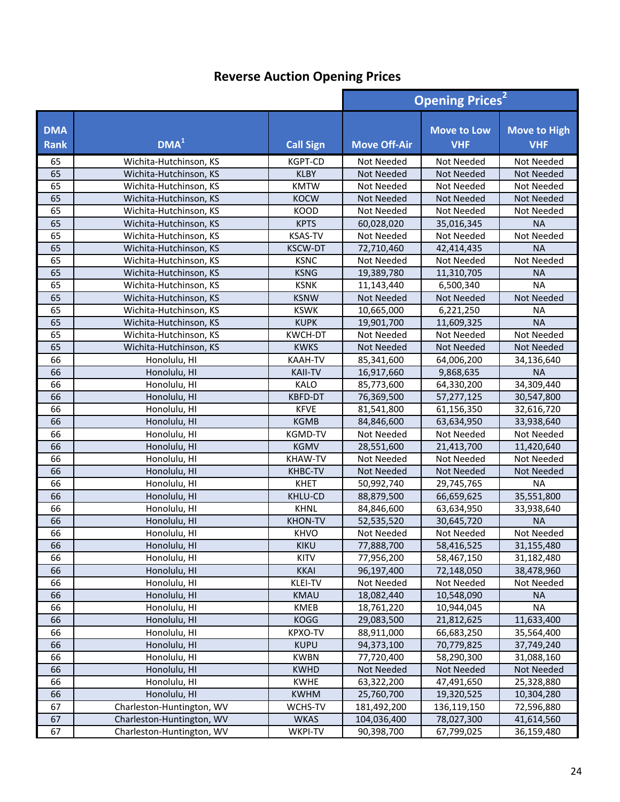|                           |                           |                  | <b>Opening Prices<sup>2</sup></b> |                                  |                                   |
|---------------------------|---------------------------|------------------|-----------------------------------|----------------------------------|-----------------------------------|
| <b>DMA</b><br><b>Rank</b> | DMA <sup>1</sup>          | <b>Call Sign</b> | <b>Move Off-Air</b>               | <b>Move to Low</b><br><b>VHF</b> | <b>Move to High</b><br><b>VHF</b> |
| 65                        | Wichita-Hutchinson, KS    | <b>KGPT-CD</b>   | Not Needed                        | Not Needed                       | Not Needed                        |
| 65                        | Wichita-Hutchinson, KS    | <b>KLBY</b>      | <b>Not Needed</b>                 | <b>Not Needed</b>                | <b>Not Needed</b>                 |
| 65                        | Wichita-Hutchinson, KS    | <b>KMTW</b>      | Not Needed                        | Not Needed                       | Not Needed                        |
| 65                        | Wichita-Hutchinson, KS    | <b>KOCW</b>      | <b>Not Needed</b>                 | <b>Not Needed</b>                | Not Needed                        |
| 65                        | Wichita-Hutchinson, KS    | KOOD             | Not Needed                        | Not Needed                       | Not Needed                        |
| 65                        | Wichita-Hutchinson, KS    | <b>KPTS</b>      | 60,028,020                        | 35,016,345                       | <b>NA</b>                         |
| 65                        | Wichita-Hutchinson, KS    | <b>KSAS-TV</b>   | Not Needed                        | Not Needed                       | Not Needed                        |
| 65                        | Wichita-Hutchinson, KS    | <b>KSCW-DT</b>   | 72,710,460                        | 42,414,435                       | <b>NA</b>                         |
| 65                        | Wichita-Hutchinson, KS    | <b>KSNC</b>      | Not Needed                        | Not Needed                       | Not Needed                        |
| 65                        | Wichita-Hutchinson, KS    | <b>KSNG</b>      | 19,389,780                        | 11,310,705                       | <b>NA</b>                         |
| 65                        | Wichita-Hutchinson, KS    | <b>KSNK</b>      | 11,143,440                        | 6,500,340                        | <b>NA</b>                         |
| 65                        | Wichita-Hutchinson, KS    | <b>KSNW</b>      | <b>Not Needed</b>                 | <b>Not Needed</b>                | <b>Not Needed</b>                 |
| 65                        | Wichita-Hutchinson, KS    | <b>KSWK</b>      | 10,665,000                        | 6,221,250                        | <b>NA</b>                         |
| 65                        | Wichita-Hutchinson, KS    | <b>KUPK</b>      | 19,901,700                        | 11,609,325                       | <b>NA</b>                         |
| 65                        | Wichita-Hutchinson, KS    | <b>KWCH-DT</b>   | Not Needed                        | Not Needed                       | Not Needed                        |
| 65                        | Wichita-Hutchinson, KS    | <b>KWKS</b>      | Not Needed                        | <b>Not Needed</b>                | Not Needed                        |
| 66                        | Honolulu, HI              | <b>KAAH-TV</b>   | 85,341,600                        | 64,006,200                       | 34,136,640                        |
| 66                        | Honolulu, HI              | <b>KAII-TV</b>   | 16,917,660                        | 9,868,635                        | <b>NA</b>                         |
| 66                        | Honolulu, HI              | <b>KALO</b>      | 85,773,600                        | 64,330,200                       | 34,309,440                        |
| 66                        | Honolulu, HI              | KBFD-DT          | 76,369,500                        | 57,277,125                       | 30,547,800                        |
| 66                        | Honolulu, HI              | <b>KFVE</b>      | 81,541,800                        | 61,156,350                       | 32,616,720                        |
| 66                        | Honolulu, HI              | <b>KGMB</b>      | 84,846,600                        | 63,634,950                       | 33,938,640                        |
| 66                        | Honolulu, HI              | KGMD-TV          | Not Needed                        | Not Needed                       | Not Needed                        |
| 66                        | Honolulu, HI              | <b>KGMV</b>      | 28,551,600                        | 21,413,700                       | 11,420,640                        |
| 66                        | Honolulu, HI              | <b>KHAW-TV</b>   | Not Needed                        | Not Needed                       | Not Needed                        |
| 66                        | Honolulu, HI              | <b>KHBC-TV</b>   | Not Needed                        | <b>Not Needed</b>                | Not Needed                        |
| 66                        | Honolulu, HI              | <b>KHET</b>      | 50,992,740                        | 29,745,765                       | <b>NA</b>                         |
| 66                        | Honolulu, HI              | KHLU-CD          | 88,879,500                        | 66,659,625                       | 35,551,800                        |
| 66                        | Honolulu, HI              | <b>KHNL</b>      | 84,846,600                        | 63,634,950                       | 33,938,640                        |
| 66                        | Honolulu, HI              | <b>KHON-TV</b>   | 52,535,520                        | 30,645,720                       | <b>NA</b>                         |
| 66                        | Honolulu, HI              | <b>KHVO</b>      | Not Needed                        | Not Needed                       | Not Needed                        |
| 66                        | Honolulu, HI              | KIKU             | 77,888,700                        | 58,416,525                       | 31,155,480                        |
| 66                        | Honolulu, HI              | KITV             | 77,956,200                        | 58,467,150                       | 31,182,480                        |
| 66                        | Honolulu, HI              | <b>KKAI</b>      | 96,197,400                        | 72,148,050                       | 38,478,960                        |
| 66                        | Honolulu, HI              | KLEI-TV          | Not Needed                        | Not Needed                       | Not Needed                        |
| 66                        | Honolulu, HI              | <b>KMAU</b>      | 18,082,440                        | 10,548,090                       | <b>NA</b>                         |
| 66                        | Honolulu, HI              | KMEB             | 18,761,220                        | 10,944,045                       | <b>NA</b>                         |
| 66                        | Honolulu, HI              | <b>KOGG</b>      | 29,083,500                        | 21,812,625                       | 11,633,400                        |
| 66                        | Honolulu, HI              | KPXO-TV          | 88,911,000                        | 66,683,250                       | 35,564,400                        |
| 66                        | Honolulu, HI              | <b>KUPU</b>      | 94,373,100                        | 70,779,825                       | 37,749,240                        |
| 66                        | Honolulu, HI              | <b>KWBN</b>      | 77,720,400                        | 58,290,300                       | 31,088,160                        |
| 66                        | Honolulu, HI              | <b>KWHD</b>      | Not Needed                        | Not Needed                       | Not Needed                        |
| 66                        | Honolulu, HI              | <b>KWHE</b>      | 63,322,200                        | 47,491,650                       | 25,328,880                        |
| 66                        | Honolulu, HI              | <b>KWHM</b>      | 25,760,700                        | 19,320,525                       | 10,304,280                        |
| 67                        | Charleston-Huntington, WV | WCHS-TV          | 181,492,200                       | 136,119,150                      | 72,596,880                        |
| 67                        | Charleston-Huntington, WV | <b>WKAS</b>      | 104,036,400                       | 78,027,300                       | 41,614,560                        |
| 67                        | Charleston-Huntington, WV | WKPI-TV          | 90,398,700                        | 67,799,025                       | 36,159,480                        |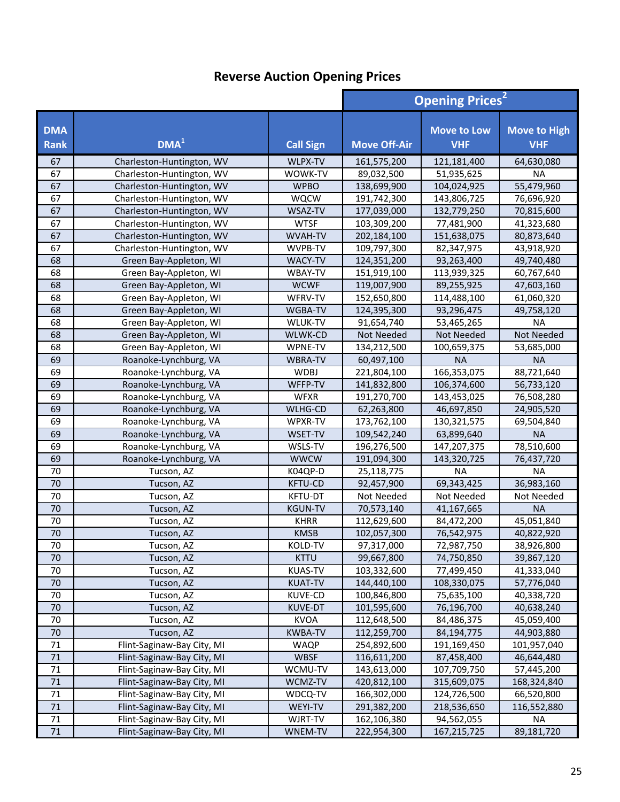|                           |                            |                  | <b>Opening Prices</b> <sup>2</sup> |                                  |                                   |
|---------------------------|----------------------------|------------------|------------------------------------|----------------------------------|-----------------------------------|
| <b>DMA</b><br><b>Rank</b> | DMA <sup>1</sup>           | <b>Call Sign</b> | <b>Move Off-Air</b>                | <b>Move to Low</b><br><b>VHF</b> | <b>Move to High</b><br><b>VHF</b> |
| 67                        | Charleston-Huntington, WV  | WLPX-TV          | 161,575,200                        | 121,181,400                      | 64,630,080                        |
| 67                        | Charleston-Huntington, WV  | WOWK-TV          | 89,032,500                         | 51,935,625                       | <b>NA</b>                         |
| 67                        | Charleston-Huntington, WV  | <b>WPBO</b>      | 138,699,900                        | 104,024,925                      | 55,479,960                        |
| 67                        | Charleston-Huntington, WV  | <b>WQCW</b>      | 191,742,300                        | 143,806,725                      | 76,696,920                        |
| 67                        | Charleston-Huntington, WV  | WSAZ-TV          | 177,039,000                        | 132,779,250                      | 70,815,600                        |
| 67                        | Charleston-Huntington, WV  | <b>WTSF</b>      | 103,309,200                        | 77,481,900                       | 41,323,680                        |
| 67                        | Charleston-Huntington, WV  | WVAH-TV          | 202,184,100                        | 151,638,075                      | 80,873,640                        |
| 67                        | Charleston-Huntington, WV  | WVPB-TV          | 109,797,300                        | 82,347,975                       | 43,918,920                        |
| 68                        | Green Bay-Appleton, WI     | WACY-TV          | 124,351,200                        | 93,263,400                       | 49,740,480                        |
| 68                        | Green Bay-Appleton, WI     | WBAY-TV          | 151,919,100                        | 113,939,325                      | 60,767,640                        |
| 68                        | Green Bay-Appleton, WI     | <b>WCWF</b>      | 119,007,900                        | 89,255,925                       | 47,603,160                        |
| 68                        | Green Bay-Appleton, WI     | WFRV-TV          | 152,650,800                        | 114,488,100                      | 61,060,320                        |
| 68                        | Green Bay-Appleton, WI     | WGBA-TV          | 124,395,300                        | 93,296,475                       | 49,758,120                        |
| 68                        | Green Bay-Appleton, WI     | WLUK-TV          | 91,654,740                         | 53,465,265                       | <b>NA</b>                         |
| 68                        | Green Bay-Appleton, WI     | WLWK-CD          | Not Needed                         | Not Needed                       | Not Needed                        |
| 68                        | Green Bay-Appleton, WI     | WPNE-TV          | 134,212,500                        | 100,659,375                      | 53,685,000                        |
| 69                        | Roanoke-Lynchburg, VA      | WBRA-TV          | 60,497,100                         | <b>NA</b>                        | <b>NA</b>                         |
| 69                        | Roanoke-Lynchburg, VA      | <b>WDBJ</b>      | 221,804,100                        | 166,353,075                      | 88,721,640                        |
| 69                        | Roanoke-Lynchburg, VA      | WFFP-TV          | 141,832,800                        | 106,374,600                      | 56,733,120                        |
| 69                        | Roanoke-Lynchburg, VA      | <b>WFXR</b>      | 191,270,700                        | 143,453,025                      | 76,508,280                        |
| 69                        | Roanoke-Lynchburg, VA      | WLHG-CD          | 62,263,800                         | 46,697,850                       | 24,905,520                        |
| 69                        | Roanoke-Lynchburg, VA      | WPXR-TV          | 173,762,100                        | 130,321,575                      | 69,504,840                        |
| 69                        | Roanoke-Lynchburg, VA      | WSET-TV          | 109,542,240                        | 63,899,640                       | <b>NA</b>                         |
| 69                        | Roanoke-Lynchburg, VA      | WSLS-TV          | 196,276,500                        | 147,207,375                      | 78,510,600                        |
| 69                        | Roanoke-Lynchburg, VA      | <b>WWCW</b>      | 191,094,300                        | 143,320,725                      | 76,437,720                        |
| 70                        | Tucson, AZ                 | K04QP-D          | 25,118,775                         | <b>NA</b>                        | <b>NA</b>                         |
| 70                        | Tucson, AZ                 | <b>KFTU-CD</b>   | 92,457,900                         | 69,343,425                       | 36,983,160                        |
| 70                        | Tucson, AZ                 | KFTU-DT          | Not Needed                         | Not Needed                       | Not Needed                        |
| 70                        | Tucson, AZ                 | <b>KGUN-TV</b>   | 70,573,140                         | 41,167,665                       | <b>NA</b>                         |
| $\overline{70}$           | Tucson, AZ                 | <b>KHRR</b>      | 112,629,600                        | 84,472,200                       | 45,051,840                        |
| 70                        | Tucson, AZ                 | <b>KMSB</b>      | 102,057,300                        | 76,542,975                       | 40,822,920                        |
| 70                        | Tucson, AZ                 | KOLD-TV          | 97,317,000                         | 72,987,750                       | 38,926,800                        |
| 70                        | Tucson, AZ                 | <b>KTTU</b>      | 99,667,800                         | 74,750,850                       | 39,867,120                        |
| 70                        | Tucson, AZ                 | <b>KUAS-TV</b>   | 103,332,600                        | 77,499,450                       | 41,333,040                        |
| 70                        | Tucson, AZ                 | <b>KUAT-TV</b>   | 144,440,100                        | 108,330,075                      | 57,776,040                        |
| 70                        | Tucson, AZ                 | KUVE-CD          | 100,846,800                        | 75,635,100                       | 40,338,720                        |
| 70                        | Tucson, AZ                 | KUVE-DT          | 101,595,600                        | 76,196,700                       | 40,638,240                        |
| 70                        | Tucson, AZ                 | <b>KVOA</b>      | 112,648,500                        | 84,486,375                       | 45,059,400                        |
| 70                        | Tucson, AZ                 | <b>KWBA-TV</b>   | 112,259,700                        | 84,194,775                       | 44,903,880                        |
| 71                        | Flint-Saginaw-Bay City, MI | <b>WAQP</b>      | 254,892,600                        | 191,169,450                      | 101,957,040                       |
| 71                        | Flint-Saginaw-Bay City, MI | <b>WBSF</b>      | 116,611,200                        | 87,458,400                       | 46,644,480                        |
| 71                        | Flint-Saginaw-Bay City, MI | WCMU-TV          | 143,613,000                        | 107,709,750                      | 57,445,200                        |
| 71                        | Flint-Saginaw-Bay City, MI | WCMZ-TV          | 420,812,100                        | 315,609,075                      | 168,324,840                       |
| 71                        | Flint-Saginaw-Bay City, MI | WDCQ-TV          | 166,302,000                        | 124,726,500                      | 66,520,800                        |
| 71                        | Flint-Saginaw-Bay City, MI | WEYI-TV          | 291,382,200                        | 218,536,650                      | 116,552,880                       |
| 71                        | Flint-Saginaw-Bay City, MI | WJRT-TV          | 162,106,380                        | 94,562,055                       | NA                                |
| 71                        | Flint-Saginaw-Bay City, MI | WNEM-TV          | 222,954,300                        | 167,215,725                      | 89,181,720                        |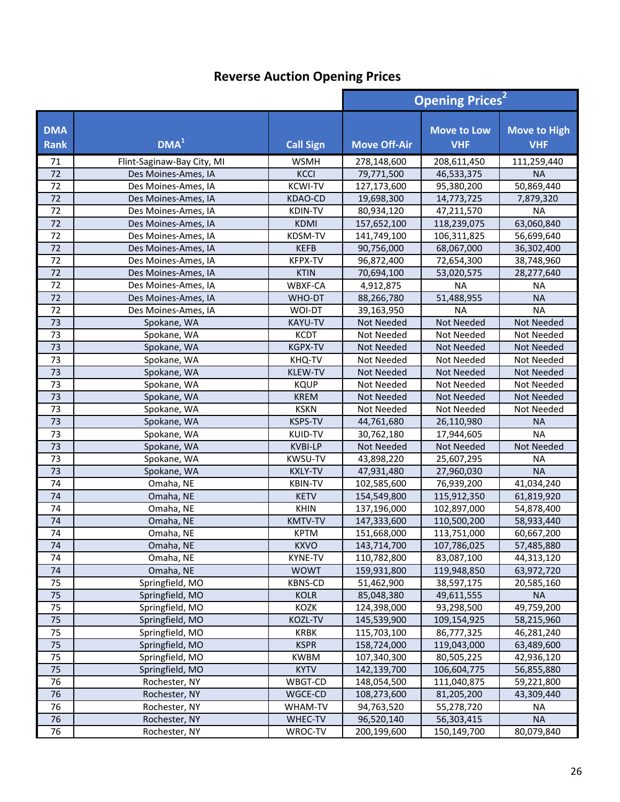|                           |                              |                               | <b>Opening Prices<sup>2</sup></b> |                                  |                                   |
|---------------------------|------------------------------|-------------------------------|-----------------------------------|----------------------------------|-----------------------------------|
| <b>DMA</b><br><b>Rank</b> | DMA <sup>1</sup>             | <b>Call Sign</b>              | <b>Move Off-Air</b>               | <b>Move to Low</b><br><b>VHF</b> | <b>Move to High</b><br><b>VHF</b> |
| 71                        | Flint-Saginaw-Bay City, MI   | <b>WSMH</b>                   | 278,148,600                       | 208,611,450                      | 111,259,440                       |
| 72                        | Des Moines-Ames, IA          | <b>KCCI</b>                   | 79,771,500                        | 46,533,375                       | <b>NA</b>                         |
| 72                        | Des Moines-Ames, IA          | <b>KCWI-TV</b>                | 127,173,600                       | 95,380,200                       | 50,869,440                        |
| 72                        | Des Moines-Ames, IA          | KDAO-CD                       | 19,698,300                        | 14,773,725                       | 7,879,320                         |
| 72                        | Des Moines-Ames, IA          | KDIN-TV                       | 80,934,120                        | 47,211,570                       | <b>NA</b>                         |
| 72                        | Des Moines-Ames, IA          | <b>KDMI</b>                   | 157,652,100                       | 118,239,075                      | 63,060,840                        |
| 72                        | Des Moines-Ames, IA          | KDSM-TV                       | 141,749,100                       | 106,311,825                      | 56,699,640                        |
| 72                        | Des Moines-Ames, IA          | <b>KEFB</b>                   | 90,756,000                        | 68,067,000                       | 36,302,400                        |
| 72                        | Des Moines-Ames, IA          | <b>KFPX-TV</b>                | 96,872,400                        | 72,654,300                       | 38,748,960                        |
| 72                        | Des Moines-Ames, IA          | <b>KTIN</b>                   | 70,694,100                        | 53,020,575                       | 28,277,640                        |
| 72                        | Des Moines-Ames, IA          | WBXF-CA                       | 4,912,875                         | <b>NA</b>                        | <b>NA</b>                         |
| 72                        | Des Moines-Ames, IA          | WHO-DT                        | 88,266,780                        | 51,488,955                       | <b>NA</b>                         |
| 72                        | Des Moines-Ames, IA          | WOI-DT                        | 39,163,950                        | <b>NA</b>                        | <b>NA</b>                         |
| 73                        | Spokane, WA                  | <b>KAYU-TV</b>                | Not Needed                        | Not Needed                       | Not Needed                        |
| 73                        | Spokane, WA                  | <b>KCDT</b>                   | Not Needed                        | Not Needed                       | Not Needed                        |
| 73                        | Spokane, WA                  | <b>KGPX-TV</b>                | Not Needed                        | Not Needed                       | Not Needed                        |
| 73                        | Spokane, WA                  | KHQ-TV                        | Not Needed                        | Not Needed                       | Not Needed                        |
| 73                        | Spokane, WA                  | KLEW-TV                       | Not Needed                        | <b>Not Needed</b>                | Not Needed                        |
| 73                        | Spokane, WA                  | <b>KQUP</b>                   | Not Needed                        | Not Needed                       | Not Needed                        |
| 73                        | Spokane, WA                  | <b>KREM</b>                   | Not Needed                        | Not Needed                       | Not Needed                        |
| 73                        | Spokane, WA                  | <b>KSKN</b>                   | Not Needed                        | Not Needed                       | Not Needed                        |
| 73                        | Spokane, WA                  | <b>KSPS-TV</b>                | 44,761,680                        | 26,110,980                       | <b>NA</b>                         |
| 73                        | Spokane, WA                  | <b>KUID-TV</b>                | 30,762,180                        | 17,944,605                       | <b>NA</b>                         |
| 73                        | Spokane, WA                  | <b>KVBI-LP</b>                | Not Needed                        | Not Needed                       | Not Needed                        |
| 73                        | Spokane, WA                  | <b>KWSU-TV</b>                | 43,898,220                        | 25,607,295                       | <b>NA</b>                         |
| 73                        | Spokane, WA                  | <b>KXLY-TV</b>                | 47,931,480                        | 27,960,030                       | <b>NA</b>                         |
| 74                        | Omaha, NE                    | <b>KBIN-TV</b>                | 102,585,600                       | 76,939,200                       | 41,034,240                        |
| 74                        | Omaha, NE                    | <b>KETV</b>                   | 154,549,800                       | 115,912,350                      | 61,819,920                        |
| 74                        | Omaha, NE                    | <b>KHIN</b>                   | 137,196,000                       | 102,897,000                      | 54,878,400                        |
| 74                        | Omaha, NE                    | <b>KMTV-TV</b>                | 147,333,600                       | 110,500,200                      | 58,933,440                        |
| 74<br>74                  | Omaha, NE                    | <b>KPTM</b>                   | 151,668,000                       | 113,751,000                      | 60,667,200                        |
| 74                        | Omaha, NE<br>Omaha, NE       | <b>KXVO</b><br><b>KYNE-TV</b> | 143,714,700                       | 107,786,025                      | 57,485,880                        |
| 74                        |                              |                               | 110,782,800<br>159,931,800        | 83,087,100                       | 44,313,120                        |
|                           | Omaha, NE<br>Springfield, MO | <b>WOWT</b><br><b>KBNS-CD</b> |                                   | 119,948,850                      | 63,972,720                        |
| 75<br>75                  | Springfield, MO              | <b>KOLR</b>                   | 51,462,900<br>85,048,380          | 38,597,175<br>49,611,555         | 20,585,160<br><b>NA</b>           |
| 75                        | Springfield, MO              | KOZK                          | 124,398,000                       | 93,298,500                       | 49,759,200                        |
| 75                        | Springfield, MO              | KOZL-TV                       |                                   |                                  |                                   |
| 75                        | Springfield, MO              | KRBK                          | 145,539,900<br>115,703,100        | 109,154,925<br>86,777,325        | 58,215,960<br>46,281,240          |
| 75                        | Springfield, MO              | <b>KSPR</b>                   | 158,724,000                       | 119,043,000                      | 63,489,600                        |
| 75                        | Springfield, MO              | <b>KWBM</b>                   | 107,340,300                       | 80,505,225                       | 42,936,120                        |
| 75                        | Springfield, MO              | <b>KYTV</b>                   | 142,139,700                       | 106,604,775                      | 56,855,880                        |
| 76                        | Rochester, NY                | WBGT-CD                       | 148,054,500                       | 111,040,875                      | 59,221,800                        |
| 76                        | Rochester, NY                | WGCE-CD                       | 108,273,600                       | 81,205,200                       | 43,309,440                        |
| 76                        | Rochester, NY                | WHAM-TV                       | 94,763,520                        | 55,278,720                       | <b>NA</b>                         |
| 76                        | Rochester, NY                | WHEC-TV                       | 96,520,140                        | 56,303,415                       | <b>NA</b>                         |
| 76                        | Rochester, NY                | WROC-TV                       | 200,199,600                       | 150,149,700                      | 80,079,840                        |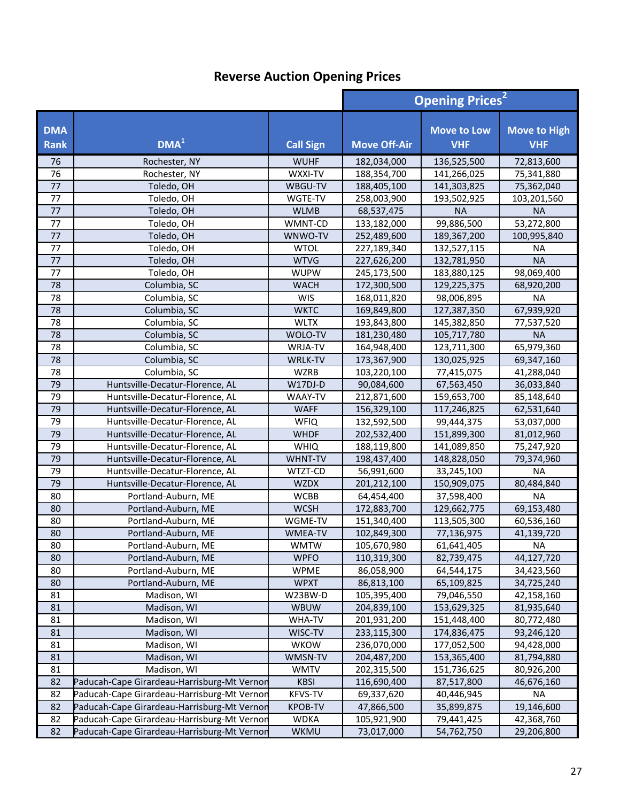|                           |                                             |                  | <b>Opening Prices<sup>2</sup></b> |                                  |                                   |
|---------------------------|---------------------------------------------|------------------|-----------------------------------|----------------------------------|-----------------------------------|
| <b>DMA</b><br><b>Rank</b> | DMA <sup>1</sup>                            | <b>Call Sign</b> | <b>Move Off-Air</b>               | <b>Move to Low</b><br><b>VHF</b> | <b>Move to High</b><br><b>VHF</b> |
| 76                        | Rochester, NY                               | <b>WUHF</b>      | 182,034,000                       | 136,525,500                      | 72,813,600                        |
| 76                        | Rochester, NY                               | WXXI-TV          | 188,354,700                       | 141,266,025                      | 75,341,880                        |
| 77                        | Toledo, OH                                  | WBGU-TV          | 188,405,100                       | 141,303,825                      | 75,362,040                        |
| 77                        | Toledo, OH                                  | WGTE-TV          | 258,003,900                       | 193,502,925                      | 103,201,560                       |
| 77                        | Toledo, OH                                  | <b>WLMB</b>      | 68,537,475                        | <b>NA</b>                        | <b>NA</b>                         |
| 77                        | Toledo, OH                                  | WMNT-CD          | 133,182,000                       | 99,886,500                       | 53,272,800                        |
| 77                        | Toledo, OH                                  | WNWO-TV          | 252,489,600                       | 189,367,200                      | 100,995,840                       |
| 77                        | Toledo, OH                                  | <b>WTOL</b>      | 227,189,340                       | 132,527,115                      | <b>NA</b>                         |
| 77                        | Toledo, OH                                  | <b>WTVG</b>      | 227,626,200                       | 132,781,950                      | <b>NA</b>                         |
| 77                        | Toledo, OH                                  | <b>WUPW</b>      | 245,173,500                       | 183,880,125                      | 98,069,400                        |
| 78                        | Columbia, SC                                | <b>WACH</b>      | 172,300,500                       | 129,225,375                      | 68,920,200                        |
| 78                        | Columbia, SC                                | <b>WIS</b>       | 168,011,820                       | 98,006,895                       | <b>NA</b>                         |
| 78                        | Columbia, SC                                | <b>WKTC</b>      | 169,849,800                       | 127,387,350                      | 67,939,920                        |
| 78                        | Columbia, SC                                | <b>WLTX</b>      | 193,843,800                       | 145,382,850                      | 77,537,520                        |
| 78                        | Columbia, SC                                | WOLO-TV          | 181,230,480                       | 105,717,780                      | <b>NA</b>                         |
| 78                        | Columbia, SC                                | WRJA-TV          | 164,948,400                       | 123,711,300                      | 65,979,360                        |
| 78                        | Columbia, SC                                | WRLK-TV          | 173,367,900                       | 130,025,925                      | 69,347,160                        |
| 78                        | Columbia, SC                                | <b>WZRB</b>      | 103,220,100                       | 77,415,075                       | 41,288,040                        |
| 79                        | Huntsville-Decatur-Florence, AL             | W17DJ-D          | 90,084,600                        | 67,563,450                       | 36,033,840                        |
| 79                        | Huntsville-Decatur-Florence, AL             | WAAY-TV          | 212,871,600                       | 159,653,700                      | 85,148,640                        |
| 79                        | Huntsville-Decatur-Florence, AL             | <b>WAFF</b>      | 156,329,100                       | 117,246,825                      | 62,531,640                        |
| 79                        | Huntsville-Decatur-Florence, AL             | <b>WFIQ</b>      | 132,592,500                       | 99,444,375                       | 53,037,000                        |
| 79                        | Huntsville-Decatur-Florence, AL             | <b>WHDF</b>      | 202,532,400                       | 151,899,300                      | 81,012,960                        |
| 79                        | Huntsville-Decatur-Florence, AL             | <b>WHIQ</b>      | 188,119,800                       | 141,089,850                      | 75,247,920                        |
| 79                        | Huntsville-Decatur-Florence, AL             | WHNT-TV          | 198,437,400                       | 148,828,050                      | 79,374,960                        |
| 79                        | Huntsville-Decatur-Florence, AL             | WTZT-CD          | 56,991,600                        | 33,245,100                       | <b>NA</b>                         |
| 79                        | Huntsville-Decatur-Florence, AL             | <b>WZDX</b>      | 201,212,100                       | 150,909,075                      | 80,484,840                        |
| 80                        | Portland-Auburn, ME                         | <b>WCBB</b>      | 64,454,400                        | 37,598,400                       | <b>NA</b>                         |
| 80                        | Portland-Auburn, ME                         | <b>WCSH</b>      | 172,883,700                       | 129,662,775                      | 69,153,480                        |
| 80                        | Portland-Auburn, ME                         | WGME-TV          | 151,340,400                       | 113,505,300                      | 60,536,160                        |
| 80                        | Portland-Auburn, ME                         | <b>WMEA-TV</b>   | 102,849,300                       | 77,136,975                       | 41,139,720                        |
| 80                        | Portland-Auburn, ME                         | <b>WMTW</b>      | 105,670,980                       | 61,641,405                       | <b>NA</b>                         |
| 80                        | Portland-Auburn, ME                         | <b>WPFO</b>      | 110,319,300                       | 82,739,475                       | 44,127,720                        |
| 80                        | Portland-Auburn, ME                         | <b>WPME</b>      | 86,058,900                        | 64,544,175                       | 34,423,560                        |
| 80                        | Portland-Auburn, ME                         | <b>WPXT</b>      | 86,813,100                        | 65,109,825                       | 34,725,240                        |
| 81                        | Madison, WI                                 | W23BW-D          | 105,395,400                       | 79,046,550                       | 42,158,160                        |
| 81                        | Madison, WI                                 | WBUW             | 204,839,100                       | 153,629,325                      | 81,935,640                        |
| 81                        | Madison, WI                                 | WHA-TV           | 201,931,200                       | 151,448,400                      | 80,772,480                        |
| 81                        | Madison, WI                                 | WISC-TV          | 233,115,300                       | 174,836,475                      | 93,246,120                        |
| 81                        | Madison, WI                                 | <b>WKOW</b>      | 236,070,000                       | 177,052,500                      | 94,428,000                        |
| 81                        | Madison, WI                                 | WMSN-TV          | 204,487,200                       | 153,365,400                      | 81,794,880                        |
| 81                        | Madison, WI                                 | <b>WMTV</b>      | 202,315,500                       | 151,736,625                      | 80,926,200                        |
| 82                        | Paducah-Cape Girardeau-Harrisburg-Mt Vernon | <b>KBSI</b>      | 116,690,400                       | 87,517,800                       | 46,676,160                        |
| 82                        | Paducah-Cape Girardeau-Harrisburg-Mt Vernon | <b>KFVS-TV</b>   | 69,337,620                        | 40,446,945                       | <b>NA</b>                         |
| 82                        | Paducah-Cape Girardeau-Harrisburg-Mt Vernon | <b>KPOB-TV</b>   | 47,866,500                        | 35,899,875                       | 19,146,600                        |
| 82                        | Paducah-Cape Girardeau-Harrisburg-Mt Vernon | <b>WDKA</b>      | 105,921,900                       | 79,441,425                       | 42,368,760                        |
| 82                        | Paducah-Cape Girardeau-Harrisburg-Mt Vernon | WKMU             | 73,017,000                        | 54,762,750                       | 29,206,800                        |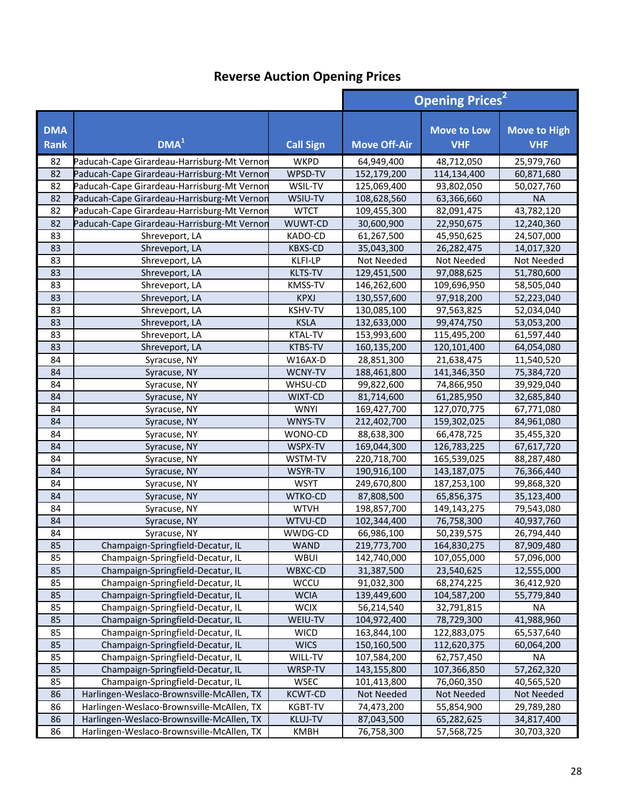|                           |                                                                        |                            | <b>Opening Prices<sup>2</sup></b> |                                  |                                   |
|---------------------------|------------------------------------------------------------------------|----------------------------|-----------------------------------|----------------------------------|-----------------------------------|
| <b>DMA</b><br><b>Rank</b> | DMA <sup>1</sup>                                                       | <b>Call Sign</b>           | <b>Move Off-Air</b>               | <b>Move to Low</b><br><b>VHF</b> | <b>Move to High</b><br><b>VHF</b> |
| 82                        | Paducah-Cape Girardeau-Harrisburg-Mt Vernon                            | <b>WKPD</b>                | 64,949,400                        | 48,712,050                       | 25,979,760                        |
| 82                        | Paducah-Cape Girardeau-Harrisburg-Mt Vernon                            | WPSD-TV                    | 152,179,200                       | 114,134,400                      | 60,871,680                        |
| 82                        | Paducah-Cape Girardeau-Harrisburg-Mt Vernon                            | WSIL-TV                    | 125,069,400                       | 93,802,050                       | 50,027,760                        |
| 82                        | Paducah-Cape Girardeau-Harrisburg-Mt Vernor                            | WSIU-TV                    | 108,628,560                       | 63,366,660                       | <b>NA</b>                         |
| 82                        | Paducah-Cape Girardeau-Harrisburg-Mt Vernon                            | <b>WTCT</b>                | 109,455,300                       | 82,091,475                       | 43,782,120                        |
| 82                        | Paducah-Cape Girardeau-Harrisburg-Mt Vernor                            | WUWT-CD                    | 30,600,900                        | 22,950,675                       | 12,240,360                        |
| 83                        | Shreveport, LA                                                         | KADO-CD                    | 61,267,500                        | 45,950,625                       | 24,507,000                        |
| 83                        | Shreveport, LA                                                         | <b>KBXS-CD</b>             | 35,043,300                        | 26,282,475                       | 14,017,320                        |
| 83                        | Shreveport, LA                                                         | KLFI-LP                    | Not Needed                        | Not Needed                       | Not Needed                        |
| 83                        | Shreveport, LA                                                         | <b>KLTS-TV</b>             | 129,451,500                       | 97,088,625                       | 51,780,600                        |
| 83                        | Shreveport, LA                                                         | KMSS-TV                    | 146,262,600                       | 109,696,950                      | 58,505,040                        |
| 83                        | Shreveport, LA                                                         | <b>KPXJ</b>                | 130,557,600                       | 97,918,200                       | 52,223,040                        |
| 83                        | Shreveport, LA                                                         | <b>KSHV-TV</b>             | 130,085,100                       | 97,563,825                       | 52,034,040                        |
| 83                        | Shreveport, LA                                                         | <b>KSLA</b>                | 132,633,000                       | 99,474,750                       | 53,053,200                        |
| 83                        | Shreveport, LA                                                         | <b>KTAL-TV</b>             | 153,993,600                       | 115,495,200                      | 61,597,440                        |
| 83                        | Shreveport, LA                                                         | <b>KTBS-TV</b>             | 160,135,200                       | 120,101,400                      | 64,054,080                        |
| 84                        | Syracuse, NY                                                           | W16AX-D                    | 28,851,300                        | 21,638,475                       | 11,540,520                        |
| 84                        | Syracuse, NY                                                           | WCNY-TV                    | 188,461,800                       | 141,346,350                      | 75,384,720                        |
| 84                        | Syracuse, NY                                                           | WHSU-CD                    | 99,822,600                        | 74,866,950                       | 39,929,040                        |
| 84                        | Syracuse, NY                                                           | WIXT-CD                    | 81,714,600                        | 61,285,950                       | 32,685,840                        |
| 84                        | Syracuse, NY                                                           | <b>WNYI</b>                | 169,427,700                       | 127,070,775                      | 67,771,080                        |
| 84                        | Syracuse, NY                                                           | WNYS-TV                    | 212,402,700                       | 159,302,025                      | 84,961,080                        |
| 84                        | Syracuse, NY                                                           | WONO-CD                    | 88,638,300                        | 66,478,725                       | 35,455,320                        |
| 84                        | Syracuse, NY                                                           | WSPX-TV                    | 169,044,300                       | 126,783,225                      | 67,617,720                        |
| 84                        | Syracuse, NY                                                           | WSTM-TV                    | 220,718,700                       | 165,539,025                      | 88,287,480                        |
| 84                        | Syracuse, NY                                                           | WSYR-TV                    | 190,916,100                       | 143,187,075                      | 76,366,440                        |
| 84                        | Syracuse, NY                                                           | <b>WSYT</b>                | 249,670,800                       | 187,253,100                      | 99,868,320                        |
| 84                        | Syracuse, NY                                                           | WTKO-CD                    | 87,808,500                        | 65,856,375                       | 35,123,400                        |
| 84                        | Syracuse, NY                                                           | <b>WTVH</b>                | 198,857,700                       | 149,143,275                      | 79,543,080                        |
| 84                        | Syracuse, NY                                                           | WTVU-CD                    | 102,344,400                       | 76,758,300                       | 40,937,760                        |
| 84                        | Syracuse, NY                                                           | WWDG-CD                    | 66,986,100                        | 50,239,575                       | 26,794,440                        |
| 85                        | Champaign-Springfield-Decatur, IL                                      | <b>WAND</b>                | 219,773,700                       | 164,830,275                      | 87,909,480                        |
| 85                        | Champaign-Springfield-Decatur, IL                                      | WBUI                       | 142,740,000                       | 107,055,000                      | 57,096,000                        |
| 85                        | Champaign-Springfield-Decatur, IL                                      | WBXC-CD                    | 31,387,500                        | 23,540,625                       | 12,555,000                        |
| 85                        | Champaign-Springfield-Decatur, IL                                      | WCCU<br><b>WCIA</b>        | 91,032,300                        | 68,274,225                       | 36,412,920                        |
| 85                        | Champaign-Springfield-Decatur, IL                                      | <b>WCIX</b>                | 139,449,600                       | 104,587,200                      | 55,779,840                        |
| 85                        | Champaign-Springfield-Decatur, IL<br>Champaign-Springfield-Decatur, IL |                            | 56,214,540                        | 32,791,815                       | ΝA                                |
| 85<br>85                  |                                                                        | WEIU-TV                    | 104,972,400                       | 78,729,300                       | 41,988,960                        |
| 85                        | Champaign-Springfield-Decatur, IL<br>Champaign-Springfield-Decatur, IL | <b>WICD</b><br><b>WICS</b> | 163,844,100                       | 122,883,075<br>112,620,375       | 65,537,640                        |
| 85                        | Champaign-Springfield-Decatur, IL                                      | WILL-TV                    | 150,160,500<br>107,584,200        | 62,757,450                       | 60,064,200<br><b>NA</b>           |
| 85                        | Champaign-Springfield-Decatur, IL                                      | WRSP-TV                    | 143,155,800                       | 107,366,850                      | 57,262,320                        |
| 85                        | Champaign-Springfield-Decatur, IL                                      | <b>WSEC</b>                | 101,413,800                       | 76,060,350                       | 40,565,520                        |
| 86                        | Harlingen-Weslaco-Brownsville-McAllen, TX                              | <b>KCWT-CD</b>             | Not Needed                        | Not Needed                       | Not Needed                        |
| 86                        | Harlingen-Weslaco-Brownsville-McAllen, TX                              | <b>KGBT-TV</b>             | 74,473,200                        | 55,854,900                       | 29,789,280                        |
| 86                        | Harlingen-Weslaco-Brownsville-McAllen, TX                              | <b>KLUJ-TV</b>             | 87,043,500                        | 65,282,625                       | 34,817,400                        |
| 86                        | Harlingen-Weslaco-Brownsville-McAllen, TX                              | <b>KMBH</b>                | 76,758,300                        | 57,568,725                       | 30,703,320                        |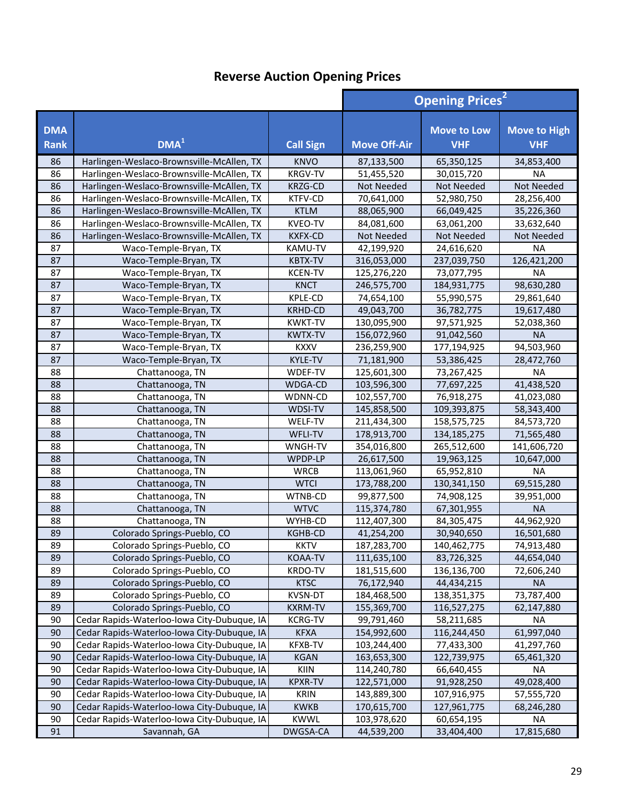|                           |                                             |                  | <b>Opening Prices<sup>2</sup></b> |                                  |                                   |
|---------------------------|---------------------------------------------|------------------|-----------------------------------|----------------------------------|-----------------------------------|
| <b>DMA</b><br><b>Rank</b> | DMA <sup>1</sup>                            | <b>Call Sign</b> | <b>Move Off-Air</b>               | <b>Move to Low</b><br><b>VHF</b> | <b>Move to High</b><br><b>VHF</b> |
| 86                        | Harlingen-Weslaco-Brownsville-McAllen, TX   | <b>KNVO</b>      | 87,133,500                        | 65,350,125                       | 34,853,400                        |
| 86                        | Harlingen-Weslaco-Brownsville-McAllen, TX   | <b>KRGV-TV</b>   | 51,455,520                        | 30,015,720                       | <b>NA</b>                         |
| 86                        | Harlingen-Weslaco-Brownsville-McAllen, TX   | <b>KRZG-CD</b>   | Not Needed                        | Not Needed                       | Not Needed                        |
| 86                        | Harlingen-Weslaco-Brownsville-McAllen, TX   | KTFV-CD          | 70,641,000                        | 52,980,750                       | 28,256,400                        |
| 86                        | Harlingen-Weslaco-Brownsville-McAllen, TX   | <b>KTLM</b>      | 88,065,900                        | 66,049,425                       | 35,226,360                        |
| 86                        | Harlingen-Weslaco-Brownsville-McAllen, TX   | <b>KVEO-TV</b>   | 84,081,600                        | 63,061,200                       | 33,632,640                        |
| 86                        | Harlingen-Weslaco-Brownsville-McAllen, TX   | <b>KXFX-CD</b>   | Not Needed                        | <b>Not Needed</b>                | Not Needed                        |
| 87                        | Waco-Temple-Bryan, TX                       | KAMU-TV          | 42,199,920                        | 24,616,620                       | <b>NA</b>                         |
| 87                        | Waco-Temple-Bryan, TX                       | <b>KBTX-TV</b>   | 316,053,000                       | 237,039,750                      | 126,421,200                       |
| 87                        | Waco-Temple-Bryan, TX                       | <b>KCEN-TV</b>   | 125,276,220                       | 73,077,795                       | <b>NA</b>                         |
| 87                        | Waco-Temple-Bryan, TX                       | <b>KNCT</b>      | 246,575,700                       | 184,931,775                      | 98,630,280                        |
| 87                        | Waco-Temple-Bryan, TX                       | <b>KPLE-CD</b>   | 74,654,100                        | 55,990,575                       | 29,861,640                        |
| 87                        | Waco-Temple-Bryan, TX                       | <b>KRHD-CD</b>   | 49,043,700                        | 36,782,775                       | 19,617,480                        |
| 87                        | Waco-Temple-Bryan, TX                       | <b>KWKT-TV</b>   | 130,095,900                       | 97,571,925                       | 52,038,360                        |
| 87                        | Waco-Temple-Bryan, TX                       | <b>KWTX-TV</b>   | 156,072,960                       | 91,042,560                       | <b>NA</b>                         |
| 87                        | Waco-Temple-Bryan, TX                       | <b>KXXV</b>      | 236,259,900                       | 177,194,925                      | 94,503,960                        |
| 87                        | Waco-Temple-Bryan, TX                       | <b>KYLE-TV</b>   | 71,181,900                        | 53,386,425                       | 28,472,760                        |
| 88                        | Chattanooga, TN                             | WDEF-TV          | 125,601,300                       | 73,267,425                       | <b>NA</b>                         |
| 88                        | Chattanooga, TN                             | WDGA-CD          | 103,596,300                       | 77,697,225                       | 41,438,520                        |
| 88                        | Chattanooga, TN                             | WDNN-CD          | 102,557,700                       | 76,918,275                       | 41,023,080                        |
| 88                        | Chattanooga, TN                             | WDSI-TV          | 145,858,500                       | 109,393,875                      | 58,343,400                        |
| 88                        | Chattanooga, TN                             | WELF-TV          | 211,434,300                       | 158,575,725                      | 84,573,720                        |
| 88                        | Chattanooga, TN                             | WFLI-TV          | 178,913,700                       | 134,185,275                      | 71,565,480                        |
| 88                        | Chattanooga, TN                             | WNGH-TV          | 354,016,800                       | 265,512,600                      | 141,606,720                       |
| 88                        | Chattanooga, TN                             | WPDP-LP          | 26,617,500                        | 19,963,125                       | 10,647,000                        |
| 88                        | Chattanooga, TN                             | <b>WRCB</b>      | 113,061,960                       | 65,952,810                       | <b>NA</b>                         |
| 88                        | Chattanooga, TN                             | <b>WTCI</b>      | 173,788,200                       | 130, 341, 150                    | 69,515,280                        |
| 88                        | Chattanooga, TN                             | WTNB-CD          | 99,877,500                        | 74,908,125                       | 39,951,000                        |
| 88                        | Chattanooga, TN                             | <b>WTVC</b>      | 115,374,780                       | 67,301,955                       | <b>NA</b>                         |
| 88                        | Chattanooga, TN                             | WYHB-CD          | 112,407,300                       | 84,305,475                       | 44,962,920                        |
| 89                        | Colorado Springs-Pueblo, CO                 | KGHB-CD          | 41,254,200                        | 30,940,650                       | 16,501,680                        |
| 89                        | Colorado Springs-Pueblo, CO                 | <b>KKTV</b>      | 187,283,700                       | 140,462,775                      | 74,913,480                        |
| 89                        | Colorado Springs-Pueblo, CO                 | KOAA-TV          | 111,635,100                       | 83,726,325                       | 44,654,040                        |
| 89                        | Colorado Springs-Pueblo, CO                 | KRDO-TV          | 181,515,600                       | 136,136,700                      | 72,606,240                        |
| 89                        | Colorado Springs-Pueblo, CO                 | <b>KTSC</b>      | 76,172,940                        | 44,434,215                       | <b>NA</b>                         |
| 89                        | Colorado Springs-Pueblo, CO                 | KVSN-DT          | 184,468,500                       | 138, 351, 375                    | 73,787,400                        |
| 89                        | Colorado Springs-Pueblo, CO                 | <b>KXRM-TV</b>   | 155,369,700                       | 116,527,275                      | 62,147,880                        |
| 90                        | Cedar Rapids-Waterloo-Iowa City-Dubuque, IA | <b>KCRG-TV</b>   | 99,791,460                        | 58,211,685                       | NA                                |
| 90                        | Cedar Rapids-Waterloo-Iowa City-Dubuque, IA | <b>KFXA</b>      | 154,992,600                       | 116,244,450                      | 61,997,040                        |
| 90                        | Cedar Rapids-Waterloo-Iowa City-Dubuque, IA | KFXB-TV          | 103,244,400                       | 77,433,300                       | 41,297,760                        |
| 90                        | Cedar Rapids-Waterloo-Iowa City-Dubuque, IA | <b>KGAN</b>      | 163,653,300                       | 122,739,975                      | 65,461,320                        |
| 90                        | Cedar Rapids-Waterloo-Iowa City-Dubuque, IA | KIIN             | 114,240,780                       | 66,640,455                       | <b>NA</b>                         |
| 90                        | Cedar Rapids-Waterloo-Iowa City-Dubuque, IA | <b>KPXR-TV</b>   | 122,571,000                       | 91,928,250                       | 49,028,400                        |
| 90                        | Cedar Rapids-Waterloo-Iowa City-Dubuque, IA | <b>KRIN</b>      | 143,889,300                       | 107,916,975                      | 57,555,720                        |
| 90                        | Cedar Rapids-Waterloo-Iowa City-Dubuque, IA | <b>KWKB</b>      | 170,615,700                       | 127,961,775                      | 68,246,280                        |
| 90                        | Cedar Rapids-Waterloo-Iowa City-Dubuque, IA | <b>KWWL</b>      | 103,978,620                       | 60,654,195                       | <b>NA</b>                         |
| 91                        | Savannah, GA                                | DWGSA-CA         | 44,539,200                        | 33,404,400                       | 17,815,680                        |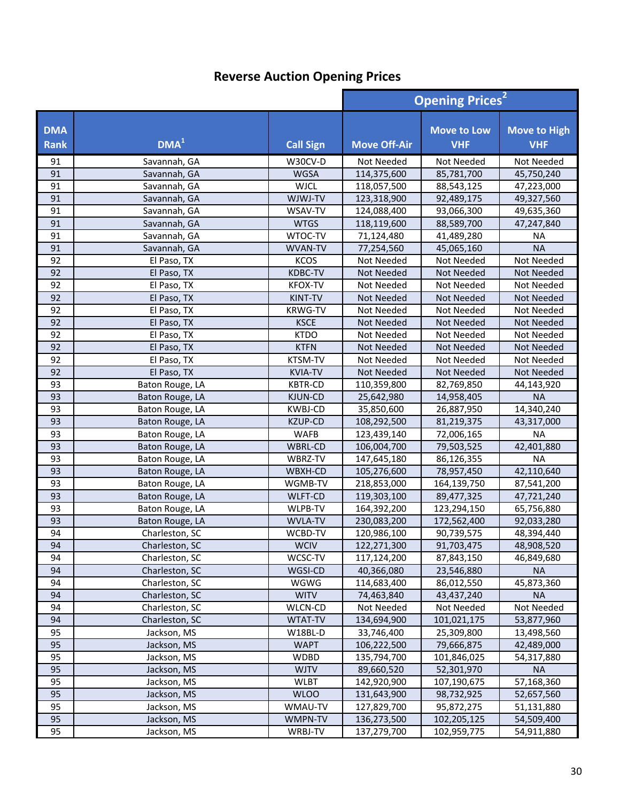|                           |                  |                  | <b>Opening Prices<sup>2</sup></b> |                                  |                                   |
|---------------------------|------------------|------------------|-----------------------------------|----------------------------------|-----------------------------------|
| <b>DMA</b><br><b>Rank</b> | DMA <sup>1</sup> | <b>Call Sign</b> | <b>Move Off-Air</b>               | <b>Move to Low</b><br><b>VHF</b> | <b>Move to High</b><br><b>VHF</b> |
| 91                        | Savannah, GA     | W30CV-D          | Not Needed                        | Not Needed                       | Not Needed                        |
| 91                        | Savannah, GA     | <b>WGSA</b>      | 114,375,600                       | 85,781,700                       | 45,750,240                        |
| 91                        | Savannah, GA     | <b>WJCL</b>      | 118,057,500                       | 88,543,125                       | 47,223,000                        |
| 91                        | Savannah, GA     | WJWJ-TV          | 123,318,900                       | 92,489,175                       | 49,327,560                        |
| 91                        | Savannah, GA     | WSAV-TV          | 124,088,400                       | 93,066,300                       | 49,635,360                        |
| 91                        | Savannah, GA     | <b>WTGS</b>      | 118,119,600                       | 88,589,700                       | 47,247,840                        |
| 91                        | Savannah, GA     | WTOC-TV          | 71,124,480                        | 41,489,280                       | <b>NA</b>                         |
| 91                        | Savannah, GA     | WVAN-TV          | 77,254,560                        | 45,065,160                       | <b>NA</b>                         |
| 92                        | El Paso, TX      | <b>KCOS</b>      | Not Needed                        | Not Needed                       | Not Needed                        |
| 92                        | El Paso, TX      | <b>KDBC-TV</b>   | Not Needed                        | <b>Not Needed</b>                | Not Needed                        |
| 92                        | El Paso, TX      | <b>KFOX-TV</b>   | Not Needed                        | Not Needed                       | Not Needed                        |
| 92                        | El Paso, TX      | KINT-TV          | Not Needed                        | <b>Not Needed</b>                | Not Needed                        |
| 92                        | El Paso, TX      | <b>KRWG-TV</b>   | Not Needed                        | Not Needed                       | Not Needed                        |
| 92                        | El Paso, TX      | <b>KSCE</b>      | Not Needed                        | Not Needed                       | Not Needed                        |
| 92                        | El Paso, TX      | <b>KTDO</b>      | Not Needed                        | Not Needed                       | Not Needed                        |
| 92                        | El Paso, TX      | <b>KTFN</b>      | <b>Not Needed</b>                 | Not Needed                       | Not Needed                        |
| 92                        | El Paso, TX      | KTSM-TV          | Not Needed                        | Not Needed                       | Not Needed                        |
| 92                        | El Paso, TX      | <b>KVIA-TV</b>   | Not Needed                        | Not Needed                       | Not Needed                        |
| 93                        | Baton Rouge, LA  | <b>KBTR-CD</b>   | 110,359,800                       | 82,769,850                       | 44,143,920                        |
| 93                        | Baton Rouge, LA  | KJUN-CD          | 25,642,980                        | 14,958,405                       | <b>NA</b>                         |
| 93                        | Baton Rouge, LA  | <b>KWBJ-CD</b>   | 35,850,600                        | 26,887,950                       | 14,340,240                        |
| 93                        | Baton Rouge, LA  | <b>KZUP-CD</b>   | 108,292,500                       | 81,219,375                       | 43,317,000                        |
| 93                        | Baton Rouge, LA  | <b>WAFB</b>      | 123,439,140                       | 72,006,165                       | <b>NA</b>                         |
| 93                        | Baton Rouge, LA  | WBRL-CD          | 106,004,700                       | 79,503,525                       | 42,401,880                        |
| 93                        | Baton Rouge, LA  | WBRZ-TV          | 147,645,180                       | 86,126,355                       | <b>NA</b>                         |
| 93                        | Baton Rouge, LA  | WBXH-CD          | 105,276,600                       | 78,957,450                       | 42,110,640                        |
| 93                        | Baton Rouge, LA  | WGMB-TV          | 218,853,000                       | 164,139,750                      | 87,541,200                        |
| 93                        | Baton Rouge, LA  | WLFT-CD          | 119,303,100                       | 89,477,325                       | 47,721,240                        |
| 93                        | Baton Rouge, LA  | WLPB-TV          | 164,392,200                       | 123,294,150                      | 65,756,880                        |
| 93                        | Baton Rouge, LA  | <b>WVLA-TV</b>   | 230,083,200                       | 172,562,400                      | 92,033,280                        |
| 94                        | Charleston, SC   | WCBD-TV          | 120,986,100                       | 90,739,575                       | 48,394,440                        |
| 94                        | Charleston, SC   | WCIV             | 122,271,300                       | 91,703,475                       | 48,908,520                        |
| 94                        | Charleston, SC   | WCSC-TV          | 117,124,200                       | 87,843,150                       | 46,849,680                        |
| 94                        | Charleston, SC   | WGSI-CD          | 40,366,080                        | 23,546,880                       | <b>NA</b>                         |
| 94                        | Charleston, SC   | WGWG             | 114,683,400                       | 86,012,550                       | 45,873,360                        |
| 94                        | Charleston, SC   | <b>WITV</b>      | 74,463,840                        | 43,437,240                       | <b>NA</b>                         |
| 94                        | Charleston, SC   | <b>WLCN-CD</b>   | Not Needed                        | Not Needed                       | Not Needed                        |
| 94                        | Charleston, SC   | <b>WTAT-TV</b>   | 134,694,900                       | 101,021,175                      | 53,877,960                        |
| 95                        | Jackson, MS      | W18BL-D          | 33,746,400                        | 25,309,800                       | 13,498,560                        |
| 95                        | Jackson, MS      | <b>WAPT</b>      | 106,222,500                       | 79,666,875                       | 42,489,000                        |
| 95                        | Jackson, MS      | <b>WDBD</b>      | 135,794,700                       | 101,846,025                      | 54,317,880                        |
| 95                        | Jackson, MS      | <b>WJTV</b>      | 89,660,520                        | 52,301,970                       | <b>NA</b>                         |
| 95                        | Jackson, MS      | <b>WLBT</b>      | 142,920,900                       | 107,190,675                      | 57,168,360                        |
| 95                        | Jackson, MS      | <b>WLOO</b>      | 131,643,900                       | 98,732,925                       | 52,657,560                        |
| 95                        | Jackson, MS      | WMAU-TV          | 127,829,700                       | 95,872,275                       | 51,131,880                        |
| 95                        | Jackson, MS      | WMPN-TV          | 136,273,500                       | 102,205,125                      | 54,509,400                        |
| 95                        | Jackson, MS      | WRBJ-TV          | 137,279,700                       | 102,959,775                      | 54,911,880                        |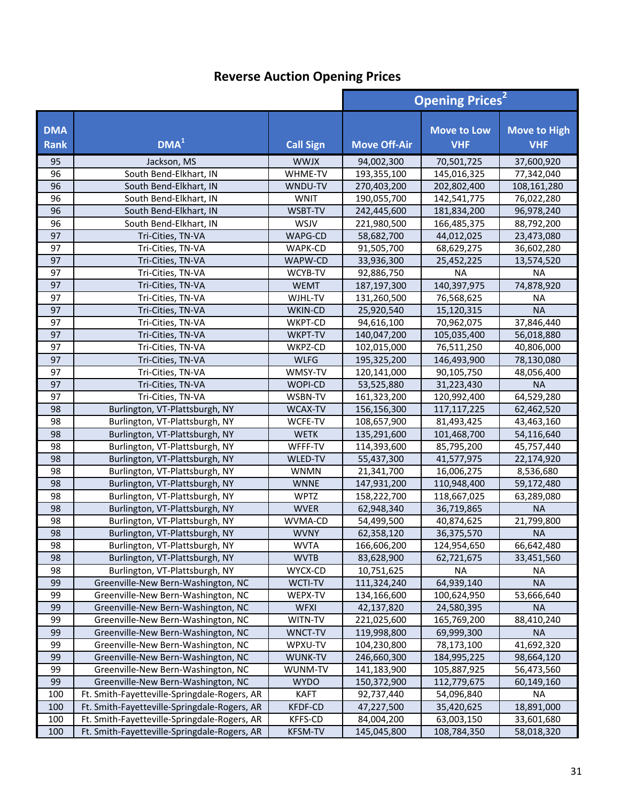|                           |                                              |                  |                     | <b>Opening Prices<sup>2</sup></b> |                                   |  |
|---------------------------|----------------------------------------------|------------------|---------------------|-----------------------------------|-----------------------------------|--|
| <b>DMA</b><br><b>Rank</b> | DMA <sup>1</sup>                             | <b>Call Sign</b> | <b>Move Off-Air</b> | <b>Move to Low</b><br><b>VHF</b>  | <b>Move to High</b><br><b>VHF</b> |  |
| 95                        | Jackson, MS                                  | <b>WWJX</b>      | 94,002,300          | 70,501,725                        | 37,600,920                        |  |
| 96                        | South Bend-Elkhart, IN                       | WHME-TV          | 193,355,100         | 145,016,325                       | 77,342,040                        |  |
| 96                        | South Bend-Elkhart, IN                       | WNDU-TV          | 270,403,200         | 202,802,400                       | 108,161,280                       |  |
| 96                        | South Bend-Elkhart, IN                       | <b>WNIT</b>      | 190,055,700         | 142,541,775                       | 76,022,280                        |  |
| 96                        | South Bend-Elkhart, IN                       | WSBT-TV          | 242,445,600         | 181,834,200                       | 96,978,240                        |  |
| 96                        | South Bend-Elkhart, IN                       | WSJV             | 221,980,500         | 166,485,375                       | 88,792,200                        |  |
| 97                        | Tri-Cities, TN-VA                            | WAPG-CD          | 58,682,700          | 44,012,025                        | 23,473,080                        |  |
| 97                        | Tri-Cities, TN-VA                            | WAPK-CD          | 91,505,700          | 68,629,275                        | 36,602,280                        |  |
| 97                        | Tri-Cities, TN-VA                            | WAPW-CD          | 33,936,300          | 25,452,225                        | 13,574,520                        |  |
| 97                        | Tri-Cities, TN-VA                            | WCYB-TV          | 92,886,750          | <b>NA</b>                         | <b>NA</b>                         |  |
| 97                        | Tri-Cities, TN-VA                            | <b>WEMT</b>      | 187, 197, 300       | 140,397,975                       | 74,878,920                        |  |
| 97                        | Tri-Cities, TN-VA                            | WJHL-TV          | 131,260,500         | 76,568,625                        | <b>NA</b>                         |  |
| 97                        | Tri-Cities, TN-VA                            | WKIN-CD          | 25,920,540          | 15,120,315                        | <b>NA</b>                         |  |
| 97                        | Tri-Cities, TN-VA                            | WKPT-CD          | 94,616,100          | 70,962,075                        | 37,846,440                        |  |
| 97                        | Tri-Cities, TN-VA                            | WKPT-TV          | 140,047,200         | 105,035,400                       | 56,018,880                        |  |
| 97                        | Tri-Cities, TN-VA                            | WKPZ-CD          | 102,015,000         | 76,511,250                        | 40,806,000                        |  |
| 97                        | Tri-Cities, TN-VA                            | <b>WLFG</b>      | 195,325,200         | 146,493,900                       | 78,130,080                        |  |
| 97                        | Tri-Cities, TN-VA                            | WMSY-TV          | 120,141,000         | 90,105,750                        | 48,056,400                        |  |
| 97                        | Tri-Cities, TN-VA                            | WOPI-CD          | 53,525,880          | 31,223,430                        | <b>NA</b>                         |  |
| 97                        | Tri-Cities, TN-VA                            | WSBN-TV          | 161,323,200         | 120,992,400                       | 64,529,280                        |  |
| 98                        | Burlington, VT-Plattsburgh, NY               | WCAX-TV          | 156,156,300         | 117, 117, 225                     | 62,462,520                        |  |
| 98                        | Burlington, VT-Plattsburgh, NY               | WCFE-TV          | 108,657,900         | 81,493,425                        | 43,463,160                        |  |
| 98                        | Burlington, VT-Plattsburgh, NY               | <b>WETK</b>      | 135,291,600         | 101,468,700                       | 54,116,640                        |  |
| 98                        | Burlington, VT-Plattsburgh, NY               | WFFF-TV          | 114,393,600         | 85,795,200                        | 45,757,440                        |  |
| 98                        | Burlington, VT-Plattsburgh, NY               | WLED-TV          | 55,437,300          | 41,577,975                        | 22,174,920                        |  |
| 98                        | Burlington, VT-Plattsburgh, NY               | <b>WNMN</b>      | 21,341,700          | 16,006,275                        | 8,536,680                         |  |
| 98                        | Burlington, VT-Plattsburgh, NY               | <b>WNNE</b>      | 147,931,200         | 110,948,400                       | 59,172,480                        |  |
| 98                        | Burlington, VT-Plattsburgh, NY               | <b>WPTZ</b>      | 158,222,700         | 118,667,025                       | 63,289,080                        |  |
| 98                        | Burlington, VT-Plattsburgh, NY               | <b>WVER</b>      | 62,948,340          | 36,719,865                        | <b>NA</b>                         |  |
| 98                        | Burlington, VT-Plattsburgh, NY               | WVMA-CD          | 54,499,500          | 40,874,625                        | 21,799,800                        |  |
| 98                        | Burlington, VT-Plattsburgh, NY               | <b>WVNY</b>      | 62,358,120          | 36,375,570                        | <b>NA</b>                         |  |
| 98                        | Burlington, VT-Plattsburgh, NY               | <b>WVTA</b>      | 166,606,200         | 124,954,650                       | 66,642,480                        |  |
| 98                        | Burlington, VT-Plattsburgh, NY               | <b>WVTB</b>      | 83,628,900          | 62,721,675                        | 33,451,560                        |  |
| 98                        | Burlington, VT-Plattsburgh, NY               | WYCX-CD          | 10,751,625          | <b>NA</b>                         | ΝA                                |  |
| 99                        | Greenville-New Bern-Washington, NC           | WCTI-TV          | 111,324,240         | 64,939,140                        | <b>NA</b>                         |  |
| 99                        | Greenville-New Bern-Washington, NC           | WEPX-TV          | 134,166,600         | 100,624,950                       | 53,666,640                        |  |
| 99                        | Greenville-New Bern-Washington, NC           | <b>WFXI</b>      | 42,137,820          | 24,580,395                        | <b>NA</b>                         |  |
| 99                        | Greenville-New Bern-Washington, NC           | WITN-TV          | 221,025,600         | 165,769,200                       | 88,410,240                        |  |
| 99                        | Greenville-New Bern-Washington, NC           | WNCT-TV          | 119,998,800         | 69,999,300                        | <b>NA</b>                         |  |
| 99                        | Greenville-New Bern-Washington, NC           | WPXU-TV          | 104,230,800         | 78,173,100                        | 41,692,320                        |  |
| 99                        | Greenville-New Bern-Washington, NC           | WUNK-TV          | 246,660,300         | 184,995,225                       | 98,664,120                        |  |
| 99                        | Greenville-New Bern-Washington, NC           | WUNM-TV          | 141,183,900         | 105,887,925                       | 56,473,560                        |  |
| 99                        | Greenville-New Bern-Washington, NC           | <b>WYDO</b>      | 150,372,900         | 112,779,675                       | 60,149,160                        |  |
| 100                       | Ft. Smith-Fayetteville-Springdale-Rogers, AR | <b>KAFT</b>      | 92,737,440          | 54,096,840                        | <b>NA</b>                         |  |
| 100                       | Ft. Smith-Fayetteville-Springdale-Rogers, AR | <b>KFDF-CD</b>   | 47,227,500          | 35,420,625                        | 18,891,000                        |  |
| 100                       | Ft. Smith-Fayetteville-Springdale-Rogers, AR | KFFS-CD          | 84,004,200          | 63,003,150                        | 33,601,680                        |  |
| 100                       | Ft. Smith-Fayetteville-Springdale-Rogers, AR | <b>KFSM-TV</b>   | 145,045,800         | 108,784,350                       | 58,018,320                        |  |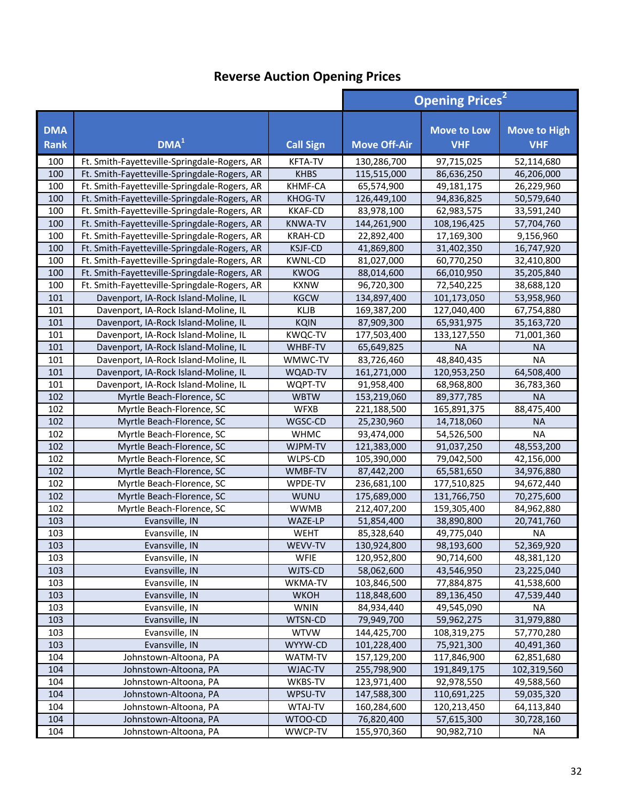|                           |                                              |                  | <b>Opening Prices<sup>2</sup></b> |                                  |                                   |
|---------------------------|----------------------------------------------|------------------|-----------------------------------|----------------------------------|-----------------------------------|
| <b>DMA</b><br><b>Rank</b> | DMA <sup>1</sup>                             | <b>Call Sign</b> | <b>Move Off-Air</b>               | <b>Move to Low</b><br><b>VHF</b> | <b>Move to High</b><br><b>VHF</b> |
| 100                       | Ft. Smith-Fayetteville-Springdale-Rogers, AR | <b>KFTA-TV</b>   | 130,286,700                       | 97,715,025                       | 52,114,680                        |
| 100                       | Ft. Smith-Fayetteville-Springdale-Rogers, AR | <b>KHBS</b>      | 115,515,000                       | 86,636,250                       | 46,206,000                        |
| 100                       | Ft. Smith-Fayetteville-Springdale-Rogers, AR | KHMF-CA          | 65,574,900                        | 49,181,175                       | 26,229,960                        |
| 100                       | Ft. Smith-Fayetteville-Springdale-Rogers, AR | KHOG-TV          | 126,449,100                       | 94,836,825                       | 50,579,640                        |
| 100                       | Ft. Smith-Fayetteville-Springdale-Rogers, AR | <b>KKAF-CD</b>   | 83,978,100                        | 62,983,575                       | 33,591,240                        |
| 100                       | Ft. Smith-Fayetteville-Springdale-Rogers, AR | <b>KNWA-TV</b>   | 144,261,900                       | 108,196,425                      | 57,704,760                        |
| 100                       | Ft. Smith-Fayetteville-Springdale-Rogers, AR | <b>KRAH-CD</b>   | 22,892,400                        | 17,169,300                       | 9,156,960                         |
| 100                       | Ft. Smith-Fayetteville-Springdale-Rogers, AR | <b>KSJF-CD</b>   | 41,869,800                        | 31,402,350                       | 16,747,920                        |
| 100                       | Ft. Smith-Fayetteville-Springdale-Rogers, AR | <b>KWNL-CD</b>   | 81,027,000                        | 60,770,250                       | 32,410,800                        |
| 100                       | Ft. Smith-Fayetteville-Springdale-Rogers, AR | <b>KWOG</b>      | 88,014,600                        | 66,010,950                       | 35,205,840                        |
| 100                       | Ft. Smith-Fayetteville-Springdale-Rogers, AR | <b>KXNW</b>      | 96,720,300                        | 72,540,225                       | 38,688,120                        |
| 101                       | Davenport, IA-Rock Island-Moline, IL         | <b>KGCW</b>      | 134,897,400                       | 101,173,050                      | 53,958,960                        |
| 101                       | Davenport, IA-Rock Island-Moline, IL         | <b>KLJB</b>      | 169,387,200                       | 127,040,400                      | 67,754,880                        |
| 101                       | Davenport, IA-Rock Island-Moline, IL         | <b>KQIN</b>      | 87,909,300                        | 65,931,975                       | 35,163,720                        |
| 101                       | Davenport, IA-Rock Island-Moline, IL         | <b>KWQC-TV</b>   | 177,503,400                       | 133,127,550                      | 71,001,360                        |
| 101                       | Davenport, IA-Rock Island-Moline, IL         | WHBF-TV          | 65,649,825                        | <b>NA</b>                        | <b>NA</b>                         |
| 101                       | Davenport, IA-Rock Island-Moline, IL         | WMWC-TV          | 83,726,460                        | 48,840,435                       | <b>NA</b>                         |
| 101                       | Davenport, IA-Rock Island-Moline, IL         | WQAD-TV          | 161,271,000                       | 120,953,250                      | 64,508,400                        |
| 101                       | Davenport, IA-Rock Island-Moline, IL         | WQPT-TV          | 91,958,400                        | 68,968,800                       | 36,783,360                        |
| 102                       | Myrtle Beach-Florence, SC                    | <b>WBTW</b>      | 153,219,060                       | 89,377,785                       | <b>NA</b>                         |
| 102                       | Myrtle Beach-Florence, SC                    | <b>WFXB</b>      | 221,188,500                       | 165,891,375                      | 88,475,400                        |
| 102                       | Myrtle Beach-Florence, SC                    | WGSC-CD          | 25,230,960                        | 14,718,060                       | <b>NA</b>                         |
| 102                       | Myrtle Beach-Florence, SC                    | <b>WHMC</b>      | 93,474,000                        | 54,526,500                       | <b>NA</b>                         |
| 102                       | Myrtle Beach-Florence, SC                    | WJPM-TV          | 121,383,000                       | 91,037,250                       | 48,553,200                        |
| 102                       | Myrtle Beach-Florence, SC                    | WLPS-CD          | 105,390,000                       | 79,042,500                       | 42,156,000                        |
| 102                       | Myrtle Beach-Florence, SC                    | WMBF-TV          | 87,442,200                        | 65,581,650                       | 34,976,880                        |
| 102                       | Myrtle Beach-Florence, SC                    | WPDE-TV          | 236,681,100                       | 177,510,825                      | 94,672,440                        |
| 102                       | Myrtle Beach-Florence, SC                    | WUNU             | 175,689,000                       | 131,766,750                      | 70,275,600                        |
| 102                       | Myrtle Beach-Florence, SC                    | <b>WWMB</b>      | 212,407,200                       | 159,305,400                      | 84,962,880                        |
| 103                       | Evansville, IN                               | WAZE-LP          | 51,854,400                        | 38,890,800                       | 20,741,760                        |
| 103                       | Evansville, IN                               | WEHT             | 85,328,640                        | 49,775,040                       | <b>NA</b>                         |
| 103                       | Evansville, IN                               | WEVV-TV          | 130,924,800                       | 98,193,600                       | 52,369,920                        |
| 103                       | Evansville, IN                               | <b>WFIE</b>      | 120,952,800                       | 90,714,600                       | 48,381,120                        |
| 103                       | Evansville, IN                               | WJTS-CD          | 58,062,600                        | 43,546,950                       | 23,225,040                        |
| 103                       | Evansville, IN                               | WKMA-TV          | 103,846,500                       | 77,884,875                       | 41,538,600                        |
| 103                       | Evansville, IN                               | <b>WKOH</b>      | 118,848,600                       | 89,136,450                       | 47,539,440                        |
| 103                       | Evansville, IN                               | <b>WNIN</b>      | 84,934,440                        | 49,545,090                       | ΝA                                |
| 103                       | Evansville, IN                               | WTSN-CD          | 79,949,700                        | 59,962,275                       | 31,979,880                        |
| 103                       | Evansville, IN                               | <b>WTVW</b>      | 144,425,700                       | 108,319,275                      | 57,770,280                        |
| 103                       | Evansville, IN                               | WYYW-CD          | 101,228,400                       | 75,921,300                       | 40,491,360                        |
| 104                       | Johnstown-Altoona, PA                        | WATM-TV          | 157,129,200                       | 117,846,900                      | 62,851,680                        |
| 104                       | Johnstown-Altoona, PA                        | WJAC-TV          | 255,798,900                       | 191,849,175                      | 102,319,560                       |
| 104                       | Johnstown-Altoona, PA                        | WKBS-TV          | 123,971,400                       | 92,978,550                       | 49,588,560                        |
| 104                       | Johnstown-Altoona, PA                        | WPSU-TV          | 147,588,300                       | 110,691,225                      | 59,035,320                        |
| 104                       | Johnstown-Altoona, PA                        | WTAJ-TV          | 160,284,600                       | 120,213,450                      | 64,113,840                        |
| 104                       | Johnstown-Altoona, PA                        | WTOO-CD          | 76,820,400                        | 57,615,300                       | 30,728,160                        |
| 104                       | Johnstown-Altoona, PA                        | WWCP-TV          | 155,970,360                       | 90,982,710                       | NA                                |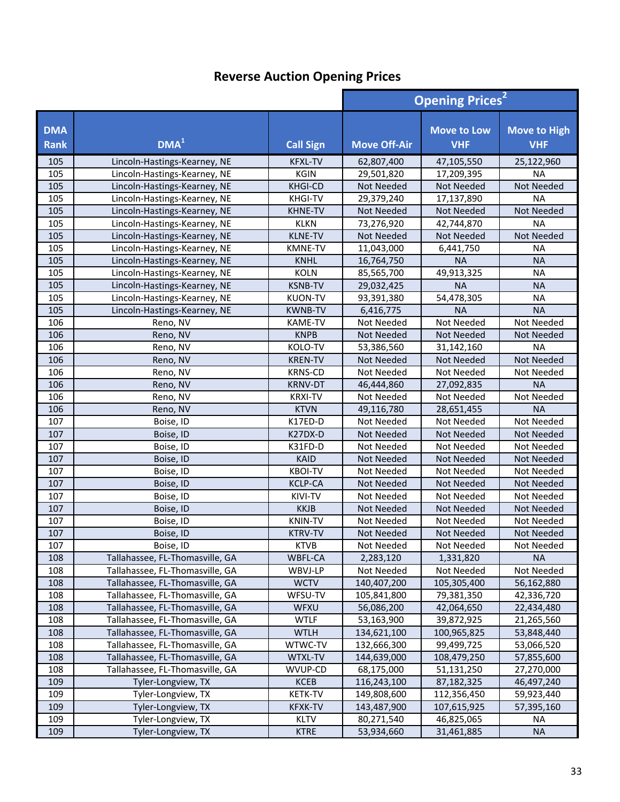|                           |                                 | <b>Opening Prices<sup>2</sup></b> |                     |                                  |                                   |
|---------------------------|---------------------------------|-----------------------------------|---------------------|----------------------------------|-----------------------------------|
| <b>DMA</b><br><b>Rank</b> | DMA <sup>1</sup>                | <b>Call Sign</b>                  | <b>Move Off-Air</b> | <b>Move to Low</b><br><b>VHF</b> | <b>Move to High</b><br><b>VHF</b> |
| 105                       | Lincoln-Hastings-Kearney, NE    | <b>KFXL-TV</b>                    | 62,807,400          | 47,105,550                       | 25,122,960                        |
| 105                       | Lincoln-Hastings-Kearney, NE    | <b>KGIN</b>                       | 29,501,820          | 17,209,395                       | <b>NA</b>                         |
| 105                       | Lincoln-Hastings-Kearney, NE    | <b>KHGI-CD</b>                    | Not Needed          | Not Needed                       | <b>Not Needed</b>                 |
| 105                       | Lincoln-Hastings-Kearney, NE    | <b>KHGI-TV</b>                    | 29,379,240          | 17,137,890                       | <b>NA</b>                         |
| 105                       | Lincoln-Hastings-Kearney, NE    | KHNE-TV                           | <b>Not Needed</b>   | <b>Not Needed</b>                | <b>Not Needed</b>                 |
| 105                       | Lincoln-Hastings-Kearney, NE    | <b>KLKN</b>                       | 73,276,920          | 42,744,870                       | <b>NA</b>                         |
| 105                       | Lincoln-Hastings-Kearney, NE    | <b>KLNE-TV</b>                    | <b>Not Needed</b>   | <b>Not Needed</b>                | Not Needed                        |
| 105                       | Lincoln-Hastings-Kearney, NE    | <b>KMNE-TV</b>                    | 11,043,000          | 6,441,750                        | <b>NA</b>                         |
| 105                       | Lincoln-Hastings-Kearney, NE    | <b>KNHL</b>                       | 16,764,750          | <b>NA</b>                        | <b>NA</b>                         |
| 105                       | Lincoln-Hastings-Kearney, NE    | <b>KOLN</b>                       | 85,565,700          | 49,913,325                       | <b>NA</b>                         |
| 105                       | Lincoln-Hastings-Kearney, NE    | <b>KSNB-TV</b>                    | 29,032,425          | <b>NA</b>                        | <b>NA</b>                         |
| 105                       | Lincoln-Hastings-Kearney, NE    | <b>KUON-TV</b>                    | 93,391,380          | 54,478,305                       | <b>NA</b>                         |
| 105                       | Lincoln-Hastings-Kearney, NE    | <b>KWNB-TV</b>                    | 6,416,775           | <b>NA</b>                        | <b>NA</b>                         |
| 106                       | Reno, NV                        | KAME-TV                           | Not Needed          | Not Needed                       | Not Needed                        |
| 106                       | Reno, NV                        | <b>KNPB</b>                       | Not Needed          | <b>Not Needed</b>                | Not Needed                        |
| 106                       | Reno, NV                        | KOLO-TV                           | 53,386,560          | 31,142,160                       | <b>NA</b>                         |
| 106                       | Reno, NV                        | <b>KREN-TV</b>                    | <b>Not Needed</b>   | Not Needed                       | Not Needed                        |
| 106                       | Reno, NV                        | <b>KRNS-CD</b>                    | Not Needed          | Not Needed                       | Not Needed                        |
| 106                       | Reno, NV                        | <b>KRNV-DT</b>                    | 46,444,860          | 27,092,835                       | <b>NA</b>                         |
| 106                       | Reno, NV                        | <b>KRXI-TV</b>                    | Not Needed          | Not Needed                       | Not Needed                        |
| 106                       | Reno, NV                        | <b>KTVN</b>                       | 49,116,780          | 28,651,455                       | <b>NA</b>                         |
| 107                       | Boise, ID                       | K17ED-D                           | Not Needed          | Not Needed                       | Not Needed                        |
| 107                       | Boise, ID                       | K27DX-D                           | <b>Not Needed</b>   | <b>Not Needed</b>                | <b>Not Needed</b>                 |
| 107                       | Boise, ID                       | K31FD-D                           | Not Needed          | Not Needed                       | Not Needed                        |
| 107                       | Boise, ID                       | <b>KAID</b>                       | Not Needed          | Not Needed                       | Not Needed                        |
| 107                       | Boise, ID                       | <b>KBOI-TV</b>                    | Not Needed          | Not Needed                       | Not Needed                        |
| 107                       | Boise, ID                       | <b>KCLP-CA</b>                    | Not Needed          | Not Needed                       | Not Needed                        |
| 107                       | Boise, ID                       | KIVI-TV                           | Not Needed          | Not Needed                       | Not Needed                        |
| 107                       | Boise, ID                       | <b>KKJB</b>                       | Not Needed          | Not Needed                       | Not Needed                        |
| 107                       | Boise, ID                       | <b>KNIN-TV</b>                    | Not Needed          | Not Needed                       | Not Needed                        |
| 107                       | Boise, ID                       | <b>KTRV-TV</b>                    | <b>Not Needed</b>   | <b>Not Needed</b>                | Not Needed                        |
| 107                       | Boise, ID                       | <b>KTVB</b>                       | Not Needed          | Not Needed                       | Not Needed                        |
| 108                       | Tallahassee, FL-Thomasville, GA | WBFL-CA                           | 2,283,120           | 1,331,820                        | <b>NA</b>                         |
| 108                       | Tallahassee, FL-Thomasville, GA | WBVJ-LP                           | Not Needed          | Not Needed                       | Not Needed                        |
| 108                       | Tallahassee, FL-Thomasville, GA | <b>WCTV</b>                       | 140,407,200         | 105,305,400                      | 56,162,880                        |
| 108                       | Tallahassee, FL-Thomasville, GA | WFSU-TV                           | 105,841,800         | 79,381,350                       | 42,336,720                        |
| 108                       | Tallahassee, FL-Thomasville, GA | WFXU                              | 56,086,200          | 42,064,650                       | 22,434,480                        |
| 108                       | Tallahassee, FL-Thomasville, GA | <b>WTLF</b>                       | 53,163,900          | 39,872,925                       | 21,265,560                        |
| 108                       | Tallahassee, FL-Thomasville, GA | <b>WTLH</b>                       | 134,621,100         | 100,965,825                      | 53,848,440                        |
| 108                       | Tallahassee, FL-Thomasville, GA | WTWC-TV                           | 132,666,300         | 99,499,725                       | 53,066,520                        |
| 108                       | Tallahassee, FL-Thomasville, GA | WTXL-TV                           | 144,639,000         | 108,479,250                      | 57,855,600                        |
| 108                       | Tallahassee, FL-Thomasville, GA | WVUP-CD                           | 68,175,000          | 51,131,250                       | 27,270,000                        |
| 109                       | Tyler-Longview, TX              | <b>KCEB</b>                       | 116,243,100         | 87,182,325                       | 46,497,240                        |
| 109                       | Tyler-Longview, TX              | <b>KETK-TV</b>                    | 149,808,600         | 112,356,450                      | 59,923,440                        |
| 109                       | Tyler-Longview, TX              | <b>KFXK-TV</b>                    | 143,487,900         | 107,615,925                      | 57,395,160                        |
| 109                       | Tyler-Longview, TX              | <b>KLTV</b>                       | 80,271,540          | 46,825,065                       | <b>NA</b>                         |
| 109                       | Tyler-Longview, TX              | <b>KTRE</b>                       | 53,934,660          | 31,461,885                       | <b>NA</b>                         |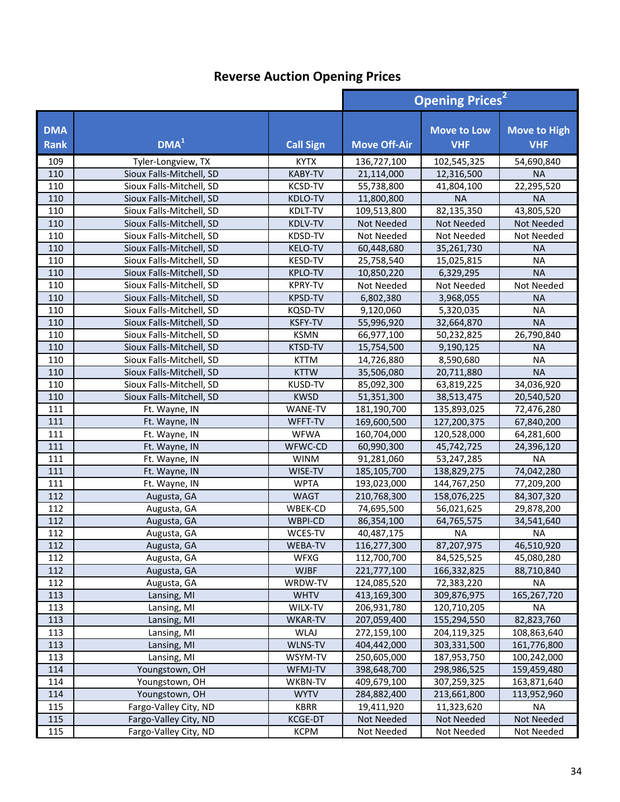|                           |                          | <b>Opening Prices<sup>2</sup></b> |                     |                                  |                                   |
|---------------------------|--------------------------|-----------------------------------|---------------------|----------------------------------|-----------------------------------|
| <b>DMA</b><br><b>Rank</b> | DMA <sup>1</sup>         | <b>Call Sign</b>                  | <b>Move Off-Air</b> | <b>Move to Low</b><br><b>VHF</b> | <b>Move to High</b><br><b>VHF</b> |
| 109                       | Tyler-Longview, TX       | <b>KYTX</b>                       | 136,727,100         | 102,545,325                      | 54,690,840                        |
| 110                       | Sioux Falls-Mitchell, SD | KABY-TV                           | 21,114,000          | 12,316,500                       | <b>NA</b>                         |
| 110                       | Sioux Falls-Mitchell, SD | KCSD-TV                           | 55,738,800          | 41,804,100                       | 22,295,520                        |
| 110                       | Sioux Falls-Mitchell, SD | KDLO-TV                           | 11,800,800          | <b>NA</b>                        | <b>NA</b>                         |
| 110                       | Sioux Falls-Mitchell, SD | KDLT-TV                           | 109,513,800         | 82,135,350                       | 43,805,520                        |
| 110                       | Sioux Falls-Mitchell, SD | KDLV-TV                           | Not Needed          | Not Needed                       | Not Needed                        |
| 110                       | Sioux Falls-Mitchell, SD | KDSD-TV                           | Not Needed          | Not Needed                       | Not Needed                        |
| 110                       | Sioux Falls-Mitchell, SD | <b>KELO-TV</b>                    | 60,448,680          | 35,261,730                       | <b>NA</b>                         |
| 110                       | Sioux Falls-Mitchell, SD | KESD-TV                           | 25,758,540          | 15,025,815                       | <b>NA</b>                         |
| 110                       | Sioux Falls-Mitchell, SD | <b>KPLO-TV</b>                    | 10,850,220          | 6,329,295                        | <b>NA</b>                         |
| 110                       | Sioux Falls-Mitchell, SD | <b>KPRY-TV</b>                    | Not Needed          | Not Needed                       | Not Needed                        |
| 110                       | Sioux Falls-Mitchell, SD | KPSD-TV                           | 6,802,380           | 3,968,055                        | <b>NA</b>                         |
| 110                       | Sioux Falls-Mitchell, SD | <b>KQSD-TV</b>                    | 9,120,060           | 5,320,035                        | <b>NA</b>                         |
| 110                       | Sioux Falls-Mitchell, SD | <b>KSFY-TV</b>                    | 55,996,920          | 32,664,870                       | <b>NA</b>                         |
| 110                       | Sioux Falls-Mitchell, SD | <b>KSMN</b>                       | 66,977,100          | 50,232,825                       | 26,790,840                        |
| 110                       | Sioux Falls-Mitchell, SD | KTSD-TV                           | 15,754,500          | 9,190,125                        | <b>NA</b>                         |
| 110                       | Sioux Falls-Mitchell, SD | <b>KTTM</b>                       | 14,726,880          | 8,590,680                        | <b>NA</b>                         |
| 110                       | Sioux Falls-Mitchell, SD | <b>KTTW</b>                       | 35,506,080          | 20,711,880                       | <b>NA</b>                         |
| 110                       | Sioux Falls-Mitchell, SD | KUSD-TV                           | 85,092,300          | 63,819,225                       | 34,036,920                        |
| 110                       | Sioux Falls-Mitchell, SD | <b>KWSD</b>                       | 51,351,300          | 38,513,475                       | 20,540,520                        |
| 111                       | Ft. Wayne, IN            | WANE-TV                           | 181,190,700         | 135,893,025                      | 72,476,280                        |
| 111                       | Ft. Wayne, IN            | WFFT-TV                           | 169,600,500         | 127,200,375                      | 67,840,200                        |
| 111                       | Ft. Wayne, IN            | <b>WFWA</b>                       | 160,704,000         | 120,528,000                      | 64,281,600                        |
| 111                       | Ft. Wayne, IN            | WFWC-CD                           | 60,990,300          | 45,742,725                       | 24,396,120                        |
| 111                       | Ft. Wayne, IN            | <b>WINM</b>                       | 91,281,060          | 53,247,285                       | <b>NA</b>                         |
| 111                       | Ft. Wayne, IN            | WISE-TV                           | 185,105,700         | 138,829,275                      | 74,042,280                        |
| 111                       | Ft. Wayne, IN            | <b>WPTA</b>                       | 193,023,000         | 144,767,250                      | 77,209,200                        |
| 112                       | Augusta, GA              | <b>WAGT</b>                       | 210,768,300         | 158,076,225                      | 84,307,320                        |
| 112                       | Augusta, GA              | WBEK-CD                           | 74,695,500          | 56,021,625                       | 29,878,200                        |
| 112                       | Augusta, GA              | WBPI-CD                           | 86,354,100          | 64,765,575                       | 34,541,640                        |
| 112                       | Augusta, GA              | WCES-TV                           | 40,487,175          | <b>NA</b>                        | <b>NA</b>                         |
| 112                       | Augusta, GA              | WEBA-TV                           | 116,277,300         | 87,207,975                       | 46,510,920                        |
| 112                       | Augusta, GA              | WFXG                              | 112,700,700         | 84,525,525                       | 45,080,280                        |
| 112                       | Augusta, GA              | <b>WJBF</b>                       | 221,777,100         | 166,332,825                      | 88,710,840                        |
| 112                       | Augusta, GA              | WRDW-TV                           | 124,085,520         | 72,383,220                       | NА                                |
| 113                       | Lansing, MI              | <b>WHTV</b>                       | 413,169,300         | 309,876,975                      | 165,267,720                       |
| 113                       | Lansing, MI              | WILX-TV                           | 206,931,780         | 120,710,205                      | ΝA                                |
| 113                       | Lansing, MI              | <b>WKAR-TV</b>                    | 207,059,400         | 155,294,550                      | 82,823,760                        |
| 113                       | Lansing, MI              | <b>WLAJ</b>                       | 272,159,100         | 204,119,325                      | 108,863,640                       |
| 113                       | Lansing, MI              | WLNS-TV                           | 404,442,000         | 303,331,500                      | 161,776,800                       |
| 113                       | Lansing, MI              | WSYM-TV                           | 250,605,000         | 187,953,750                      | 100,242,000                       |
| 114                       | Youngstown, OH           | WFMJ-TV                           | 398,648,700         | 298,986,525                      | 159,459,480                       |
| 114                       | Youngstown, OH           | WKBN-TV                           | 409,679,100         | 307,259,325                      | 163,871,640                       |
| 114                       | Youngstown, OH           | <b>WYTV</b>                       | 284,882,400         | 213,661,800                      | 113,952,960                       |
| 115                       | Fargo-Valley City, ND    | <b>KBRR</b>                       | 19,411,920          | 11,323,620                       | NA                                |
| 115                       | Fargo-Valley City, ND    | <b>KCGE-DT</b>                    | Not Needed          | Not Needed                       | Not Needed                        |
| 115                       | Fargo-Valley City, ND    | <b>KCPM</b>                       | Not Needed          | Not Needed                       | Not Needed                        |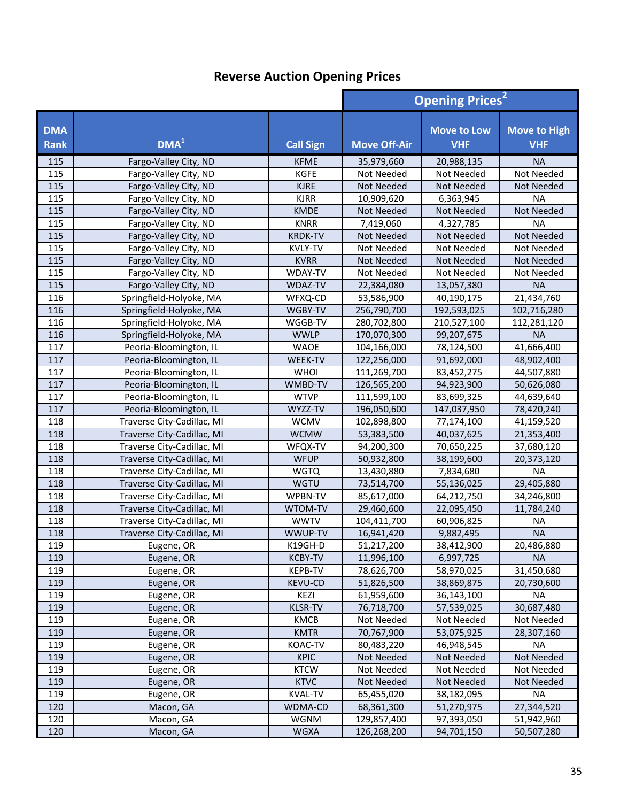|                           |                            |                  |                     | <b>Opening Prices<sup>2</sup></b> |                                   |  |
|---------------------------|----------------------------|------------------|---------------------|-----------------------------------|-----------------------------------|--|
| <b>DMA</b><br><b>Rank</b> | DMA <sup>1</sup>           | <b>Call Sign</b> | <b>Move Off-Air</b> | <b>Move to Low</b><br><b>VHF</b>  | <b>Move to High</b><br><b>VHF</b> |  |
| 115                       | Fargo-Valley City, ND      | <b>KFME</b>      | 35,979,660          | 20,988,135                        | <b>NA</b>                         |  |
| 115                       | Fargo-Valley City, ND      | <b>KGFE</b>      | Not Needed          | Not Needed                        | Not Needed                        |  |
| 115                       | Fargo-Valley City, ND      | <b>KJRE</b>      | Not Needed          | Not Needed                        | Not Needed                        |  |
| 115                       | Fargo-Valley City, ND      | <b>KJRR</b>      | 10,909,620          | 6,363,945                         | <b>NA</b>                         |  |
| 115                       | Fargo-Valley City, ND      | <b>KMDE</b>      | <b>Not Needed</b>   | Not Needed                        | Not Needed                        |  |
| 115                       | Fargo-Valley City, ND      | <b>KNRR</b>      | 7,419,060           | 4,327,785                         | <b>NA</b>                         |  |
| 115                       | Fargo-Valley City, ND      | <b>KRDK-TV</b>   | Not Needed          | Not Needed                        | Not Needed                        |  |
| 115                       | Fargo-Valley City, ND      | KVLY-TV          | Not Needed          | Not Needed                        | Not Needed                        |  |
| 115                       | Fargo-Valley City, ND      | <b>KVRR</b>      | <b>Not Needed</b>   | Not Needed                        | Not Needed                        |  |
| 115                       | Fargo-Valley City, ND      | WDAY-TV          | Not Needed          | Not Needed                        | Not Needed                        |  |
| 115                       | Fargo-Valley City, ND      | WDAZ-TV          | 22,384,080          | 13,057,380                        | <b>NA</b>                         |  |
| 116                       | Springfield-Holyoke, MA    | WFXQ-CD          | 53,586,900          | 40,190,175                        | 21,434,760                        |  |
| 116                       | Springfield-Holyoke, MA    | WGBY-TV          | 256,790,700         | 192,593,025                       | 102,716,280                       |  |
| 116                       | Springfield-Holyoke, MA    | WGGB-TV          | 280,702,800         | 210,527,100                       | 112,281,120                       |  |
| 116                       | Springfield-Holyoke, MA    | <b>WWLP</b>      | 170,070,300         | 99,207,675                        | <b>NA</b>                         |  |
| 117                       | Peoria-Bloomington, IL     | <b>WAOE</b>      | 104,166,000         | 78,124,500                        | 41,666,400                        |  |
| 117                       | Peoria-Bloomington, IL     | WEEK-TV          | 122,256,000         | 91,692,000                        | 48,902,400                        |  |
| 117                       | Peoria-Bloomington, IL     | <b>WHOI</b>      | 111,269,700         | 83,452,275                        | 44,507,880                        |  |
| 117                       | Peoria-Bloomington, IL     | WMBD-TV          | 126,565,200         | 94,923,900                        | 50,626,080                        |  |
| 117                       | Peoria-Bloomington, IL     | <b>WTVP</b>      | 111,599,100         | 83,699,325                        | 44,639,640                        |  |
| 117                       | Peoria-Bloomington, IL     | WYZZ-TV          | 196,050,600         | 147,037,950                       | 78,420,240                        |  |
| 118                       | Traverse City-Cadillac, MI | <b>WCMV</b>      | 102,898,800         | 77,174,100                        | 41,159,520                        |  |
| 118                       | Traverse City-Cadillac, MI | <b>WCMW</b>      | 53,383,500          | 40,037,625                        | 21,353,400                        |  |
| 118                       | Traverse City-Cadillac, MI | WFQX-TV          | 94,200,300          | 70,650,225                        | 37,680,120                        |  |
| 118                       | Traverse City-Cadillac, MI | <b>WFUP</b>      | 50,932,800          | 38,199,600                        | 20,373,120                        |  |
| 118                       | Traverse City-Cadillac, MI | <b>WGTQ</b>      | 13,430,880          | 7,834,680                         | <b>NA</b>                         |  |
| 118                       | Traverse City-Cadillac, MI | WGTU             | 73,514,700          | 55,136,025                        | 29,405,880                        |  |
| 118                       | Traverse City-Cadillac, MI | WPBN-TV          | 85,617,000          | 64,212,750                        | 34,246,800                        |  |
| 118                       | Traverse City-Cadillac, MI | WTOM-TV          | 29,460,600          | 22,095,450                        | 11,784,240                        |  |
| 118                       | Traverse City-Cadillac, MI | <b>WWTV</b>      | 104,411,700         | 60,906,825                        | <b>NA</b>                         |  |
| 118                       | Traverse City-Cadillac, MI | WWUP-TV          | 16,941,420          | 9,882,495                         | <b>NA</b>                         |  |
| 119                       | Eugene, OR                 | K19GH-D          | 51,217,200          | 38,412,900                        | 20,486,880                        |  |
| 119                       | Eugene, OR                 | <b>KCBY-TV</b>   | 11,996,100          | 6,997,725                         | <b>NA</b>                         |  |
| 119                       | Eugene, OR                 | KEPB-TV          | 78,626,700          | 58,970,025                        | 31,450,680                        |  |
| 119                       | Eugene, OR                 | <b>KEVU-CD</b>   | 51,826,500          | 38,869,875                        | 20,730,600                        |  |
| 119                       | Eugene, OR                 | KEZI             | 61,959,600          | 36,143,100                        | ΝA                                |  |
| 119                       | Eugene, OR                 | <b>KLSR-TV</b>   | 76,718,700          | 57,539,025                        | 30,687,480                        |  |
| 119                       | Eugene, OR                 | KMCB             | Not Needed          | Not Needed                        | Not Needed                        |  |
| 119                       | Eugene, OR                 | <b>KMTR</b>      | 70,767,900          | 53,075,925                        | 28,307,160                        |  |
| 119                       | Eugene, OR                 | KOAC-TV          | 80,483,220          | 46,948,545                        | <b>NA</b>                         |  |
| 119                       | Eugene, OR                 | <b>KPIC</b>      | Not Needed          | Not Needed                        | Not Needed                        |  |
| 119                       | Eugene, OR                 | <b>KTCW</b>      | Not Needed          | Not Needed                        | Not Needed                        |  |
| 119                       | Eugene, OR                 | <b>KTVC</b>      | Not Needed          | Not Needed                        | Not Needed                        |  |
| 119                       | Eugene, OR                 | <b>KVAL-TV</b>   | 65,455,020          | 38,182,095                        | <b>NA</b>                         |  |
| 120                       | Macon, GA                  | WDMA-CD          | 68,361,300          | 51,270,975                        | 27,344,520                        |  |
| 120                       | Macon, GA                  | WGNM             | 129,857,400         | 97,393,050                        | 51,942,960                        |  |
| 120                       | Macon, GA                  | <b>WGXA</b>      | 126,268,200         | 94,701,150                        | 50,507,280                        |  |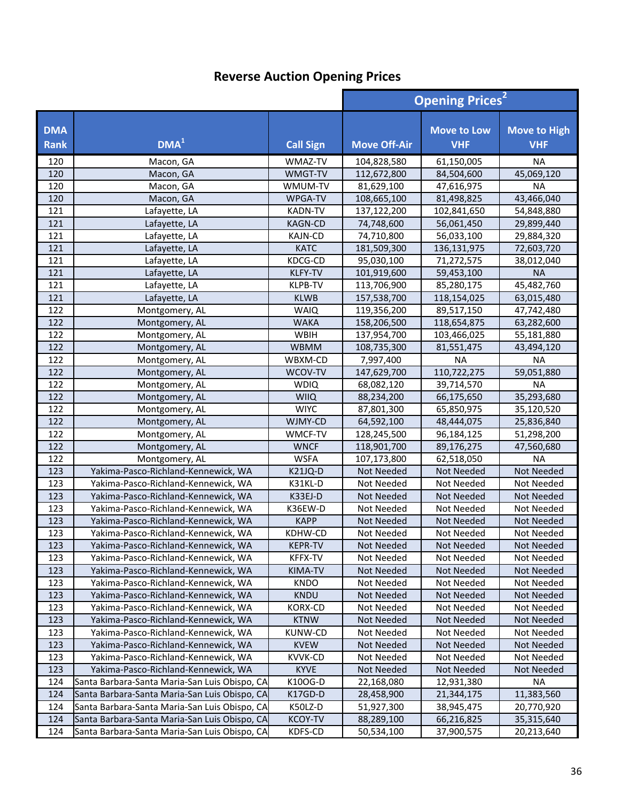|                           |                                               |                  | <b>Opening Prices<sup>2</sup></b> |                                  |                                   |
|---------------------------|-----------------------------------------------|------------------|-----------------------------------|----------------------------------|-----------------------------------|
| <b>DMA</b><br><b>Rank</b> | DMA <sup>1</sup>                              | <b>Call Sign</b> | <b>Move Off-Air</b>               | <b>Move to Low</b><br><b>VHF</b> | <b>Move to High</b><br><b>VHF</b> |
| 120                       | Macon, GA                                     | WMAZ-TV          | 104,828,580                       | 61,150,005                       | <b>NA</b>                         |
| 120                       | Macon, GA                                     | WMGT-TV          | 112,672,800                       | 84,504,600                       | 45,069,120                        |
| 120                       | Macon, GA                                     | WMUM-TV          | 81,629,100                        | 47,616,975                       | <b>NA</b>                         |
| 120                       | Macon, GA                                     | WPGA-TV          | 108,665,100                       | 81,498,825                       | 43,466,040                        |
| 121                       | Lafayette, LA                                 | <b>KADN-TV</b>   | 137,122,200                       | 102,841,650                      | 54,848,880                        |
| 121                       | Lafayette, LA                                 | <b>KAGN-CD</b>   | 74,748,600                        | 56,061,450                       | 29,899,440                        |
| 121                       | Lafayette, LA                                 | <b>KAJN-CD</b>   | 74,710,800                        | 56,033,100                       | 29,884,320                        |
| 121                       | Lafayette, LA                                 | <b>KATC</b>      | 181,509,300                       | 136,131,975                      | 72,603,720                        |
| 121                       | Lafayette, LA                                 | KDCG-CD          | 95,030,100                        | 71,272,575                       | 38,012,040                        |
| 121                       | Lafayette, LA                                 | <b>KLFY-TV</b>   | 101,919,600                       | 59,453,100                       | <b>NA</b>                         |
| 121                       | Lafayette, LA                                 | KLPB-TV          | 113,706,900                       | 85,280,175                       | 45,482,760                        |
| 121                       | Lafayette, LA                                 | <b>KLWB</b>      | 157,538,700                       | 118,154,025                      | 63,015,480                        |
| 122                       | Montgomery, AL                                | <b>WAIQ</b>      | 119,356,200                       | 89,517,150                       | 47,742,480                        |
| 122                       | Montgomery, AL                                | <b>WAKA</b>      | 158,206,500                       | 118,654,875                      | 63,282,600                        |
| 122                       | Montgomery, AL                                | WBIH             | 137,954,700                       | 103,466,025                      | 55,181,880                        |
| 122                       | Montgomery, AL                                | <b>WBMM</b>      | 108,735,300                       | 81,551,475                       | 43,494,120                        |
| 122                       | Montgomery, AL                                | WBXM-CD          | 7,997,400                         | <b>NA</b>                        | <b>NA</b>                         |
| 122                       | Montgomery, AL                                | WCOV-TV          | 147,629,700                       | 110,722,275                      | 59,051,880                        |
| 122                       | Montgomery, AL                                | <b>WDIQ</b>      | 68,082,120                        | 39,714,570                       | <b>NA</b>                         |
| 122                       | Montgomery, AL                                | <b>WIIQ</b>      | 88,234,200                        | 66,175,650                       | 35,293,680                        |
| 122                       | Montgomery, AL                                | <b>WIYC</b>      | 87,801,300                        | 65,850,975                       | 35,120,520                        |
| 122                       | Montgomery, AL                                | WJMY-CD          | 64,592,100                        | 48,444,075                       | 25,836,840                        |
| 122                       | Montgomery, AL                                | WMCF-TV          | 128,245,500                       | 96,184,125                       | 51,298,200                        |
| 122                       | Montgomery, AL                                | <b>WNCF</b>      | 118,901,700                       | 89,176,275                       | 47,560,680                        |
| 122                       | Montgomery, AL                                | <b>WSFA</b>      | 107,173,800                       | 62,518,050                       | <b>NA</b>                         |
| 123                       | Yakima-Pasco-Richland-Kennewick, WA           | K21JQ-D          | Not Needed                        | Not Needed                       | Not Needed                        |
| 123                       | Yakima-Pasco-Richland-Kennewick, WA           | K31KL-D          | Not Needed                        | Not Needed                       | Not Needed                        |
| 123                       | Yakima-Pasco-Richland-Kennewick, WA           | K33EJ-D          | Not Needed                        | Not Needed                       | Not Needed                        |
| 123                       | Yakima-Pasco-Richland-Kennewick, WA           | K36EW-D          | Not Needed                        | Not Needed                       | Not Needed                        |
| 123                       | Yakima-Pasco-Richland-Kennewick, WA           | <b>KAPP</b>      | Not Needed                        | Not Needed                       | Not Needed                        |
| 123                       | Yakima-Pasco-Richland-Kennewick, WA           | KDHW-CD          | Not Needed                        | Not Needed                       | Not Needed                        |
| 123                       | Yakima-Pasco-Richland-Kennewick, WA           | <b>KEPR-TV</b>   | Not Needed                        | Not Needed                       | Not Needed                        |
| 123                       | Yakima-Pasco-Richland-Kennewick, WA           | KFFX-TV          | Not Needed                        | Not Needed                       | Not Needed                        |
| 123                       | Yakima-Pasco-Richland-Kennewick, WA           | KIMA-TV          | Not Needed                        | Not Needed                       | Not Needed                        |
| 123                       | Yakima-Pasco-Richland-Kennewick, WA           | <b>KNDO</b>      | Not Needed                        | Not Needed                       | Not Needed                        |
| 123                       | Yakima-Pasco-Richland-Kennewick, WA           | KNDU             | Not Needed                        | Not Needed                       | Not Needed                        |
| 123                       | Yakima-Pasco-Richland-Kennewick, WA           | KORX-CD          | Not Needed                        | Not Needed                       | Not Needed                        |
| 123                       | Yakima-Pasco-Richland-Kennewick, WA           | <b>KTNW</b>      | Not Needed                        | Not Needed                       | Not Needed                        |
| 123                       | Yakima-Pasco-Richland-Kennewick, WA           | KUNW-CD          | Not Needed                        | Not Needed                       | Not Needed                        |
| 123                       | Yakima-Pasco-Richland-Kennewick, WA           | <b>KVEW</b>      | Not Needed                        | Not Needed                       | Not Needed                        |
| 123                       | Yakima-Pasco-Richland-Kennewick, WA           | KVVK-CD          | Not Needed                        | Not Needed                       | Not Needed                        |
| 123                       | Yakima-Pasco-Richland-Kennewick, WA           | <b>KYVE</b>      | Not Needed                        | Not Needed                       | Not Needed                        |
| 124                       | Santa Barbara-Santa Maria-San Luis Obispo, CA | K10OG-D          | 22,168,080                        | 12,931,380                       | <b>NA</b>                         |
| 124                       | Santa Barbara-Santa Maria-San Luis Obispo, CA | K17GD-D          | 28,458,900                        | 21,344,175                       | 11,383,560                        |
| 124                       | Santa Barbara-Santa Maria-San Luis Obispo, CA | K50LZ-D          | 51,927,300                        | 38,945,475                       | 20,770,920                        |
| 124                       | Santa Barbara-Santa Maria-San Luis Obispo, CA | <b>KCOY-TV</b>   | 88,289,100                        | 66,216,825                       | 35,315,640                        |
| 124                       | Santa Barbara-Santa Maria-San Luis Obispo, CA | KDFS-CD          | 50,534,100                        | 37,900,575                       | 20,213,640                        |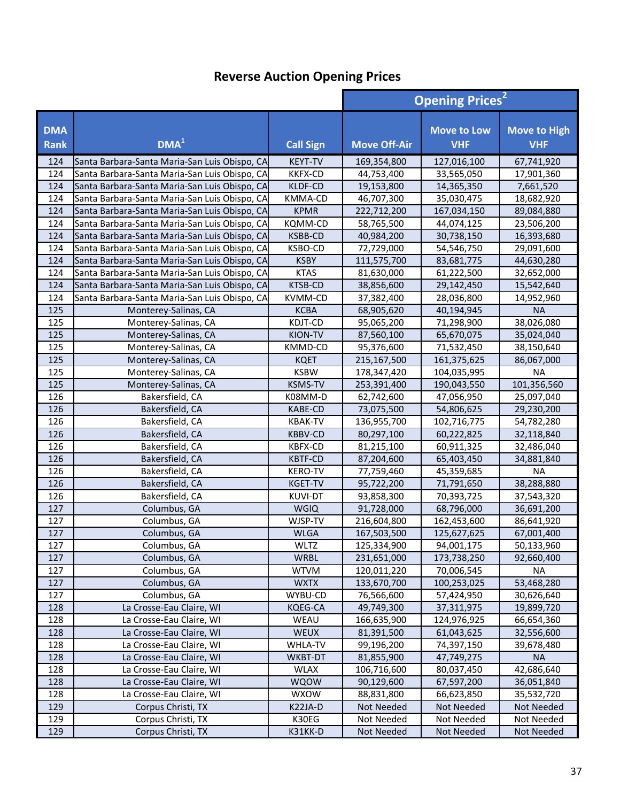|                           |                                               |                  | <b>Opening Prices<sup>2</sup></b> |                                  |                                   |
|---------------------------|-----------------------------------------------|------------------|-----------------------------------|----------------------------------|-----------------------------------|
| <b>DMA</b><br><b>Rank</b> | DMA <sup>1</sup>                              | <b>Call Sign</b> | <b>Move Off-Air</b>               | <b>Move to Low</b><br><b>VHF</b> | <b>Move to High</b><br><b>VHF</b> |
| 124                       | Santa Barbara-Santa Maria-San Luis Obispo, CA | <b>KEYT-TV</b>   | 169,354,800                       | 127,016,100                      | 67,741,920                        |
| 124                       | Santa Barbara-Santa Maria-San Luis Obispo, CA | <b>KKFX-CD</b>   | 44,753,400                        | 33,565,050                       | 17,901,360                        |
| 124                       | Santa Barbara-Santa Maria-San Luis Obispo, CA | KLDF-CD          | 19,153,800                        | 14,365,350                       | 7,661,520                         |
| 124                       | Santa Barbara-Santa Maria-San Luis Obispo, CA | KMMA-CD          | 46,707,300                        | 35,030,475                       | 18,682,920                        |
| 124                       | Santa Barbara-Santa Maria-San Luis Obispo, CA | <b>KPMR</b>      | 222,712,200                       | 167,034,150                      | 89,084,880                        |
| 124                       | Santa Barbara-Santa Maria-San Luis Obispo, CA | KQMM-CD          | 58,765,500                        | 44,074,125                       | 23,506,200                        |
| 124                       | Santa Barbara-Santa Maria-San Luis Obispo, CA | KSBB-CD          | 40,984,200                        | 30,738,150                       | 16,393,680                        |
| 124                       | Santa Barbara-Santa Maria-San Luis Obispo, CA | KSBO-CD          | 72,729,000                        | 54,546,750                       | 29,091,600                        |
| 124                       | Santa Barbara-Santa Maria-San Luis Obispo, CA | <b>KSBY</b>      | 111,575,700                       | 83,681,775                       | 44,630,280                        |
| 124                       | Santa Barbara-Santa Maria-San Luis Obispo, CA | <b>KTAS</b>      | 81,630,000                        | 61,222,500                       | 32,652,000                        |
| 124                       | Santa Barbara-Santa Maria-San Luis Obispo, CA | <b>KTSB-CD</b>   | 38,856,600                        | 29,142,450                       | 15,542,640                        |
| 124                       | Santa Barbara-Santa Maria-San Luis Obispo, CA | <b>KVMM-CD</b>   | 37,382,400                        | 28,036,800                       | 14,952,960                        |
| 125                       | Monterey-Salinas, CA                          | <b>KCBA</b>      | 68,905,620                        | 40,194,945                       | <b>NA</b>                         |
| 125                       | Monterey-Salinas, CA                          | KDJT-CD          | 95,065,200                        | 71,298,900                       | 38,026,080                        |
| 125                       | Monterey-Salinas, CA                          | KION-TV          | 87,560,100                        | 65,670,075                       | 35,024,040                        |
| 125                       | Monterey-Salinas, CA                          | KMMD-CD          | 95,376,600                        | 71,532,450                       | 38,150,640                        |
| 125                       | Monterey-Salinas, CA                          | <b>KQET</b>      | 215,167,500                       | 161,375,625                      | 86,067,000                        |
| 125                       | Monterey-Salinas, CA                          | <b>KSBW</b>      | 178,347,420                       | 104,035,995                      | <b>NA</b>                         |
| 125                       | Monterey-Salinas, CA                          | <b>KSMS-TV</b>   | 253,391,400                       | 190,043,550                      | 101,356,560                       |
| 126                       | Bakersfield, CA                               | K08MM-D          | 62,742,600                        | 47,056,950                       | 25,097,040                        |
| 126                       | Bakersfield, CA                               | KABE-CD          | 73,075,500                        | 54,806,625                       | 29,230,200                        |
| 126                       | Bakersfield, CA                               | <b>KBAK-TV</b>   | 136,955,700                       | 102,716,775                      | 54,782,280                        |
| 126                       | Bakersfield, CA                               | <b>KBBV-CD</b>   | 80,297,100                        | 60,222,825                       | 32,118,840                        |
| 126                       | Bakersfield, CA                               | <b>KBFX-CD</b>   | 81,215,100                        | 60,911,325                       | 32,486,040                        |
| 126                       | Bakersfield, CA                               | <b>KBTF-CD</b>   | 87,204,600                        | 65,403,450                       | 34,881,840                        |
| 126                       | Bakersfield, CA                               | <b>KERO-TV</b>   | 77,759,460                        | 45,359,685                       | <b>NA</b>                         |
| 126                       | Bakersfield, CA                               | <b>KGET-TV</b>   | 95,722,200                        | 71,791,650                       | 38,288,880                        |
| 126                       | Bakersfield, CA                               | <b>KUVI-DT</b>   | 93,858,300                        | 70,393,725                       | 37,543,320                        |
| 127                       | Columbus, GA                                  | <b>WGIQ</b>      | 91,728,000                        | 68,796,000                       | 36,691,200                        |
| 127                       | Columbus, GA                                  | WJSP-TV          | 216,604,800                       | 162,453,600                      | 86,641,920                        |
| 127                       | Columbus, GA                                  | <b>WLGA</b>      | 167,503,500                       | 125,627,625                      | 67,001,400                        |
| 127                       | Columbus, GA                                  | <b>WLTZ</b>      | 125,334,900                       | 94,001,175                       | 50,133,960                        |
| 127                       | Columbus, GA                                  | WRBL             | 231,651,000                       | 173,738,250                      | 92,660,400                        |
| 127                       | Columbus, GA                                  | <b>WTVM</b>      | 120,011,220                       | 70,006,545                       | <b>NA</b>                         |
| 127                       | Columbus, GA                                  | <b>WXTX</b>      | 133,670,700                       | 100,253,025                      | 53,468,280                        |
| 127                       | Columbus, GA                                  | WYBU-CD          | 76,566,600                        | 57,424,950                       | 30,626,640                        |
| 128                       | La Crosse-Eau Claire, WI                      | KQEG-CA          | 49,749,300                        | 37,311,975                       | 19,899,720                        |
| 128                       | La Crosse-Eau Claire, WI                      | WEAU             | 166,635,900                       | 124,976,925                      | 66,654,360                        |
| 128                       | La Crosse-Eau Claire, WI                      | WEUX             | 81,391,500                        | 61,043,625                       | 32,556,600                        |
| 128                       | La Crosse-Eau Claire, WI                      | <b>WHLA-TV</b>   | 99,196,200                        | 74,397,150                       | 39,678,480                        |
| 128                       | La Crosse-Eau Claire, WI                      | WKBT-DT          | 81,855,900                        | 47,749,275                       | <b>NA</b>                         |
| 128                       | La Crosse-Eau Claire, WI                      | <b>WLAX</b>      | 106,716,600                       | 80,037,450                       | 42,686,640                        |
| 128                       | La Crosse-Eau Claire, WI                      | <b>WQOW</b>      | 90,129,600                        | 67,597,200                       | 36,051,840                        |
| 128                       | La Crosse-Eau Claire, WI                      | <b>WXOW</b>      | 88,831,800                        | 66,623,850                       | 35,532,720                        |
| 129                       | Corpus Christi, TX                            | K22JA-D          | Not Needed                        | Not Needed                       | Not Needed                        |
| 129                       | Corpus Christi, TX                            | K30EG            | Not Needed                        | Not Needed                       | Not Needed                        |
| 129                       | Corpus Christi, TX                            | K31KK-D          | Not Needed                        | Not Needed                       | Not Needed                        |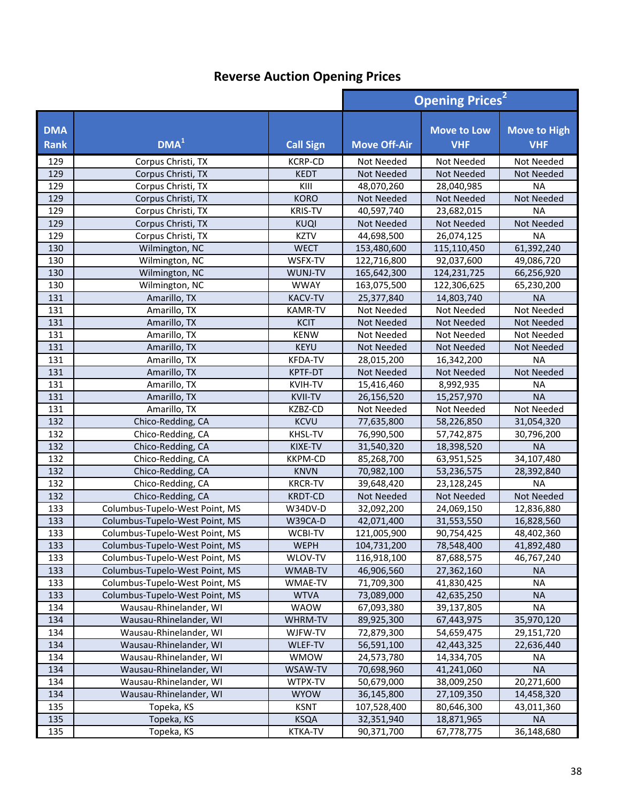|                           |                                |                  | <b>Opening Prices<sup>2</sup></b> |                                  |                                   |
|---------------------------|--------------------------------|------------------|-----------------------------------|----------------------------------|-----------------------------------|
| <b>DMA</b><br><b>Rank</b> | DMA <sup>1</sup>               | <b>Call Sign</b> | <b>Move Off-Air</b>               | <b>Move to Low</b><br><b>VHF</b> | <b>Move to High</b><br><b>VHF</b> |
| 129                       | Corpus Christi, TX             | <b>KCRP-CD</b>   | Not Needed                        | Not Needed                       | Not Needed                        |
| 129                       | Corpus Christi, TX             | <b>KEDT</b>      | Not Needed                        | <b>Not Needed</b>                | <b>Not Needed</b>                 |
| 129                       | Corpus Christi, TX             | KIII             | 48,070,260                        | 28,040,985                       | <b>NA</b>                         |
| 129                       | Corpus Christi, TX             | <b>KORO</b>      | Not Needed                        | Not Needed                       | Not Needed                        |
| 129                       | Corpus Christi, TX             | <b>KRIS-TV</b>   | 40,597,740                        | 23,682,015                       | <b>NA</b>                         |
| 129                       | Corpus Christi, TX             | <b>KUQI</b>      | Not Needed                        | <b>Not Needed</b>                | Not Needed                        |
| 129                       | Corpus Christi, TX             | <b>KZTV</b>      | 44,698,500                        | 26,074,125                       | <b>NA</b>                         |
| 130                       | Wilmington, NC                 | <b>WECT</b>      | 153,480,600                       | 115,110,450                      | 61,392,240                        |
| 130                       | Wilmington, NC                 | WSFX-TV          | 122,716,800                       | 92,037,600                       | 49,086,720                        |
| 130                       | Wilmington, NC                 | WUNJ-TV          | 165,642,300                       | 124,231,725                      | 66,256,920                        |
| 130                       | Wilmington, NC                 | <b>WWAY</b>      | 163,075,500                       | 122,306,625                      | 65,230,200                        |
| 131                       | Amarillo, TX                   | <b>KACV-TV</b>   | 25,377,840                        | 14,803,740                       | <b>NA</b>                         |
| 131                       | Amarillo, TX                   | <b>KAMR-TV</b>   | Not Needed                        | Not Needed                       | Not Needed                        |
| 131                       | Amarillo, TX                   | <b>KCIT</b>      | Not Needed                        | Not Needed                       | Not Needed                        |
| 131                       | Amarillo, TX                   | <b>KENW</b>      | Not Needed                        | Not Needed                       | Not Needed                        |
| 131                       | Amarillo, TX                   | <b>KEYU</b>      | Not Needed                        | Not Needed                       | <b>Not Needed</b>                 |
| 131                       | Amarillo, TX                   | <b>KFDA-TV</b>   | 28,015,200                        | 16,342,200                       | <b>NA</b>                         |
| 131                       | Amarillo, TX                   | KPTF-DT          | Not Needed                        | Not Needed                       | Not Needed                        |
| 131                       | Amarillo, TX                   | <b>KVIH-TV</b>   | 15,416,460                        | 8,992,935                        | <b>NA</b>                         |
| 131                       | Amarillo, TX                   | <b>KVII-TV</b>   | 26,156,520                        | 15,257,970                       | <b>NA</b>                         |
| 131                       | Amarillo, TX                   | KZBZ-CD          | Not Needed                        | Not Needed                       | Not Needed                        |
| 132                       | Chico-Redding, CA              | <b>KCVU</b>      | 77,635,800                        | 58,226,850                       | 31,054,320                        |
| 132                       | Chico-Redding, CA              | KHSL-TV          | 76,990,500                        | 57,742,875                       | 30,796,200                        |
| 132                       | Chico-Redding, CA              | KIXE-TV          | 31,540,320                        | 18,398,520                       | <b>NA</b>                         |
| 132                       | Chico-Redding, CA              | <b>KKPM-CD</b>   | 85,268,700                        | 63,951,525                       | 34,107,480                        |
| 132                       | Chico-Redding, CA              | <b>KNVN</b>      | 70,982,100                        | 53,236,575                       | 28,392,840                        |
| 132                       | Chico-Redding, CA              | <b>KRCR-TV</b>   | 39,648,420                        | 23,128,245                       | <b>NA</b>                         |
| 132                       | Chico-Redding, CA              | <b>KRDT-CD</b>   | Not Needed                        | <b>Not Needed</b>                | Not Needed                        |
| 133                       | Columbus-Tupelo-West Point, MS | W34DV-D          | 32,092,200                        | 24,069,150                       | 12,836,880                        |
| 133                       | Columbus-Tupelo-West Point, MS | W39CA-D          | 42,071,400                        | 31,553,550                       | 16,828,560                        |
| 133                       | Columbus-Tupelo-West Point, MS | <b>WCBI-TV</b>   | 121,005,900                       | 90,754,425                       | 48,402,360                        |
| $\frac{1}{133}$           | Columbus-Tupelo-West Point, MS | WEPH             | 104,731,200                       | 78,548,400                       | 41,892,480                        |
| 133                       | Columbus-Tupelo-West Point, MS | WLOV-TV          | 116,918,100                       | 87,688,575                       | 46,767,240                        |
| 133                       | Columbus-Tupelo-West Point, MS | WMAB-TV          | 46,906,560                        | 27,362,160                       | <b>NA</b>                         |
| 133                       | Columbus-Tupelo-West Point, MS | WMAE-TV          | 71,709,300                        | 41,830,425                       | <b>NA</b>                         |
| 133                       | Columbus-Tupelo-West Point, MS | <b>WTVA</b>      | 73,089,000                        | 42,635,250                       | <b>NA</b>                         |
| 134                       | Wausau-Rhinelander, WI         | <b>WAOW</b>      | 67,093,380                        | 39,137,805                       | NA                                |
| 134                       | Wausau-Rhinelander, WI         | WHRM-TV          | 89,925,300                        | 67,443,975                       | 35,970,120                        |
| 134                       | Wausau-Rhinelander, WI         | WJFW-TV          | 72,879,300                        | 54,659,475                       | 29,151,720                        |
| 134                       | Wausau-Rhinelander, WI         | <b>WLEF-TV</b>   | 56,591,100                        | 42,443,325                       | 22,636,440                        |
| 134                       | Wausau-Rhinelander, WI         | <b>WMOW</b>      | 24,573,780                        | 14,334,705                       | <b>NA</b>                         |
| 134                       | Wausau-Rhinelander, WI         | WSAW-TV          | 70,698,960                        | 41,241,060                       | <b>NA</b>                         |
| 134                       | Wausau-Rhinelander, WI         | WTPX-TV          | 50,679,000                        | 38,009,250                       | 20,271,600                        |
| 134                       | Wausau-Rhinelander, WI         | <b>WYOW</b>      | 36,145,800                        | 27,109,350                       | 14,458,320                        |
| 135                       | Topeka, KS                     | <b>KSNT</b>      | 107,528,400                       | 80,646,300                       | 43,011,360                        |
| 135                       | Topeka, KS                     | <b>KSQA</b>      | 32,351,940                        | 18,871,965                       | <b>NA</b>                         |
| 135                       | Topeka, KS                     | KTKA-TV          | 90,371,700                        | 67,778,775                       | 36,148,680                        |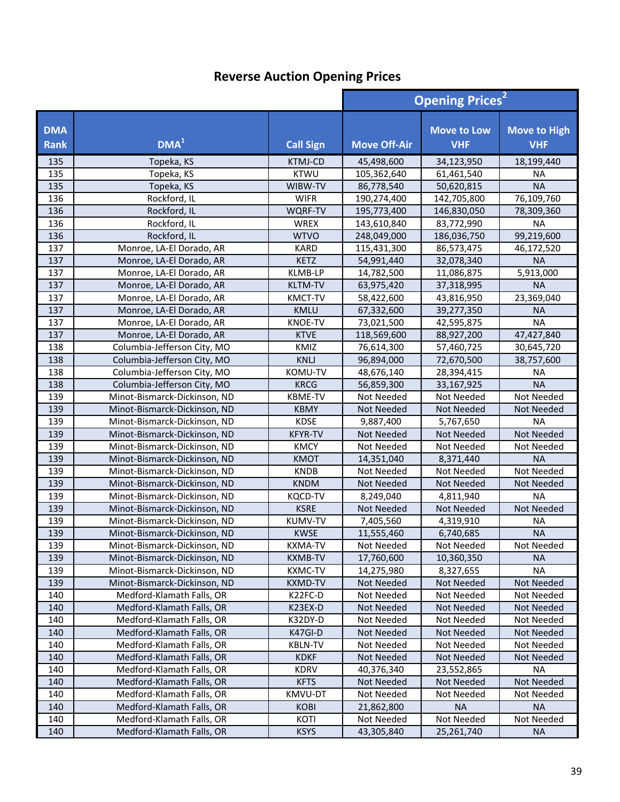|                           |                              |                  | <b>Opening Prices<sup>2</sup></b> |                                  |                                   |
|---------------------------|------------------------------|------------------|-----------------------------------|----------------------------------|-----------------------------------|
| <b>DMA</b><br><b>Rank</b> | DMA <sup>1</sup>             | <b>Call Sign</b> | <b>Move Off-Air</b>               | <b>Move to Low</b><br><b>VHF</b> | <b>Move to High</b><br><b>VHF</b> |
| 135                       | Topeka, KS                   | <b>KTMJ-CD</b>   | 45,498,600                        | 34,123,950                       | 18,199,440                        |
| 135                       | Topeka, KS                   | <b>KTWU</b>      | 105,362,640                       | 61,461,540                       | <b>NA</b>                         |
| 135                       | Topeka, KS                   | WIBW-TV          | 86,778,540                        | 50,620,815                       | <b>NA</b>                         |
| 136                       | Rockford, IL                 | <b>WIFR</b>      | 190,274,400                       | 142,705,800                      | 76,109,760                        |
| 136                       | Rockford, IL                 | WQRF-TV          | 195,773,400                       | 146,830,050                      | 78,309,360                        |
| 136                       | Rockford, IL                 | <b>WREX</b>      | 143,610,840                       | 83,772,990                       | <b>NA</b>                         |
| 136                       | Rockford, IL                 | <b>WTVO</b>      | 248,049,000                       | 186,036,750                      | 99,219,600                        |
| 137                       | Monroe, LA-El Dorado, AR     | <b>KARD</b>      | 115,431,300                       | 86,573,475                       | 46,172,520                        |
| 137                       | Monroe, LA-El Dorado, AR     | KETZ             | 54,991,440                        | 32,078,340                       | <b>NA</b>                         |
| 137                       | Monroe, LA-El Dorado, AR     | KLMB-LP          | 14,782,500                        | 11,086,875                       | 5,913,000                         |
| 137                       | Monroe, LA-El Dorado, AR     | <b>KLTM-TV</b>   | 63,975,420                        | 37,318,995                       | <b>NA</b>                         |
| 137                       | Monroe, LA-El Dorado, AR     | KMCT-TV          | 58,422,600                        | 43,816,950                       | 23,369,040                        |
| 137                       | Monroe, LA-El Dorado, AR     | <b>KMLU</b>      | 67,332,600                        | 39,277,350                       | <b>NA</b>                         |
| 137                       | Monroe, LA-El Dorado, AR     | <b>KNOE-TV</b>   | 73,021,500                        | 42,595,875                       | <b>NA</b>                         |
| 137                       | Monroe, LA-El Dorado, AR     | <b>KTVE</b>      | 118,569,600                       | 88,927,200                       | 47,427,840                        |
| 138                       | Columbia-Jefferson City, MO  | KMIZ             | 76,614,300                        | 57,460,725                       | 30,645,720                        |
| 138                       | Columbia-Jefferson City, MO  | <b>KNLJ</b>      | 96,894,000                        | 72,670,500                       | 38,757,600                        |
| 138                       | Columbia-Jefferson City, MO  | KOMU-TV          | 48,676,140                        | 28,394,415                       | <b>NA</b>                         |
| 138                       | Columbia-Jefferson City, MO  | <b>KRCG</b>      | 56,859,300                        | 33,167,925                       | <b>NA</b>                         |
| 139                       | Minot-Bismarck-Dickinson, ND | <b>KBME-TV</b>   | Not Needed                        | Not Needed                       | Not Needed                        |
| 139                       | Minot-Bismarck-Dickinson, ND | <b>KBMY</b>      | Not Needed                        | Not Needed                       | Not Needed                        |
| 139                       | Minot-Bismarck-Dickinson, ND | <b>KDSE</b>      | 9,887,400                         | 5,767,650                        | <b>NA</b>                         |
| 139                       | Minot-Bismarck-Dickinson, ND | <b>KFYR-TV</b>   | Not Needed                        | Not Needed                       | Not Needed                        |
| 139                       | Minot-Bismarck-Dickinson, ND | <b>KMCY</b>      | Not Needed                        | Not Needed                       | Not Needed                        |
| 139                       | Minot-Bismarck-Dickinson, ND | <b>KMOT</b>      | 14,351,040                        | 8,371,440                        | <b>NA</b>                         |
| 139                       | Minot-Bismarck-Dickinson, ND | <b>KNDB</b>      | Not Needed                        | Not Needed                       | Not Needed                        |
| 139                       | Minot-Bismarck-Dickinson, ND | <b>KNDM</b>      | Not Needed                        | Not Needed                       | <b>Not Needed</b>                 |
| 139                       | Minot-Bismarck-Dickinson, ND | <b>KQCD-TV</b>   | 8,249,040                         | 4,811,940                        | <b>NA</b>                         |
| 139                       | Minot-Bismarck-Dickinson, ND | <b>KSRE</b>      | Not Needed                        | Not Needed                       | Not Needed                        |
| 139                       | Minot-Bismarck-Dickinson, ND | <b>KUMV-TV</b>   | 7,405,560                         | 4,319,910                        | <b>NA</b>                         |
| 139                       | Minot-Bismarck-Dickinson, ND | <b>KWSE</b>      | 11,555,460                        | 6,740,685                        | <b>NA</b>                         |
| 139                       | Minot-Bismarck-Dickinson, ND | KXMA-TV          | Not Needed                        | Not Needed                       | Not Needed                        |
| 139                       | Minot-Bismarck-Dickinson, ND | <b>KXMB-TV</b>   | 17,760,600                        | 10,360,350                       | <b>NA</b>                         |
| 139                       | Minot-Bismarck-Dickinson, ND | <b>KXMC-TV</b>   | 14,275,980                        | 8,327,655                        | <b>NA</b>                         |
| 139                       | Minot-Bismarck-Dickinson, ND | <b>KXMD-TV</b>   | Not Needed                        | <b>Not Needed</b>                | Not Needed                        |
| 140                       | Medford-Klamath Falls, OR    | K22FC-D          | Not Needed                        | Not Needed                       | Not Needed                        |
| 140                       | Medford-Klamath Falls, OR    | K23EX-D          | Not Needed                        | Not Needed                       | Not Needed                        |
| 140                       | Medford-Klamath Falls, OR    | K32DY-D          | Not Needed                        | Not Needed                       | Not Needed                        |
| 140                       | Medford-Klamath Falls, OR    | K47GI-D          | Not Needed                        | Not Needed                       | Not Needed                        |
| 140                       | Medford-Klamath Falls, OR    | <b>KBLN-TV</b>   | Not Needed                        | Not Needed                       | Not Needed                        |
| 140                       | Medford-Klamath Falls, OR    | <b>KDKF</b>      | Not Needed                        | <b>Not Needed</b>                | Not Needed                        |
| 140                       | Medford-Klamath Falls, OR    | <b>KDRV</b>      | 40,376,340                        | 23,552,865                       | <b>NA</b>                         |
| 140                       | Medford-Klamath Falls, OR    | <b>KFTS</b>      | Not Needed                        | Not Needed                       | Not Needed                        |
| 140                       | Medford-Klamath Falls, OR    | KMVU-DT          | Not Needed                        | Not Needed                       | Not Needed                        |
| 140                       | Medford-Klamath Falls, OR    | <b>KOBI</b>      | 21,862,800                        | <b>NA</b>                        | <b>NA</b>                         |
| 140                       | Medford-Klamath Falls, OR    | KOTI             | Not Needed                        | Not Needed                       | Not Needed                        |
| 140                       | Medford-Klamath Falls, OR    | <b>KSYS</b>      | 43,305,840                        | 25,261,740                       | <b>NA</b>                         |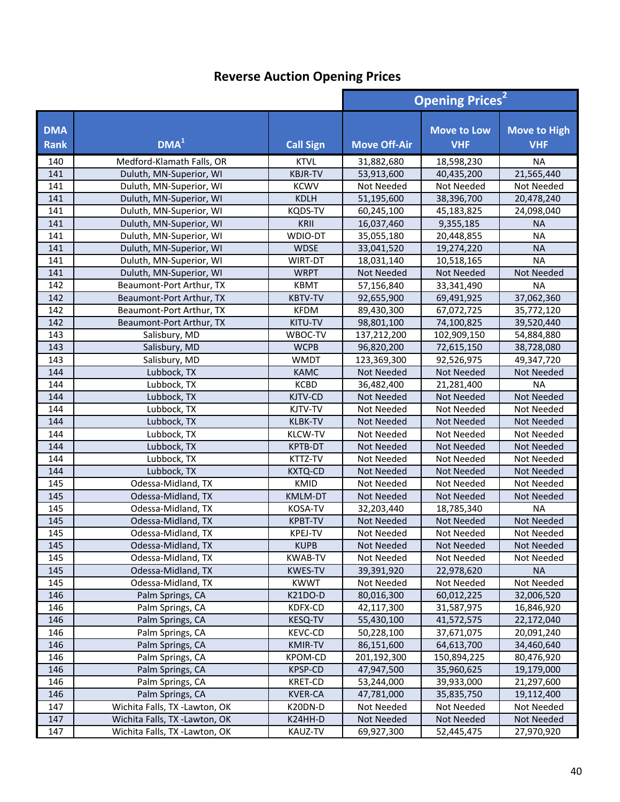|                           |                               |                  | <b>Opening Prices<sup>2</sup></b> |                                  |                                   |
|---------------------------|-------------------------------|------------------|-----------------------------------|----------------------------------|-----------------------------------|
| <b>DMA</b><br><b>Rank</b> | DMA <sup>1</sup>              | <b>Call Sign</b> | <b>Move Off-Air</b>               | <b>Move to Low</b><br><b>VHF</b> | <b>Move to High</b><br><b>VHF</b> |
| 140                       | Medford-Klamath Falls, OR     | <b>KTVL</b>      | 31,882,680                        | 18,598,230                       | <b>NA</b>                         |
| 141                       | Duluth, MN-Superior, WI       | <b>KBJR-TV</b>   | 53,913,600                        | 40,435,200                       | 21,565,440                        |
| 141                       | Duluth, MN-Superior, WI       | <b>KCWV</b>      | Not Needed                        | Not Needed                       | Not Needed                        |
| 141                       | Duluth, MN-Superior, WI       | <b>KDLH</b>      | 51,195,600                        | 38,396,700                       | 20,478,240                        |
| 141                       | Duluth, MN-Superior, WI       | <b>KQDS-TV</b>   | 60,245,100                        | 45,183,825                       | 24,098,040                        |
| 141                       | Duluth, MN-Superior, WI       | KRII             | 16,037,460                        | 9,355,185                        | <b>NA</b>                         |
| 141                       | Duluth, MN-Superior, WI       | WDIO-DT          | 35,055,180                        | 20,448,855                       | <b>NA</b>                         |
| 141                       | Duluth, MN-Superior, WI       | <b>WDSE</b>      | 33,041,520                        | 19,274,220                       | <b>NA</b>                         |
| 141                       | Duluth, MN-Superior, WI       | <b>WIRT-DT</b>   | 18,031,140                        | 10,518,165                       | <b>NA</b>                         |
| 141                       | Duluth, MN-Superior, WI       | <b>WRPT</b>      | Not Needed                        | Not Needed                       | Not Needed                        |
| 142                       | Beaumont-Port Arthur, TX      | <b>KBMT</b>      | 57,156,840                        | 33,341,490                       | <b>NA</b>                         |
| 142                       | Beaumont-Port Arthur, TX      | <b>KBTV-TV</b>   | 92,655,900                        | 69,491,925                       | 37,062,360                        |
| 142                       | Beaumont-Port Arthur, TX      | <b>KFDM</b>      | 89,430,300                        | 67,072,725                       | 35,772,120                        |
| 142                       | Beaumont-Port Arthur, TX      | KITU-TV          | 98,801,100                        | 74,100,825                       | 39,520,440                        |
| 143                       | Salisbury, MD                 | WBOC-TV          | 137,212,200                       | 102,909,150                      | 54,884,880                        |
| 143                       | Salisbury, MD                 | <b>WCPB</b>      | 96,820,200                        | 72,615,150                       | 38,728,080                        |
| 143                       | Salisbury, MD                 | <b>WMDT</b>      | 123,369,300                       | 92,526,975                       | 49,347,720                        |
| 144                       | Lubbock, TX                   | <b>KAMC</b>      | Not Needed                        | <b>Not Needed</b>                | Not Needed                        |
| 144                       | Lubbock, TX                   | <b>KCBD</b>      | 36,482,400                        | 21,281,400                       | <b>NA</b>                         |
| 144                       | Lubbock, TX                   | KJTV-CD          | <b>Not Needed</b>                 | <b>Not Needed</b>                | Not Needed                        |
| 144                       | Lubbock, TX                   | KJTV-TV          | Not Needed                        | Not Needed                       | Not Needed                        |
| 144                       | Lubbock, TX                   | <b>KLBK-TV</b>   | <b>Not Needed</b>                 | <b>Not Needed</b>                | <b>Not Needed</b>                 |
| 144                       | Lubbock, TX                   | <b>KLCW-TV</b>   | Not Needed                        | Not Needed                       | Not Needed                        |
| 144                       | Lubbock, TX                   | <b>KPTB-DT</b>   | Not Needed                        | Not Needed                       | Not Needed                        |
| 144                       | Lubbock, TX                   | KTTZ-TV          | Not Needed                        | Not Needed                       | Not Needed                        |
| 144                       | Lubbock, TX                   | <b>KXTQ-CD</b>   | Not Needed                        | Not Needed                       | Not Needed                        |
| 145                       | Odessa-Midland, TX            | KMID             | Not Needed                        | Not Needed                       | Not Needed                        |
| 145                       | Odessa-Midland, TX            | <b>KMLM-DT</b>   | Not Needed                        | Not Needed                       | <b>Not Needed</b>                 |
| 145                       | Odessa-Midland, TX            | <b>KOSA-TV</b>   | 32,203,440                        | 18,785,340                       | <b>NA</b>                         |
| 145                       | Odessa-Midland, TX            | <b>KPBT-TV</b>   | Not Needed                        | <b>Not Needed</b>                | Not Needed                        |
| 145                       | Odessa-Midland, TX            | <b>KPEJ-TV</b>   | Not Needed                        | Not Needed                       | Not Needed                        |
| 145                       | Odessa-Midland, TX            | <b>KUPB</b>      | Not Needed                        | Not Needed                       | Not Needed                        |
| 145                       | Odessa-Midland, TX            | <b>KWAB-TV</b>   | Not Needed                        | Not Needed                       | Not Needed                        |
| 145                       | Odessa-Midland, TX            | <b>KWES-TV</b>   | 39,391,920                        | 22,978,620                       | <b>NA</b>                         |
| 145                       | Odessa-Midland, TX            | <b>KWWT</b>      | Not Needed                        | Not Needed                       | Not Needed                        |
| 146                       | Palm Springs, CA              | K21DO-D          | 80,016,300                        | 60,012,225                       | 32,006,520                        |
| 146                       | Palm Springs, CA              | KDFX-CD          | 42,117,300                        | 31,587,975                       | 16,846,920                        |
| 146                       | Palm Springs, CA              | KESQ-TV          | 55,430,100                        | 41,572,575                       | 22,172,040                        |
| 146                       | Palm Springs, CA              | <b>KEVC-CD</b>   | 50,228,100                        | 37,671,075                       | 20,091,240                        |
| 146                       | Palm Springs, CA              | KMIR-TV          | 86,151,600                        | 64,613,700                       | 34,460,640                        |
| 146                       | Palm Springs, CA              | <b>KPOM-CD</b>   | 201,192,300                       | 150,894,225                      | 80,476,920                        |
| 146                       | Palm Springs, CA              | KPSP-CD          | 47,947,500                        | 35,960,625                       | 19,179,000                        |
| 146                       | Palm Springs, CA              | <b>KRET-CD</b>   | 53,244,000                        | 39,933,000                       | 21,297,600                        |
| 146                       | Palm Springs, CA              | <b>KVER-CA</b>   | 47,781,000                        | 35,835,750                       | 19,112,400                        |
| 147                       | Wichita Falls, TX -Lawton, OK | K20DN-D          | Not Needed                        | Not Needed                       | Not Needed                        |
| 147                       | Wichita Falls, TX -Lawton, OK | K24HH-D          | Not Needed                        | Not Needed                       | Not Needed                        |
| 147                       | Wichita Falls, TX -Lawton, OK | KAUZ-TV          | 69,927,300                        | 52,445,475                       | 27,970,920                        |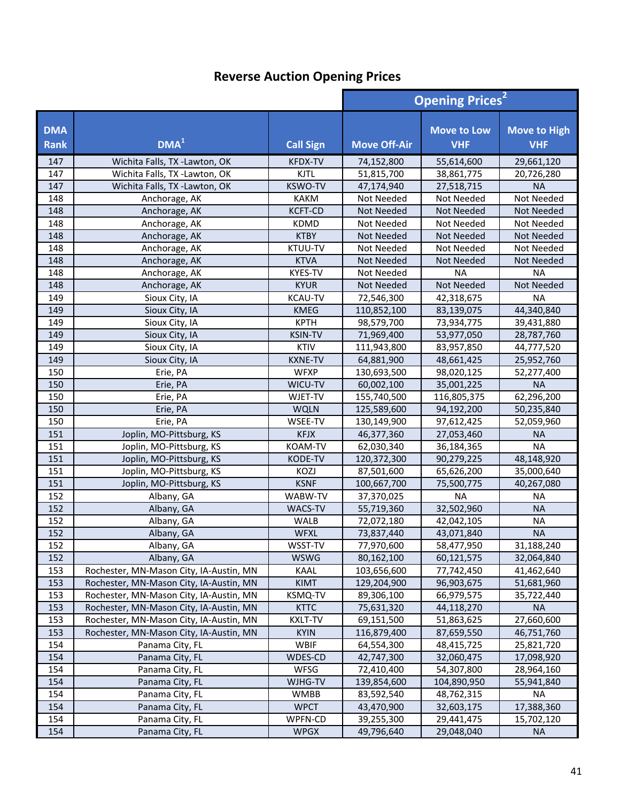|                           |                                         |                  | <b>Opening Prices<sup>2</sup></b> |                                  |                                   |
|---------------------------|-----------------------------------------|------------------|-----------------------------------|----------------------------------|-----------------------------------|
| <b>DMA</b><br><b>Rank</b> | DMA <sup>1</sup>                        | <b>Call Sign</b> | <b>Move Off-Air</b>               | <b>Move to Low</b><br><b>VHF</b> | <b>Move to High</b><br><b>VHF</b> |
| 147                       | Wichita Falls, TX -Lawton, OK           | <b>KFDX-TV</b>   | 74,152,800                        | 55,614,600                       | 29,661,120                        |
| 147                       | Wichita Falls, TX -Lawton, OK           | <b>KJTL</b>      | 51,815,700                        | 38,861,775                       | 20,726,280                        |
| 147                       | Wichita Falls, TX -Lawton, OK           | <b>KSWO-TV</b>   | 47,174,940                        | 27,518,715                       | <b>NA</b>                         |
| 148                       | Anchorage, AK                           | <b>KAKM</b>      | Not Needed                        | Not Needed                       | Not Needed                        |
| 148                       | Anchorage, AK                           | <b>KCFT-CD</b>   | Not Needed                        | Not Needed                       | <b>Not Needed</b>                 |
| 148                       | Anchorage, AK                           | <b>KDMD</b>      | Not Needed                        | Not Needed                       | Not Needed                        |
| 148                       | Anchorage, AK                           | <b>KTBY</b>      | Not Needed                        | Not Needed                       | Not Needed                        |
| 148                       | Anchorage, AK                           | KTUU-TV          | Not Needed                        | Not Needed                       | Not Needed                        |
| 148                       | Anchorage, AK                           | <b>KTVA</b>      | Not Needed                        | <b>Not Needed</b>                | Not Needed                        |
| 148                       | Anchorage, AK                           | <b>KYES-TV</b>   | Not Needed                        | <b>NA</b>                        | <b>NA</b>                         |
| 148                       | Anchorage, AK                           | <b>KYUR</b>      | Not Needed                        | Not Needed                       | Not Needed                        |
| 149                       | Sioux City, IA                          | <b>KCAU-TV</b>   | 72,546,300                        | 42,318,675                       | <b>NA</b>                         |
| 149                       | Sioux City, IA                          | <b>KMEG</b>      | 110,852,100                       | 83,139,075                       | 44,340,840                        |
| 149                       | Sioux City, IA                          | <b>KPTH</b>      | 98,579,700                        | 73,934,775                       | 39,431,880                        |
| 149                       | Sioux City, IA                          | <b>KSIN-TV</b>   | 71,969,400                        | 53,977,050                       | 28,787,760                        |
| 149                       | Sioux City, IA                          | <b>KTIV</b>      | 111,943,800                       | 83,957,850                       | 44,777,520                        |
| 149                       | Sioux City, IA                          | <b>KXNE-TV</b>   | 64,881,900                        | 48,661,425                       | 25,952,760                        |
| 150                       | Erie, PA                                | <b>WFXP</b>      | 130,693,500                       | 98,020,125                       | 52,277,400                        |
| 150                       | Erie, PA                                | WICU-TV          | 60,002,100                        | 35,001,225                       | <b>NA</b>                         |
| 150                       | Erie, PA                                | WJET-TV          | 155,740,500                       | 116,805,375                      | 62,296,200                        |
| 150                       | Erie, PA                                | <b>WQLN</b>      | 125,589,600                       | 94,192,200                       | 50,235,840                        |
| 150                       | Erie, PA                                | WSEE-TV          | 130,149,900                       | 97,612,425                       | 52,059,960                        |
| 151                       | Joplin, MO-Pittsburg, KS                | <b>KFJX</b>      | 46,377,360                        | 27,053,460                       | <b>NA</b>                         |
| 151                       | Joplin, MO-Pittsburg, KS                | KOAM-TV          | 62,030,340                        | 36,184,365                       | <b>NA</b>                         |
| 151                       | Joplin, MO-Pittsburg, KS                | KODE-TV          | 120,372,300                       | 90,279,225                       | 48,148,920                        |
| 151                       | Joplin, MO-Pittsburg, KS                | KOZJ             | 87,501,600                        | 65,626,200                       | 35,000,640                        |
| 151                       | Joplin, MO-Pittsburg, KS                | <b>KSNF</b>      | 100,667,700                       | 75,500,775                       | 40,267,080                        |
| 152                       | Albany, GA                              | WABW-TV          | 37,370,025                        | <b>NA</b>                        | <b>NA</b>                         |
| 152                       | Albany, GA                              | <b>WACS-TV</b>   | 55,719,360                        | 32,502,960                       | <b>NA</b>                         |
| 152                       | Albany, GA                              | <b>WALB</b>      | 72,072,180                        | 42,042,105                       | <b>NA</b>                         |
| 152                       | Albany, GA                              | <b>WFXL</b>      | 73,837,440                        | 43,071,840                       | <b>NA</b>                         |
| 152                       | Albany, GA                              | WSST-TV          | 77,970,600                        | 58,477,950                       | 31,188,240                        |
| 152                       | Albany, GA                              | <b>WSWG</b>      | 80,162,100                        | 60,121,575                       | 32,064,840                        |
| 153                       | Rochester, MN-Mason City, IA-Austin, MN | KAAL             | 103,656,600                       | 77,742,450                       | 41,462,640                        |
| 153                       | Rochester, MN-Mason City, IA-Austin, MN | <b>KIMT</b>      | 129,204,900                       | 96,903,675                       | 51,681,960                        |
| 153                       | Rochester, MN-Mason City, IA-Austin, MN | KSMQ-TV          | 89,306,100                        | 66,979,575                       | 35,722,440                        |
| 153                       | Rochester, MN-Mason City, IA-Austin, MN | <b>KTTC</b>      | 75,631,320                        | 44,118,270                       | <b>NA</b>                         |
| 153                       | Rochester, MN-Mason City, IA-Austin, MN | KXLT-TV          | 69,151,500                        | 51,863,625                       | 27,660,600                        |
| 153                       | Rochester, MN-Mason City, IA-Austin, MN | <b>KYIN</b>      | 116,879,400                       | 87,659,550                       | 46,751,760                        |
| 154                       | Panama City, FL                         | <b>WBIF</b>      | 64,554,300                        | 48,415,725                       | 25,821,720                        |
| 154                       | Panama City, FL                         | WDES-CD          | 42,747,300                        | 32,060,475                       | 17,098,920                        |
| 154                       | Panama City, FL                         | WFSG             | 72,410,400                        | 54,307,800                       | 28,964,160                        |
| 154                       | Panama City, FL                         | WJHG-TV          | 139,854,600                       | 104,890,950                      | 55,941,840                        |
| 154                       | Panama City, FL                         | <b>WMBB</b>      | 83,592,540                        | 48,762,315                       | <b>NA</b>                         |
| 154                       | Panama City, FL                         | <b>WPCT</b>      | 43,470,900                        | 32,603,175                       | 17,388,360                        |
| 154                       | Panama City, FL                         | WPFN-CD          | 39,255,300                        | 29,441,475                       | 15,702,120                        |
| 154                       | Panama City, FL                         | <b>WPGX</b>      | 49,796,640                        | 29,048,040                       | <b>NA</b>                         |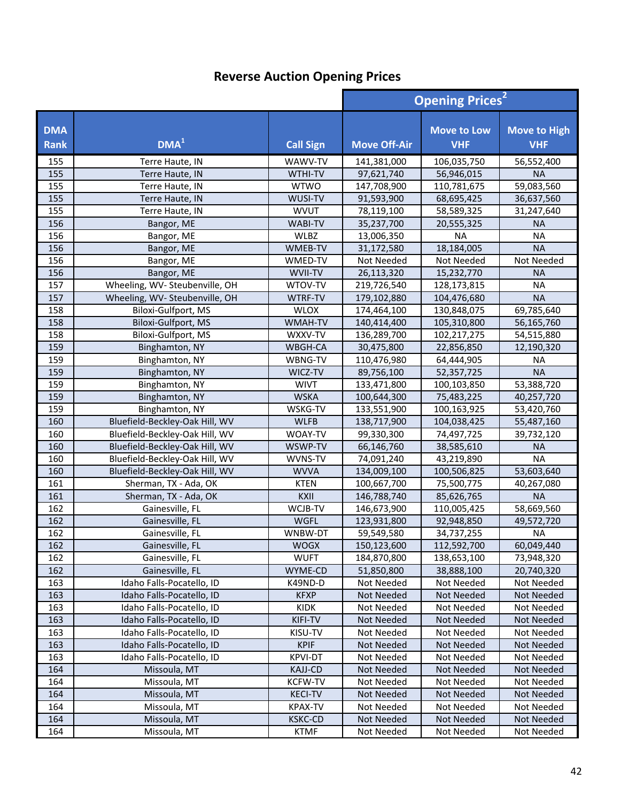|                           |                                | <b>Opening Prices<sup>2</sup></b> |                     |                                  |                                   |
|---------------------------|--------------------------------|-----------------------------------|---------------------|----------------------------------|-----------------------------------|
| <b>DMA</b><br><b>Rank</b> | DMA <sup>1</sup>               | <b>Call Sign</b>                  | <b>Move Off-Air</b> | <b>Move to Low</b><br><b>VHF</b> | <b>Move to High</b><br><b>VHF</b> |
| 155                       | Terre Haute, IN                | WAWV-TV                           | 141,381,000         | 106,035,750                      | 56,552,400                        |
| 155                       | Terre Haute, IN                | WTHI-TV                           | 97,621,740          | 56,946,015                       | <b>NA</b>                         |
| 155                       | Terre Haute, IN                | <b>WTWO</b>                       | 147,708,900         | 110,781,675                      | 59,083,560                        |
| 155                       | Terre Haute, IN                | WUSI-TV                           | 91,593,900          | 68,695,425                       | 36,637,560                        |
| 155                       | Terre Haute, IN                | <b>WVUT</b>                       | 78,119,100          | 58,589,325                       | 31,247,640                        |
| 156                       | Bangor, ME                     | <b>WABI-TV</b>                    | 35,237,700          | 20,555,325                       | <b>NA</b>                         |
| 156                       | Bangor, ME                     | WLBZ                              | 13,006,350          | <b>NA</b>                        | <b>NA</b>                         |
| 156                       | Bangor, ME                     | WMEB-TV                           | 31,172,580          | 18,184,005                       | <b>NA</b>                         |
| 156                       | Bangor, ME                     | WMED-TV                           | Not Needed          | Not Needed                       | Not Needed                        |
| 156                       | Bangor, ME                     | WVII-TV                           | 26,113,320          | 15,232,770                       | <b>NA</b>                         |
| 157                       | Wheeling, WV- Steubenville, OH | WTOV-TV                           | 219,726,540         | 128,173,815                      | <b>NA</b>                         |
| 157                       | Wheeling, WV- Steubenville, OH | WTRF-TV                           | 179,102,880         | 104,476,680                      | <b>NA</b>                         |
| 158                       | Biloxi-Gulfport, MS            | <b>WLOX</b>                       | 174,464,100         | 130,848,075                      | 69,785,640                        |
| 158                       | Biloxi-Gulfport, MS            | WMAH-TV                           | 140,414,400         | 105,310,800                      | 56,165,760                        |
| 158                       | Biloxi-Gulfport, MS            | WXXV-TV                           | 136,289,700         | 102,217,275                      | 54,515,880                        |
| 159                       | Binghamton, NY                 | WBGH-CA                           | 30,475,800          | 22,856,850                       | 12,190,320                        |
| 159                       | Binghamton, NY                 | WBNG-TV                           | 110,476,980         | 64,444,905                       | <b>NA</b>                         |
| 159                       | Binghamton, NY                 | WICZ-TV                           | 89,756,100          | 52,357,725                       | <b>NA</b>                         |
| 159                       | Binghamton, NY                 | <b>WIVT</b>                       | 133,471,800         | 100,103,850                      | 53,388,720                        |
| 159                       | Binghamton, NY                 | <b>WSKA</b>                       | 100,644,300         | 75,483,225                       | 40,257,720                        |
| 159                       | Binghamton, NY                 | WSKG-TV                           | 133,551,900         | 100,163,925                      | 53,420,760                        |
| 160                       | Bluefield-Beckley-Oak Hill, WV | <b>WLFB</b>                       | 138,717,900         | 104,038,425                      | 55,487,160                        |
| 160                       | Bluefield-Beckley-Oak Hill, WV | WOAY-TV                           | 99,330,300          | 74,497,725                       | 39,732,120                        |
| 160                       | Bluefield-Beckley-Oak Hill, WV | WSWP-TV                           | 66,146,760          | 38,585,610                       | <b>NA</b>                         |
| 160                       | Bluefield-Beckley-Oak Hill, WV | WVNS-TV                           | 74,091,240          | 43,219,890                       | <b>NA</b>                         |
| 160                       | Bluefield-Beckley-Oak Hill, WV | <b>WVVA</b>                       | 134,009,100         | 100,506,825                      | 53,603,640                        |
| 161                       | Sherman, TX - Ada, OK          | <b>KTEN</b>                       | 100,667,700         | 75,500,775                       | 40,267,080                        |
| 161                       | Sherman, TX - Ada, OK          | KXII                              | 146,788,740         | 85,626,765                       | <b>NA</b>                         |
| 162                       | Gainesville, FL                | WCJB-TV                           | 146,673,900         | 110,005,425                      | 58,669,560                        |
| 162                       | Gainesville, FL                | <b>WGFL</b>                       | 123,931,800         | 92,948,850                       | 49,572,720                        |
| 162                       | Gainesville, FL                | WNBW-DT                           | 59,549,580          | 34,737,255                       | <b>NA</b>                         |
| 162                       | Gainesville, FL                | WOGX                              | 150,123,600         | 112,592,700                      | 60,049,440                        |
| 162                       | Gainesville, FL                | <b>WUFT</b>                       | 184,870,800         | 138,653,100                      | 73,948,320                        |
| 162                       | Gainesville, FL                | WYME-CD                           | 51,850,800          | 38,888,100                       | 20,740,320                        |
| 163                       | Idaho Falls-Pocatello, ID      | K49ND-D                           | Not Needed          | Not Needed                       | Not Needed                        |
| 163                       | Idaho Falls-Pocatello, ID      | <b>KFXP</b>                       | Not Needed          | Not Needed                       | Not Needed                        |
| 163                       | Idaho Falls-Pocatello, ID      | KIDK                              | Not Needed          | Not Needed                       | Not Needed                        |
| 163                       | Idaho Falls-Pocatello, ID      | KIFI-TV                           | Not Needed          | Not Needed                       | Not Needed                        |
| 163                       | Idaho Falls-Pocatello, ID      | KISU-TV                           | Not Needed          | Not Needed                       | Not Needed                        |
| 163                       | Idaho Falls-Pocatello, ID      | <b>KPIF</b>                       | Not Needed          | Not Needed                       | Not Needed                        |
| 163                       | Idaho Falls-Pocatello, ID      | <b>KPVI-DT</b>                    | Not Needed          | Not Needed                       | Not Needed                        |
| 164                       | Missoula, MT                   | <b>KAJJ-CD</b>                    | Not Needed          | Not Needed                       | Not Needed                        |
| 164                       | Missoula, MT                   | <b>KCFW-TV</b>                    | Not Needed          | Not Needed                       | Not Needed                        |
| 164                       | Missoula, MT                   | <b>KECI-TV</b>                    | Not Needed          | Not Needed                       | Not Needed                        |
| 164                       | Missoula, MT                   | <b>KPAX-TV</b>                    | Not Needed          | Not Needed                       | Not Needed                        |
| 164                       | Missoula, MT                   | <b>KSKC-CD</b>                    | Not Needed          | Not Needed                       | Not Needed                        |
| 164                       | Missoula, MT                   | KTMF                              | Not Needed          | Not Needed                       | Not Needed                        |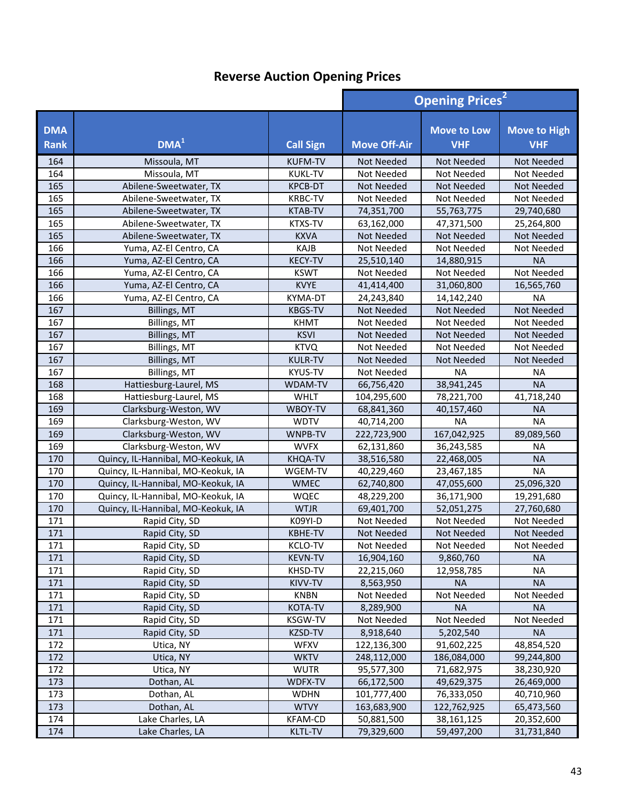|                           |                                    |                  | <b>Opening Prices<sup>2</sup></b> |                                  |                                   |
|---------------------------|------------------------------------|------------------|-----------------------------------|----------------------------------|-----------------------------------|
| <b>DMA</b><br><b>Rank</b> | DMA <sup>1</sup>                   | <b>Call Sign</b> | <b>Move Off-Air</b>               | <b>Move to Low</b><br><b>VHF</b> | <b>Move to High</b><br><b>VHF</b> |
| 164                       | Missoula, MT                       | <b>KUFM-TV</b>   | Not Needed                        | <b>Not Needed</b>                | Not Needed                        |
| 164                       | Missoula, MT                       | <b>KUKL-TV</b>   | Not Needed                        | Not Needed                       | Not Needed                        |
| 165                       | Abilene-Sweetwater, TX             | <b>KPCB-DT</b>   | <b>Not Needed</b>                 | Not Needed                       | Not Needed                        |
| 165                       | Abilene-Sweetwater, TX             | <b>KRBC-TV</b>   | Not Needed                        | Not Needed                       | Not Needed                        |
| 165                       | Abilene-Sweetwater, TX             | <b>KTAB-TV</b>   | 74,351,700                        | 55,763,775                       | 29,740,680                        |
| 165                       | Abilene-Sweetwater, TX             | <b>KTXS-TV</b>   | 63,162,000                        | 47,371,500                       | 25,264,800                        |
| 165                       | Abilene-Sweetwater, TX             | <b>KXVA</b>      | <b>Not Needed</b>                 | <b>Not Needed</b>                | Not Needed                        |
| 166                       | Yuma, AZ-El Centro, CA             | KAJB             | Not Needed                        | Not Needed                       | Not Needed                        |
| 166                       | Yuma, AZ-El Centro, CA             | <b>KECY-TV</b>   | 25,510,140                        | 14,880,915                       | <b>NA</b>                         |
| 166                       | Yuma, AZ-El Centro, CA             | <b>KSWT</b>      | Not Needed                        | Not Needed                       | Not Needed                        |
| 166                       | Yuma, AZ-El Centro, CA             | <b>KVYE</b>      | 41,414,400                        | 31,060,800                       | 16,565,760                        |
| 166                       | Yuma, AZ-El Centro, CA             | KYMA-DT          | 24,243,840                        | 14,142,240                       | <b>NA</b>                         |
| 167                       | Billings, MT                       | <b>KBGS-TV</b>   | Not Needed                        | Not Needed                       | Not Needed                        |
| 167                       | Billings, MT                       | <b>KHMT</b>      | Not Needed                        | Not Needed                       | Not Needed                        |
| 167                       | Billings, MT                       | <b>KSVI</b>      | <b>Not Needed</b>                 | Not Needed                       | Not Needed                        |
| 167                       | Billings, MT                       | <b>KTVQ</b>      | Not Needed                        | Not Needed                       | Not Needed                        |
| 167                       | Billings, MT                       | <b>KULR-TV</b>   | <b>Not Needed</b>                 | Not Needed                       | Not Needed                        |
| 167                       | Billings, MT                       | KYUS-TV          | Not Needed                        | <b>NA</b>                        | <b>NA</b>                         |
| 168                       | Hattiesburg-Laurel, MS             | WDAM-TV          | 66,756,420                        | 38,941,245                       | <b>NA</b>                         |
| 168                       | Hattiesburg-Laurel, MS             | <b>WHLT</b>      | 104,295,600                       | 78,221,700                       | 41,718,240                        |
| 169                       | Clarksburg-Weston, WV              | WBOY-TV          | 68,841,360                        | 40,157,460                       | <b>NA</b>                         |
| 169                       | Clarksburg-Weston, WV              | <b>WDTV</b>      | 40,714,200                        | <b>NA</b>                        | <b>NA</b>                         |
| 169                       | Clarksburg-Weston, WV              | WNPB-TV          | 222,723,900                       | 167,042,925                      | 89,089,560                        |
| 169                       | Clarksburg-Weston, WV              | <b>WVFX</b>      | 62,131,860                        | 36,243,585                       | <b>NA</b>                         |
| 170                       | Quincy, IL-Hannibal, MO-Keokuk, IA | KHQA-TV          | 38,516,580                        | 22,468,005                       | <b>NA</b>                         |
| 170                       | Quincy, IL-Hannibal, MO-Keokuk, IA | WGEM-TV          | 40,229,460                        | 23,467,185                       | <b>NA</b>                         |
| 170                       | Quincy, IL-Hannibal, MO-Keokuk, IA | <b>WMEC</b>      | 62,740,800                        | 47,055,600                       | 25,096,320                        |
| 170                       | Quincy, IL-Hannibal, MO-Keokuk, IA | <b>WQEC</b>      | 48,229,200                        | 36,171,900                       | 19,291,680                        |
| 170                       | Quincy, IL-Hannibal, MO-Keokuk, IA | <b>WTJR</b>      | 69,401,700                        | 52,051,275                       | 27,760,680                        |
| 171                       | Rapid City, SD                     | K09YI-D          | Not Needed                        | Not Needed                       | Not Needed                        |
| 171                       | Rapid City, SD                     | <b>KBHE-TV</b>   | <b>Not Needed</b>                 | <b>Not Needed</b>                | Not Needed                        |
| 171                       | Rapid City, SD                     | <b>KCLO-TV</b>   | Not Needed                        | Not Needed                       | Not Needed                        |
| 171                       | Rapid City, SD                     | <b>KEVN-TV</b>   | 16,904,160                        | 9,860,760                        | <b>NA</b>                         |
| 171                       | Rapid City, SD                     | KHSD-TV          | 22,215,060                        | 12,958,785                       | NA                                |
| 171                       | Rapid City, SD                     | KIVV-TV          | 8,563,950                         | <b>NA</b>                        | <b>NA</b>                         |
| 171                       | Rapid City, SD                     | KNBN             | Not Needed                        | Not Needed                       | Not Needed                        |
| 171                       | Rapid City, SD                     | <b>KOTA-TV</b>   | 8,289,900                         | <b>NA</b>                        | <b>NA</b>                         |
| 171                       | Rapid City, SD                     | KSGW-TV          | Not Needed                        | Not Needed                       | Not Needed                        |
| 171                       | Rapid City, SD                     | KZSD-TV          | 8,918,640                         | 5,202,540                        | <b>NA</b>                         |
| 172                       | Utica, NY                          | <b>WFXV</b>      | 122,136,300                       | 91,602,225                       | 48,854,520                        |
| 172                       | Utica, NY                          | <b>WKTV</b>      | 248,112,000                       | 186,084,000                      | 99,244,800                        |
| 172                       | Utica, NY                          | <b>WUTR</b>      | 95,577,300                        | 71,682,975                       | 38,230,920                        |
| 173                       | Dothan, AL                         | WDFX-TV          | 66,172,500                        | 49,629,375                       | 26,469,000                        |
| 173                       | Dothan, AL                         | <b>WDHN</b>      | 101,777,400                       | 76,333,050                       | 40,710,960                        |
| 173                       | Dothan, AL                         | <b>WTVY</b>      | 163,683,900                       | 122,762,925                      | 65,473,560                        |
| 174                       | Lake Charles, LA                   | <b>KFAM-CD</b>   | 50,881,500                        | 38, 161, 125                     | 20,352,600                        |
| 174                       | Lake Charles, LA                   | <b>KLTL-TV</b>   | 79,329,600                        | 59,497,200                       | 31,731,840                        |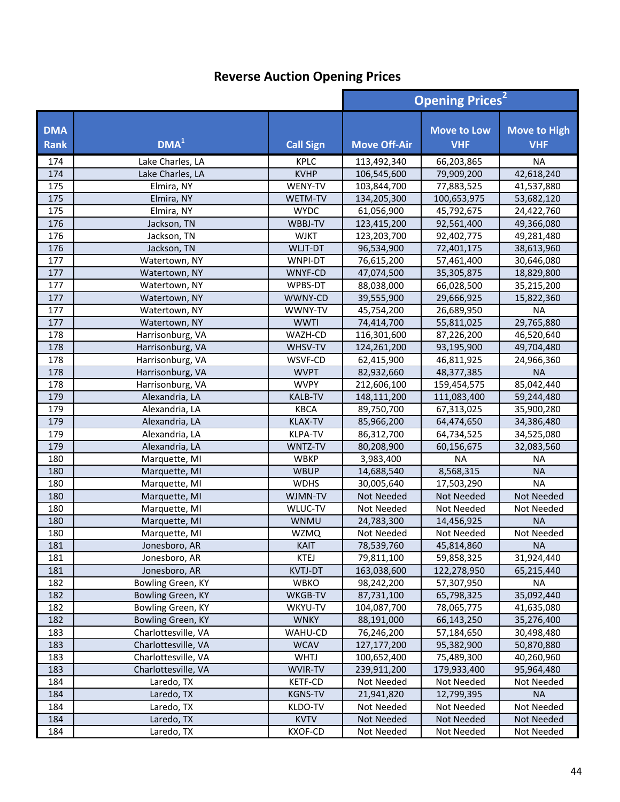|                           |                          |                        | <b>Opening Prices<sup>2</sup></b> |                                  |                                   |
|---------------------------|--------------------------|------------------------|-----------------------------------|----------------------------------|-----------------------------------|
| <b>DMA</b><br><b>Rank</b> | DMA <sup>1</sup>         | <b>Call Sign</b>       | <b>Move Off-Air</b>               | <b>Move to Low</b><br><b>VHF</b> | <b>Move to High</b><br><b>VHF</b> |
| 174                       | Lake Charles, LA         | <b>KPLC</b>            | 113,492,340                       | 66,203,865                       | <b>NA</b>                         |
| 174                       | Lake Charles, LA         | <b>KVHP</b>            | 106,545,600                       | 79,909,200                       | 42,618,240                        |
| 175                       | Elmira, NY               | WENY-TV                | 103,844,700                       | 77,883,525                       | 41,537,880                        |
| 175                       | Elmira, NY               | WETM-TV                | 134,205,300                       | 100,653,975                      | 53,682,120                        |
| 175                       | Elmira, NY               | <b>WYDC</b>            | 61,056,900                        | 45,792,675                       | 24,422,760                        |
| 176                       | Jackson, TN              | WBBJ-TV                | 123,415,200                       | 92,561,400                       | 49,366,080                        |
| 176                       | Jackson, TN              | <b>WJKT</b>            | 123,203,700                       | 92,402,775                       | 49,281,480                        |
| 176                       | Jackson, TN              | WLJT-DT                | 96,534,900                        | 72,401,175                       | 38,613,960                        |
| 177                       | Watertown, NY            | WNPI-DT                | 76,615,200                        | 57,461,400                       | 30,646,080                        |
| 177                       | Watertown, NY            | WNYF-CD                | 47,074,500                        | 35,305,875                       | 18,829,800                        |
| 177                       | Watertown, NY            | WPBS-DT                | 88,038,000                        | 66,028,500                       | 35,215,200                        |
| 177                       | Watertown, NY            | WWNY-CD                | 39,555,900                        | 29,666,925                       | 15,822,360                        |
| 177                       | Watertown, NY            | WWNY-TV                | 45,754,200                        | 26,689,950                       | <b>NA</b>                         |
| 177                       | Watertown, NY            | <b>WWTI</b>            | 74,414,700                        | 55,811,025                       | 29,765,880                        |
| 178                       | Harrisonburg, VA         | WAZH-CD                | 116,301,600                       | 87,226,200                       | 46,520,640                        |
| 178                       | Harrisonburg, VA         | WHSV-TV                | 124,261,200                       | 93,195,900                       | 49,704,480                        |
| 178                       | Harrisonburg, VA         | WSVF-CD                | 62,415,900                        | 46,811,925                       | 24,966,360                        |
| 178                       | Harrisonburg, VA         | <b>WVPT</b>            | 82,932,660                        | 48,377,385                       | <b>NA</b>                         |
| 178                       | Harrisonburg, VA         | <b>WVPY</b>            | 212,606,100                       | 159,454,575                      | 85,042,440                        |
| 179                       | Alexandria, LA           | <b>KALB-TV</b>         | 148,111,200                       | 111,083,400                      | 59,244,480                        |
| 179                       | Alexandria, LA           | <b>KBCA</b>            | 89,750,700                        | 67,313,025                       | 35,900,280                        |
| 179                       | Alexandria, LA           | <b>KLAX-TV</b>         | 85,966,200                        | 64,474,650                       | 34,386,480                        |
| 179                       | Alexandria, LA           | <b>KLPA-TV</b>         | 86,312,700                        | 64,734,525                       | 34,525,080                        |
| 179                       | Alexandria, LA           | WNTZ-TV                | 80,208,900                        | 60,156,675                       | 32,083,560                        |
| 180                       | Marquette, MI            | <b>WBKP</b>            | 3,983,400                         | <b>NA</b>                        | <b>NA</b>                         |
| 180                       | Marquette, MI            | <b>WBUP</b>            | 14,688,540                        | 8,568,315                        | <b>NA</b>                         |
| 180                       | Marquette, MI            | <b>WDHS</b>            | 30,005,640                        | 17,503,290                       | <b>NA</b>                         |
| 180                       | Marquette, MI            | WJMN-TV                | Not Needed                        | Not Needed                       | Not Needed                        |
| 180                       | Marquette, MI            | WLUC-TV                | Not Needed                        | Not Needed                       | Not Needed                        |
| 180                       | Marquette, MI            | <b>WNMU</b>            | 24,783,300                        | 14,456,925                       | <b>NA</b>                         |
| 180                       | Marquette, MI            | <b>WZMQ</b>            | Not Needed                        | Not Needed                       | Not Needed                        |
| 181                       | Jonesboro, AR            | KAIT                   | 78,539,760                        | 45,814,860                       | <b>NA</b>                         |
| 181                       | Jonesboro, AR            | <b>KTEJ</b>            | 79,811,100                        | 59,858,325                       | 31,924,440                        |
| 181                       | Jonesboro, AR            | <b>KVTJ-DT</b>         | 163,038,600                       | 122,278,950                      | 65,215,440                        |
| 182                       | Bowling Green, KY        | WBKO                   | 98,242,200                        | 57,307,950                       | <b>NA</b>                         |
| 182                       | Bowling Green, KY        | WKGB-TV                | 87,731,100                        | 65,798,325                       | 35,092,440                        |
| 182                       | Bowling Green, KY        | WKYU-TV                | 104,087,700                       | 78,065,775                       | 41,635,080                        |
| 182                       | Bowling Green, KY        | <b>WNKY</b>            | 88,191,000                        | 66,143,250                       | 35,276,400                        |
| 183                       | Charlottesville, VA      | WAHU-CD                | 76,246,200                        | 57,184,650                       | 30,498,480                        |
| 183                       | Charlottesville, VA      | <b>WCAV</b>            | 127,177,200                       | 95,382,900                       | 50,870,880                        |
| 183                       | Charlottesville, VA      | <b>WHTJ</b>            | 100,652,400                       | 75,489,300                       | 40,260,960                        |
| 183                       | Charlottesville, VA      | WVIR-TV                | 239,911,200                       | 179,933,400                      | 95,964,480                        |
| 184                       | Laredo, TX               | <b>KETF-CD</b>         | Not Needed                        | Not Needed                       | Not Needed                        |
| 184                       | Laredo, TX               | <b>KGNS-TV</b>         | 21,941,820                        | 12,799,395                       | <b>NA</b>                         |
| 184                       | Laredo, TX               | KLDO-TV<br><b>KVTV</b> | Not Needed                        | Not Needed                       | Not Needed                        |
| 184<br>184                | Laredo, TX<br>Laredo, TX | <b>KXOF-CD</b>         | Not Needed<br>Not Needed          | Not Needed<br>Not Needed         | Not Needed<br>Not Needed          |
|                           |                          |                        |                                   |                                  |                                   |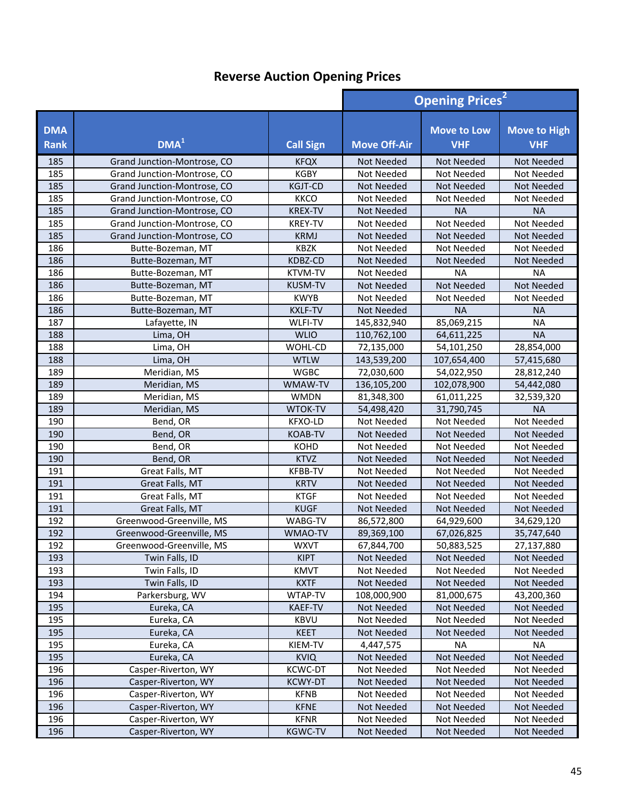|                           |                             |                  |                     | <b>Opening Prices<sup>2</sup></b> |                                   |  |
|---------------------------|-----------------------------|------------------|---------------------|-----------------------------------|-----------------------------------|--|
| <b>DMA</b><br><b>Rank</b> | DMA <sup>1</sup>            | <b>Call Sign</b> | <b>Move Off-Air</b> | <b>Move to Low</b><br><b>VHF</b>  | <b>Move to High</b><br><b>VHF</b> |  |
| 185                       | Grand Junction-Montrose, CO | <b>KFQX</b>      | Not Needed          | Not Needed                        | Not Needed                        |  |
| 185                       | Grand Junction-Montrose, CO | <b>KGBY</b>      | Not Needed          | Not Needed                        | Not Needed                        |  |
| 185                       | Grand Junction-Montrose, CO | <b>KGJT-CD</b>   | Not Needed          | Not Needed                        | Not Needed                        |  |
| 185                       | Grand Junction-Montrose, CO | <b>KKCO</b>      | Not Needed          | Not Needed                        | Not Needed                        |  |
| 185                       | Grand Junction-Montrose, CO | <b>KREX-TV</b>   | Not Needed          | <b>NA</b>                         | <b>NA</b>                         |  |
| 185                       | Grand Junction-Montrose, CO | <b>KREY-TV</b>   | Not Needed          | Not Needed                        | Not Needed                        |  |
| 185                       | Grand Junction-Montrose, CO | <b>KRMJ</b>      | Not Needed          | Not Needed                        | Not Needed                        |  |
| 186                       | Butte-Bozeman, MT           | KBZK             | Not Needed          | Not Needed                        | Not Needed                        |  |
| 186                       | Butte-Bozeman, MT           | KDBZ-CD          | Not Needed          | <b>Not Needed</b>                 | Not Needed                        |  |
| 186                       | Butte-Bozeman, MT           | KTVM-TV          | Not Needed          | <b>NA</b>                         | <b>NA</b>                         |  |
| 186                       | Butte-Bozeman, MT           | <b>KUSM-TV</b>   | Not Needed          | <b>Not Needed</b>                 | <b>Not Needed</b>                 |  |
| 186                       | Butte-Bozeman, MT           | <b>KWYB</b>      | Not Needed          | Not Needed                        | <b>Not Needed</b>                 |  |
| 186                       | Butte-Bozeman, MT           | <b>KXLF-TV</b>   | <b>Not Needed</b>   | <b>NA</b>                         | <b>NA</b>                         |  |
| 187                       | Lafayette, IN               | <b>WLFI-TV</b>   | 145,832,940         | 85,069,215                        | <b>NA</b>                         |  |
| 188                       | Lima, OH                    | <b>WLIO</b>      | 110,762,100         | 64,611,225                        | <b>NA</b>                         |  |
| 188                       | Lima, OH                    | WOHL-CD          | 72,135,000          | 54,101,250                        | 28,854,000                        |  |
| 188                       | Lima, OH                    | <b>WTLW</b>      | 143,539,200         | 107,654,400                       | 57,415,680                        |  |
| 189                       | Meridian, MS                | <b>WGBC</b>      | 72,030,600          | 54,022,950                        | 28,812,240                        |  |
| 189                       | Meridian, MS                | WMAW-TV          | 136,105,200         | 102,078,900                       | 54,442,080                        |  |
| 189                       | Meridian, MS                | <b>WMDN</b>      | 81,348,300          | 61,011,225                        | 32,539,320                        |  |
| 189                       | Meridian, MS                | WTOK-TV          | 54,498,420          | 31,790,745                        | <b>NA</b>                         |  |
| 190                       | Bend, OR                    | KFXO-LD          | Not Needed          | Not Needed                        | Not Needed                        |  |
| 190                       | Bend, OR                    | <b>KOAB-TV</b>   | <b>Not Needed</b>   | <b>Not Needed</b>                 | Not Needed                        |  |
| 190                       | Bend, OR                    | <b>KOHD</b>      | Not Needed          | Not Needed                        | Not Needed                        |  |
| 190                       | Bend, OR                    | <b>KTVZ</b>      | Not Needed          | Not Needed                        | Not Needed                        |  |
| 191                       | Great Falls, MT             | <b>KFBB-TV</b>   | Not Needed          | Not Needed                        | Not Needed                        |  |
| 191                       | Great Falls, MT             | <b>KRTV</b>      | Not Needed          | Not Needed                        | <b>Not Needed</b>                 |  |
| 191                       | Great Falls, MT             | <b>KTGF</b>      | Not Needed          | Not Needed                        | Not Needed                        |  |
| 191                       | Great Falls, MT             | <b>KUGF</b>      | Not Needed          | Not Needed                        | <b>Not Needed</b>                 |  |
| 192                       | Greenwood-Greenville, MS    | WABG-TV          | 86,572,800          | 64,929,600                        | 34,629,120                        |  |
| 192                       | Greenwood-Greenville, MS    | WMAO-TV          | 89,369,100          | 67,026,825                        | 35,747,640                        |  |
| 192                       | Greenwood-Greenville, MS    | <b>WXVT</b>      | 67,844,700          | 50,883,525                        | 27,137,880                        |  |
| 193                       | Twin Falls, ID              | <b>KIPT</b>      | Not Needed          | Not Needed                        | Not Needed                        |  |
| 193                       | Twin Falls, ID              | <b>KMVT</b>      | Not Needed          | Not Needed                        | Not Needed                        |  |
| 193                       | Twin Falls, ID              | <b>KXTF</b>      | <b>Not Needed</b>   | Not Needed                        | <b>Not Needed</b>                 |  |
| 194                       | Parkersburg, WV             | WTAP-TV          | 108,000,900         | 81,000,675                        | 43,200,360                        |  |
| 195                       | Eureka, CA                  | KAEF-TV          | Not Needed          | Not Needed                        | Not Needed                        |  |
| 195                       | Eureka, CA                  | KBVU             | Not Needed          | Not Needed                        | Not Needed                        |  |
| 195                       | Eureka, CA                  | <b>KEET</b>      | Not Needed          | Not Needed                        | <b>Not Needed</b>                 |  |
| 195                       | Eureka, CA                  | KIEM-TV          | 4,447,575           | <b>NA</b>                         | ΝA                                |  |
| 195                       | Eureka, CA                  | <b>KVIQ</b>      | <b>Not Needed</b>   | Not Needed                        | Not Needed                        |  |
| 196                       | Casper-Riverton, WY         | <b>KCWC-DT</b>   | Not Needed          | Not Needed                        | Not Needed                        |  |
| 196                       | Casper-Riverton, WY         | <b>KCWY-DT</b>   | Not Needed          | Not Needed                        | <b>Not Needed</b>                 |  |
| 196                       | Casper-Riverton, WY         | <b>KFNB</b>      | Not Needed          | Not Needed                        | Not Needed                        |  |
| 196                       | Casper-Riverton, WY         | <b>KFNE</b>      | <b>Not Needed</b>   | Not Needed                        | Not Needed                        |  |
| 196                       | Casper-Riverton, WY         | <b>KFNR</b>      | Not Needed          | Not Needed                        | Not Needed                        |  |
| 196                       | Casper-Riverton, WY         | <b>KGWC-TV</b>   | <b>Not Needed</b>   | Not Needed                        | Not Needed                        |  |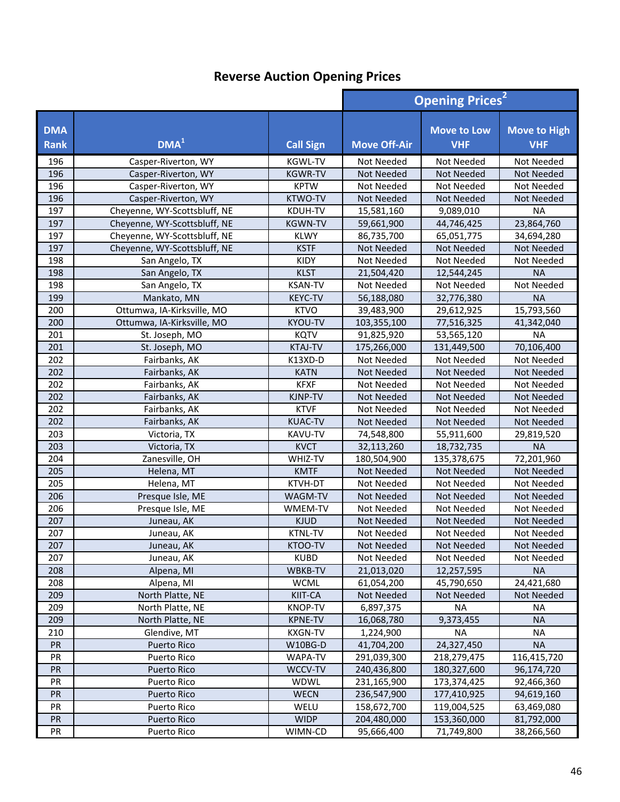|                           |                              | <b>Opening Prices<sup>2</sup></b> |                     |                                  |                                   |
|---------------------------|------------------------------|-----------------------------------|---------------------|----------------------------------|-----------------------------------|
| <b>DMA</b><br><b>Rank</b> | DMA <sup>1</sup>             | <b>Call Sign</b>                  | <b>Move Off-Air</b> | <b>Move to Low</b><br><b>VHF</b> | <b>Move to High</b><br><b>VHF</b> |
| 196                       | Casper-Riverton, WY          | <b>KGWL-TV</b>                    | Not Needed          | Not Needed                       | Not Needed                        |
| 196                       | Casper-Riverton, WY          | <b>KGWR-TV</b>                    | <b>Not Needed</b>   | <b>Not Needed</b>                | Not Needed                        |
| 196                       | Casper-Riverton, WY          | <b>KPTW</b>                       | Not Needed          | Not Needed                       | Not Needed                        |
| 196                       | Casper-Riverton, WY          | <b>KTWO-TV</b>                    | Not Needed          | <b>Not Needed</b>                | Not Needed                        |
| 197                       | Cheyenne, WY-Scottsbluff, NE | KDUH-TV                           | 15,581,160          | 9,089,010                        | <b>NA</b>                         |
| 197                       | Cheyenne, WY-Scottsbluff, NE | <b>KGWN-TV</b>                    | 59,661,900          | 44,746,425                       | 23,864,760                        |
| 197                       | Cheyenne, WY-Scottsbluff, NE | <b>KLWY</b>                       | 86,735,700          | 65,051,775                       | 34,694,280                        |
| 197                       | Cheyenne, WY-Scottsbluff, NE | <b>KSTF</b>                       | Not Needed          | Not Needed                       | Not Needed                        |
| 198                       | San Angelo, TX               | KIDY                              | Not Needed          | Not Needed                       | Not Needed                        |
| 198                       | San Angelo, TX               | <b>KLST</b>                       | 21,504,420          | 12,544,245                       | <b>NA</b>                         |
| 198                       | San Angelo, TX               | <b>KSAN-TV</b>                    | Not Needed          | Not Needed                       | Not Needed                        |
| 199                       | Mankato, MN                  | <b>KEYC-TV</b>                    | 56,188,080          | 32,776,380                       | <b>NA</b>                         |
| 200                       | Ottumwa, IA-Kirksville, MO   | <b>KTVO</b>                       | 39,483,900          | 29,612,925                       | 15,793,560                        |
| 200                       | Ottumwa, IA-Kirksville, MO   | <b>KYOU-TV</b>                    | 103,355,100         | 77,516,325                       | 41,342,040                        |
| 201                       | St. Joseph, MO               | <b>KQTV</b>                       | 91,825,920          | 53,565,120                       | <b>NA</b>                         |
| 201                       | St. Joseph, MO               | <b>KTAJ-TV</b>                    | 175,266,000         | 131,449,500                      | 70,106,400                        |
| 202                       | Fairbanks, AK                | K13XD-D                           | Not Needed          | Not Needed                       | Not Needed                        |
| 202                       | Fairbanks, AK                | <b>KATN</b>                       | Not Needed          | <b>Not Needed</b>                | <b>Not Needed</b>                 |
| 202                       | Fairbanks, AK                | <b>KFXF</b>                       | Not Needed          | Not Needed                       | Not Needed                        |
| 202                       | Fairbanks, AK                | KJNP-TV                           | <b>Not Needed</b>   | Not Needed                       | Not Needed                        |
| 202                       | Fairbanks, AK                | <b>KTVF</b>                       | Not Needed          | Not Needed                       | Not Needed                        |
| 202                       | Fairbanks, AK                | <b>KUAC-TV</b>                    | <b>Not Needed</b>   | <b>Not Needed</b>                | Not Needed                        |
| 203                       | Victoria, TX                 | KAVU-TV                           | 74,548,800          | 55,911,600                       | 29,819,520                        |
| 203                       | Victoria, TX                 | <b>KVCT</b>                       | 32,113,260          | 18,732,735                       | <b>NA</b>                         |
| 204                       | Zanesville, OH               | WHIZ-TV                           | 180,504,900         | 135,378,675                      | 72,201,960                        |
| 205                       | Helena, MT                   | <b>KMTF</b>                       | Not Needed          | Not Needed                       | Not Needed                        |
| 205                       | Helena, MT                   | KTVH-DT                           | Not Needed          | Not Needed                       | Not Needed                        |
| 206                       | Presque Isle, ME             | WAGM-TV                           | <b>Not Needed</b>   | Not Needed                       | Not Needed                        |
| 206                       | Presque Isle, ME             | WMEM-TV                           | Not Needed          | Not Needed                       | Not Needed                        |
| 207                       | Juneau, AK                   | <b>KJUD</b>                       | Not Needed          | <b>Not Needed</b>                | Not Needed                        |
| 207                       | Juneau, AK                   | <b>KTNL-TV</b>                    | Not Needed          | Not Needed                       | Not Needed                        |
| 207                       | Juneau, AK                   | KTOO-TV                           | Not Needed          | Not Needed                       | Not Needed                        |
| 207                       | Juneau, AK                   | <b>KUBD</b>                       | Not Needed          | Not Needed                       | Not Needed                        |
| 208                       | Alpena, MI                   | WBKB-TV                           | 21,013,020          | 12,257,595                       | <b>NA</b>                         |
| 208                       | Alpena, MI                   | <b>WCML</b>                       | 61,054,200          | 45,790,650                       | 24,421,680                        |
| 209                       | North Platte, NE             | KIIT-CA                           | Not Needed          | Not Needed                       | Not Needed                        |
| 209                       | North Platte, NE             | <b>KNOP-TV</b>                    | 6,897,375           | <b>NA</b>                        | ΝA                                |
| 209                       | North Platte, NE             | <b>KPNE-TV</b>                    | 16,068,780          | 9,373,455                        | <b>NA</b>                         |
| 210                       | Glendive, MT                 | <b>KXGN-TV</b>                    | 1,224,900           | <b>NA</b>                        | NA                                |
| PR                        | Puerto Rico                  | W10BG-D                           | 41,704,200          | 24,327,450                       | <b>NA</b>                         |
| PR                        | Puerto Rico                  | WAPA-TV                           | 291,039,300         | 218,279,475                      | 116,415,720                       |
| PR                        | Puerto Rico                  | WCCV-TV                           | 240,436,800         | 180,327,600                      | 96,174,720                        |
| PR                        | Puerto Rico                  | WDWL                              | 231,165,900         | 173,374,425                      | 92,466,360                        |
| PR                        | Puerto Rico                  | <b>WECN</b>                       | 236,547,900         | 177,410,925                      | 94,619,160                        |
| PR                        | Puerto Rico                  | WELU                              | 158,672,700         | 119,004,525                      | 63,469,080                        |
| PR                        | <b>Puerto Rico</b>           | <b>WIDP</b>                       | 204,480,000         | 153,360,000                      | 81,792,000                        |
| PR                        | Puerto Rico                  | WIMN-CD                           | 95,666,400          | 71,749,800                       | 38,266,560                        |